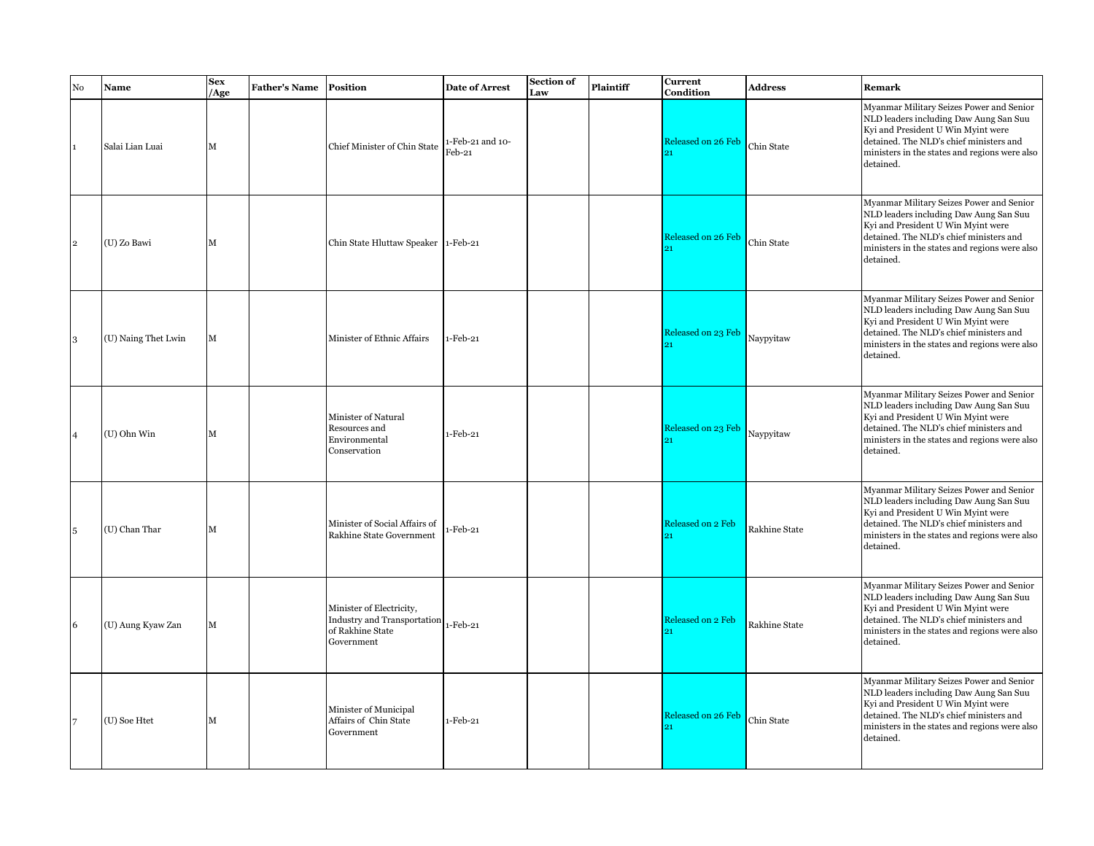| No           | Name                | <b>Sex</b><br>/Age | <b>Father's Name</b> | <b>Position</b>                                                                                    | <b>Date of Arrest</b>      | Section of<br>Law | Plaintiff | <b>Current</b><br>Condition | <b>Address</b> | Remark                                                                                                                                                                                                                            |
|--------------|---------------------|--------------------|----------------------|----------------------------------------------------------------------------------------------------|----------------------------|-------------------|-----------|-----------------------------|----------------|-----------------------------------------------------------------------------------------------------------------------------------------------------------------------------------------------------------------------------------|
| $\mathbf{1}$ | Salai Lian Luai     | $\mathbf M$        |                      | Chief Minister of Chin State                                                                       | 1-Feb-21 and 10-<br>Feb-21 |                   |           | Released on 26 Feb          | Chin State     | Myanmar Military Seizes Power and Senior<br>NLD leaders including Daw Aung San Suu<br>Kyi and President U Win Myint were<br>detained. The NLD's chief ministers and<br>ministers in the states and regions were also<br>detained. |
| $\mathbf{2}$ | (U) Zo Bawi         | M                  |                      | Chin State Hluttaw Speaker 1-Feb-21                                                                |                            |                   |           | Released on 26 Feb          | Chin State     | Myanmar Military Seizes Power and Senior<br>NLD leaders including Daw Aung San Suu<br>Kyi and President U Win Myint were<br>detained. The NLD's chief ministers and<br>ministers in the states and regions were also<br>detained. |
| 3            | (U) Naing Thet Lwin | M                  |                      | Minister of Ethnic Affairs                                                                         | 1-Feb-21                   |                   |           | Released on 23 Feb          | Naypyitaw      | Myanmar Military Seizes Power and Senior<br>NLD leaders including Daw Aung San Suu<br>Kyi and President U Win Myint were<br>detained. The NLD's chief ministers and<br>ministers in the states and regions were also<br>detained. |
| 4            | (U) Ohn Win         | M                  |                      | <b>Minister of Natural</b><br>Resources and<br>Environmental<br>Conservation                       | 1-Feb-21                   |                   |           | Released on 23 Feb          | Naypyitaw      | Myanmar Military Seizes Power and Senior<br>NLD leaders including Daw Aung San Suu<br>Kyi and President U Win Myint were<br>detained. The NLD's chief ministers and<br>ministers in the states and regions were also<br>detained. |
| 5            | (U) Chan Thar       | M                  |                      | Minister of Social Affairs of<br>Rakhine State Government                                          | $-Feb-21$                  |                   |           | <b>Released on 2 Feb</b>    | Rakhine State  | Myanmar Military Seizes Power and Senior<br>NLD leaders including Daw Aung San Suu<br>Kyi and President U Win Myint were<br>detained. The NLD's chief ministers and<br>ministers in the states and regions were also<br>detained. |
| 6            | (U) Aung Kyaw Zan   | M                  |                      | Minister of Electricity,<br>Industry and Transportation 1-Feb-21<br>of Rakhine State<br>Government |                            |                   |           | Released on 2 Feb<br>91     | Rakhine State  | Myanmar Military Seizes Power and Senior<br>NLD leaders including Daw Aung San Suu<br>Kyi and President U Win Myint were<br>detained. The NLD's chief ministers and<br>ministers in the states and regions were also<br>detained. |
|              | (U) Soe Htet        | M                  |                      | Minister of Municipal<br>Affairs of Chin State<br>Government                                       | $1-Feb-21$                 |                   |           | Released on 26 Feb          | Chin State     | Myanmar Military Seizes Power and Senior<br>NLD leaders including Daw Aung San Suu<br>Kyi and President U Win Myint were<br>detained. The NLD's chief ministers and<br>ministers in the states and regions were also<br>detained. |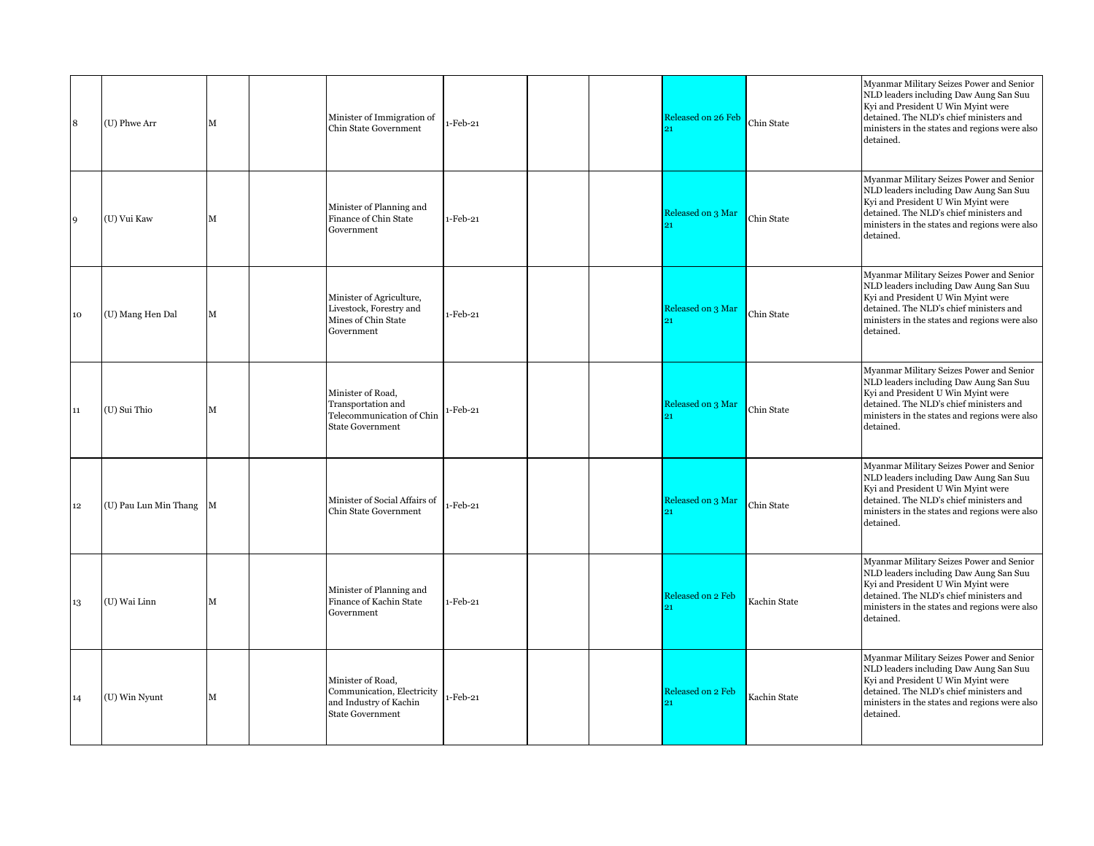| 8      | (U) Phwe Arr          | М | Minister of Immigration of<br><b>Chin State Government</b>                                           | $-Feb-21$  |  | Released on 26 Feb      | Chin State   | Myanmar Military Seizes Power and Senior<br>NLD leaders including Daw Aung San Suu<br>Kyi and President U Win Myint were<br>detained. The NLD's chief ministers and<br>ministers in the states and regions were also<br>detained. |
|--------|-----------------------|---|------------------------------------------------------------------------------------------------------|------------|--|-------------------------|--------------|-----------------------------------------------------------------------------------------------------------------------------------------------------------------------------------------------------------------------------------|
| 9      | (U) Vui Kaw           | М | Minister of Planning and<br>Finance of Chin State<br>Government                                      | 1-Feb-21   |  | Released on 3 Mar       | Chin State   | Myanmar Military Seizes Power and Senior<br>NLD leaders including Daw Aung San Suu<br>Kyi and President U Win Myint were<br>detained. The NLD's chief ministers and<br>ministers in the states and regions were also<br>detained. |
| 10     | (U) Mang Hen Dal      | M | Minister of Agriculture,<br>Livestock, Forestry and<br>Mines of Chin State<br>Government             | 1-Feb-21   |  | Released on 3 Mar       | Chin State   | Myanmar Military Seizes Power and Senior<br>NLD leaders including Daw Aung San Suu<br>Kyi and President U Win Myint were<br>detained. The NLD's chief ministers and<br>ministers in the states and regions were also<br>detained. |
| 11     | (U) Sui Thio          | М | Minister of Road,<br>Transportation and<br>Telecommunication of Chin<br><b>State Government</b>      | -Feb-21    |  | Released on 3 Mar       | Chin State   | Myanmar Military Seizes Power and Senior<br>NLD leaders including Daw Aung San Suu<br>Kyi and President U Win Myint were<br>detained. The NLD's chief ministers and<br>ministers in the states and regions were also<br>detained. |
| $12\,$ | (U) Pau Lun Min Thang | М | Minister of Social Affairs of<br>Chin State Government                                               | -Feb-21    |  | Released on 3 Mar       | Chin State   | Myanmar Military Seizes Power and Senior<br>NLD leaders including Daw Aung San Suu<br>Kyi and President U Win Myint were<br>detained. The NLD's chief ministers and<br>ministers in the states and regions were also<br>detained. |
| 13     | (U) Wai Linn          | м | Minister of Planning and<br>Finance of Kachin State<br>Government                                    | $1-Feb-21$ |  | Released on 2 Feb       | Kachin State | Myanmar Military Seizes Power and Senior<br>NLD leaders including Daw Aung San Suu<br>Kyi and President U Win Myint were<br>detained. The NLD's chief ministers and<br>ministers in the states and regions were also<br>detained. |
| 14     | (U) Win Nyunt         | м | Minister of Road,<br>Communication, Electricity<br>and Industry of Kachin<br><b>State Government</b> | $-Feb-21$  |  | Released on 2 Feb<br>91 | Kachin State | Myanmar Military Seizes Power and Senior<br>NLD leaders including Daw Aung San Suu<br>Kyi and President U Win Myint were<br>detained. The NLD's chief ministers and<br>ministers in the states and regions were also<br>detained. |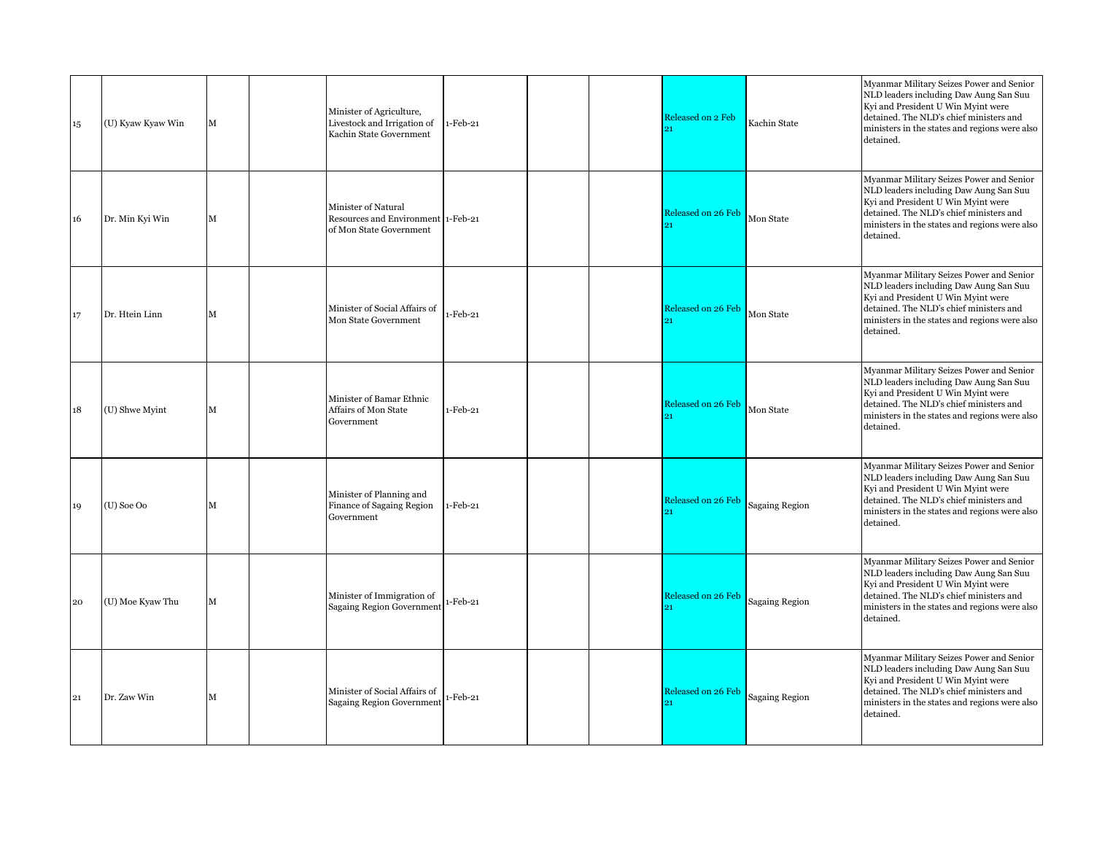| 15 | (U) Kyaw Kyaw Win | М | Minister of Agriculture,<br>Livestock and Irrigation of<br>Kachin State Government   | $1-Feb-21$ |  | Released on 2 Feb<br>91  | Kachin State          | Myanmar Military Seizes Power and Senior<br>NLD leaders including Daw Aung San Suu<br>Kyi and President U Win Myint were<br>detained. The NLD's chief ministers and<br>ministers in the states and regions were also<br>detained. |
|----|-------------------|---|--------------------------------------------------------------------------------------|------------|--|--------------------------|-----------------------|-----------------------------------------------------------------------------------------------------------------------------------------------------------------------------------------------------------------------------------|
| 16 | Dr. Min Kyi Win   | M | Minister of Natural<br>Resources and Environment 1-Feb-21<br>of Mon State Government |            |  | Released on 26 Feb<br>91 | Mon State             | Myanmar Military Seizes Power and Senior<br>NLD leaders including Daw Aung San Suu<br>Kyi and President U Win Myint were<br>detained. The NLD's chief ministers and<br>ministers in the states and regions were also<br>detained. |
| 17 | Dr. Htein Linn    | М | Minister of Social Affairs of<br>Mon State Government                                | $-Feb-21$  |  | Released on 26 Feb       | Mon State             | Myanmar Military Seizes Power and Senior<br>NLD leaders including Daw Aung San Suu<br>Kyi and President U Win Myint were<br>detained. The NLD's chief ministers and<br>ministers in the states and regions were also<br>detained. |
| 18 | (U) Shwe Myint    | M | Minister of Bamar Ethnic<br>Affairs of Mon State<br>Government                       | 1-Feb-21   |  | Released on 26 Feb<br>91 | Mon State             | Myanmar Military Seizes Power and Senior<br>NLD leaders including Daw Aung San Suu<br>Kyi and President U Win Myint were<br>detained. The NLD's chief ministers and<br>ministers in the states and regions were also<br>detained. |
| 19 | (U) Soe Oo        | М | Minister of Planning and<br>Finance of Sagaing Region<br>Government                  | 1-Feb-21   |  | Released on 26 Feb<br>91 | <b>Sagaing Region</b> | Myanmar Military Seizes Power and Senior<br>NLD leaders including Daw Aung San Suu<br>Kyi and President U Win Myint were<br>detained. The NLD's chief ministers and<br>ministers in the states and regions were also<br>detained. |
| 20 | (U) Moe Kyaw Thu  | М | Minister of Immigration of<br><b>Sagaing Region Government</b>                       | $-Feb-21$  |  | Released on 26 Feb       | <b>Sagaing Region</b> | Myanmar Military Seizes Power and Senior<br>NLD leaders including Daw Aung San Suu<br>Kyi and President U Win Myint were<br>detained. The NLD's chief ministers and<br>ministers in the states and regions were also<br>detained. |
| 21 | Dr. Zaw Win       | М | Minister of Social Affairs of<br>Sagaing Region Government                           | $-Feb-21$  |  | Released on 26 Feb<br>21 | <b>Sagaing Region</b> | Myanmar Military Seizes Power and Senior<br>NLD leaders including Daw Aung San Suu<br>Kyi and President U Win Myint were<br>detained. The NLD's chief ministers and<br>ministers in the states and regions were also<br>detained. |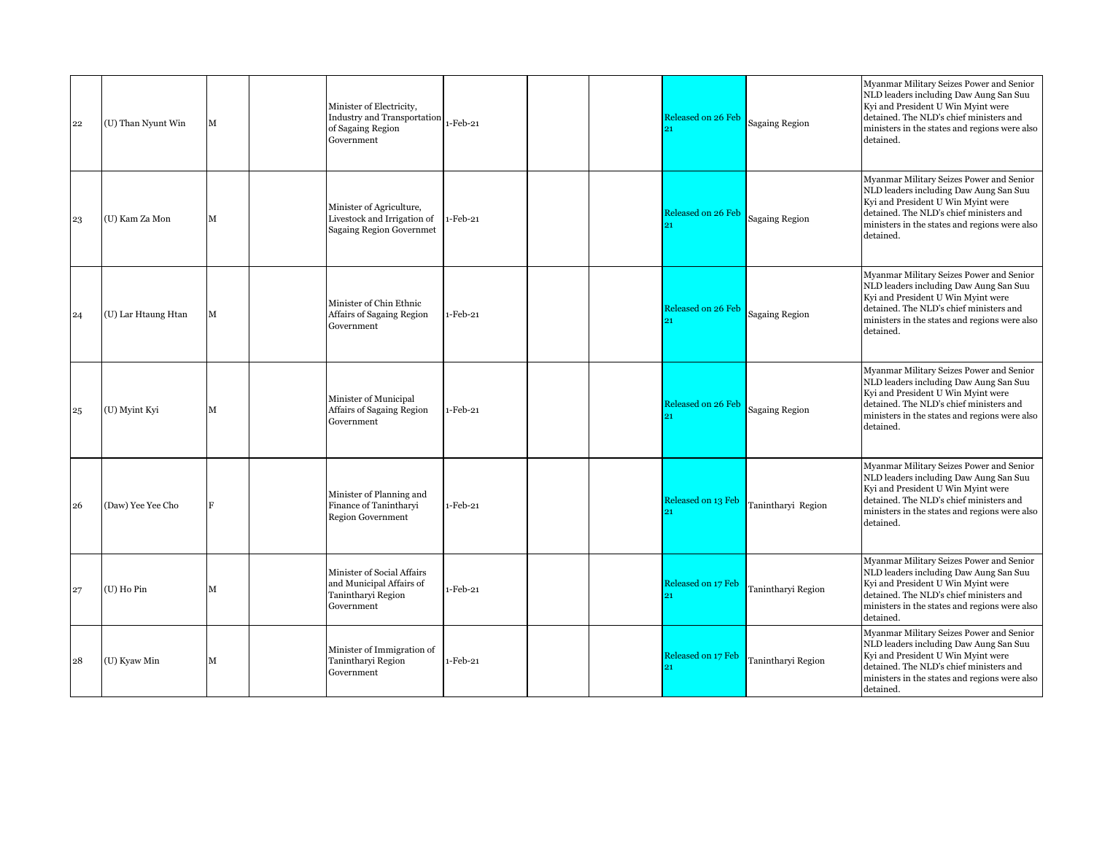| 22 | (U) Than Nyunt Win  | М           | Minister of Electricity,<br>Industry and Transportation 1-Feb-21<br>of Sagaing Region<br>Government |             |  | Released on 26 Feb       | Sagaing Region        | Myanmar Military Seizes Power and Senior<br>NLD leaders including Daw Aung San Suu<br>Kyi and President U Win Myint were<br>detained. The NLD's chief ministers and<br>ministers in the states and regions were also<br>detained. |
|----|---------------------|-------------|-----------------------------------------------------------------------------------------------------|-------------|--|--------------------------|-----------------------|-----------------------------------------------------------------------------------------------------------------------------------------------------------------------------------------------------------------------------------|
| 23 | (U) Kam Za Mon      | M           | Minister of Agriculture,<br>Livestock and Irrigation of<br><b>Sagaing Region Governmet</b>          | $1-Feb-21$  |  | Released on 26 Feb       | <b>Sagaing Region</b> | Myanmar Military Seizes Power and Senior<br>NLD leaders including Daw Aung San Suu<br>Kyi and President U Win Myint were<br>detained. The NLD's chief ministers and<br>ministers in the states and regions were also<br>detained. |
| 24 | (U) Lar Htaung Htan | $\mathbf M$ | Minister of Chin Ethnic<br>Affairs of Sagaing Region<br>Government                                  | $1-Feb-21$  |  | Released on 26 Feb       | <b>Sagaing Region</b> | Myanmar Military Seizes Power and Senior<br>NLD leaders including Daw Aung San Suu<br>Kyi and President U Win Myint were<br>detained. The NLD's chief ministers and<br>ministers in the states and regions were also<br>detained. |
| 25 | (U) Myint Kyi       | M           | Minister of Municipal<br>Affairs of Sagaing Region<br>Government                                    | $1-Feb-21$  |  | Released on 26 Feb<br>o1 | <b>Sagaing Region</b> | Myanmar Military Seizes Power and Senior<br>NLD leaders including Daw Aung San Suu<br>Kyi and President U Win Myint were<br>detained. The NLD's chief ministers and<br>ministers in the states and regions were also<br>detained. |
| 26 | (Daw) Yee Yee Cho   | F           | Minister of Planning and<br>Finance of Tanintharvi<br><b>Region Government</b>                      | 1-Feb-21    |  | Released on 13 Feb       | Tanintharyi Region    | Myanmar Military Seizes Power and Senior<br>NLD leaders including Daw Aung San Suu<br>Kyi and President U Win Myint were<br>detained. The NLD's chief ministers and<br>ministers in the states and regions were also<br>detained. |
| 27 | (U) Ho Pin          | M           | Minister of Social Affairs<br>and Municipal Affairs of<br>Tanintharyi Region<br>Government          | 1-Feb-21    |  | Released on 17 Feb       | Tanintharyi Region    | Myanmar Military Seizes Power and Senior<br>NLD leaders including Daw Aung San Suu<br>Kyi and President U Win Myint were<br>detained. The NLD's chief ministers and<br>ministers in the states and regions were also<br>detained. |
| 28 | (U) Kyaw Min        | M           | Minister of Immigration of<br>Tanintharyi Region<br>Government                                      | $1$ -Feb-21 |  | Released on 17 Feb       | Tanintharyi Region    | Myanmar Military Seizes Power and Senior<br>NLD leaders including Daw Aung San Suu<br>Kyi and President U Win Myint were<br>detained. The NLD's chief ministers and<br>ministers in the states and regions were also<br>detained. |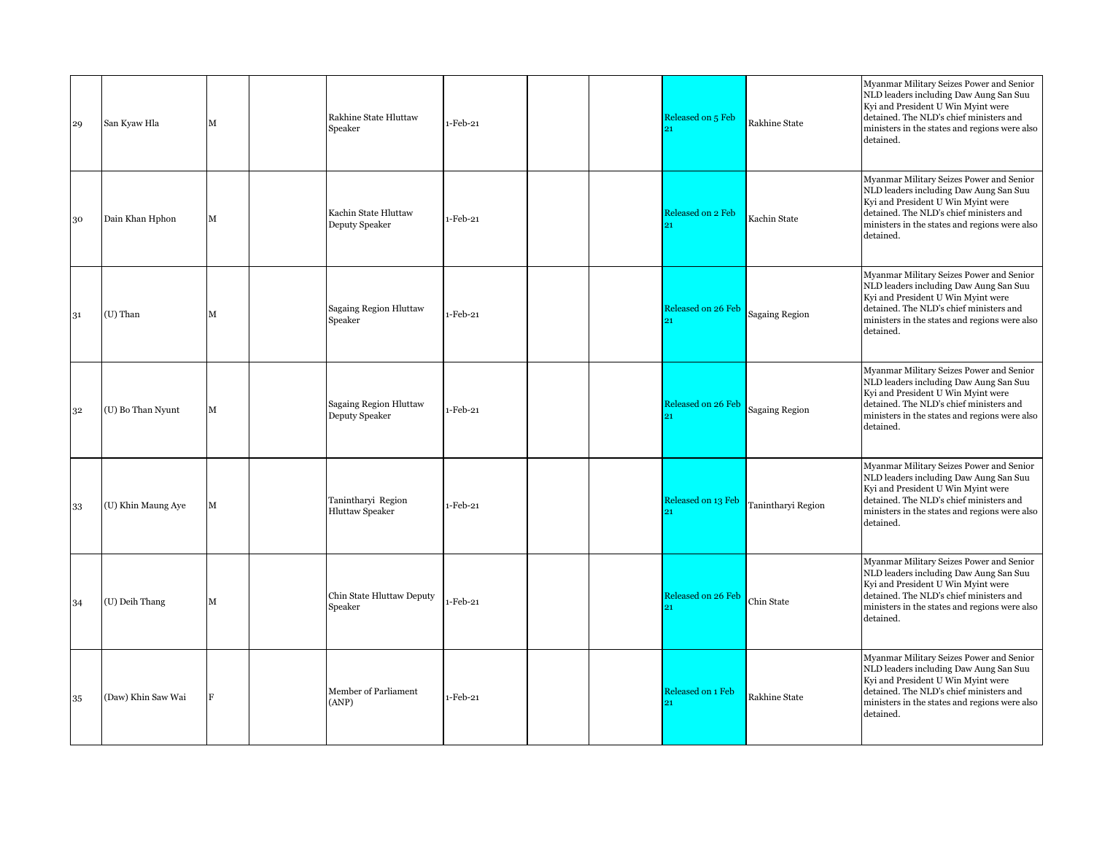| 29 | San Kyaw Hla       | $\mathbf M$ | Rakhine State Hluttaw<br>Speaker                | 1-Feb-21 |  | Released on 5 Feb<br>91   | Rakhine State         | Myanmar Military Seizes Power and Senior<br>NLD leaders including Daw Aung San Suu<br>Kyi and President U Win Myint were<br>detained. The NLD's chief ministers and<br>ministers in the states and regions were also<br>detained. |
|----|--------------------|-------------|-------------------------------------------------|----------|--|---------------------------|-----------------------|-----------------------------------------------------------------------------------------------------------------------------------------------------------------------------------------------------------------------------------|
| 30 | Dain Khan Hphon    | М           | Kachin State Hluttaw<br>Deputy Speaker          | 1-Feb-21 |  | Released on 2 Feb<br>91   | Kachin State          | Myanmar Military Seizes Power and Senior<br>NLD leaders including Daw Aung San Suu<br>Kyi and President U Win Myint were<br>detained. The NLD's chief ministers and<br>ministers in the states and regions were also<br>detained. |
| 31 | (U) Than           | М           | Sagaing Region Hluttaw<br>Speaker               | 1-Feb-21 |  | Released on 26 Feb        | <b>Sagaing Region</b> | Myanmar Military Seizes Power and Senior<br>NLD leaders including Daw Aung San Suu<br>Kyi and President U Win Myint were<br>detained. The NLD's chief ministers and<br>ministers in the states and regions were also<br>detained. |
| 32 | (U) Bo Than Nyunt  | М           | <b>Sagaing Region Hluttaw</b><br>Deputy Speaker | 1-Feb-21 |  | Released on 26 Feb<br>21  | <b>Sagaing Region</b> | Myanmar Military Seizes Power and Senior<br>NLD leaders including Daw Aung San Suu<br>Kyi and President U Win Myint were<br>detained. The NLD's chief ministers and<br>ministers in the states and regions were also<br>detained. |
| 33 | (U) Khin Maung Aye | M           | Tanintharyi Region<br><b>Hluttaw Speaker</b>    | 1-Feb-21 |  | Released on 13 Feb<br>91  | Tanintharyi Region    | Myanmar Military Seizes Power and Senior<br>NLD leaders including Daw Aung San Suu<br>Kyi and President U Win Myint were<br>detained. The NLD's chief ministers and<br>ministers in the states and regions were also<br>detained. |
| 34 | (U) Deih Thang     | $\mathbf M$ | Chin State Hluttaw Deputy<br>Speaker            | 1-Feb-21 |  | <b>Released on 26 Feb</b> | Chin State            | Myanmar Military Seizes Power and Senior<br>NLD leaders including Daw Aung San Suu<br>Kyi and President U Win Myint were<br>detained. The NLD's chief ministers and<br>ministers in the states and regions were also<br>detained. |
| 35 | (Daw) Khin Saw Wai | F           | Member of Parliament<br>(ANP)                   | 1-Feb-21 |  | Released on 1 Feb<br>21   | Rakhine State         | Myanmar Military Seizes Power and Senior<br>NLD leaders including Daw Aung San Suu<br>Kyi and President U Win Myint were<br>detained. The NLD's chief ministers and<br>ministers in the states and regions were also<br>detained. |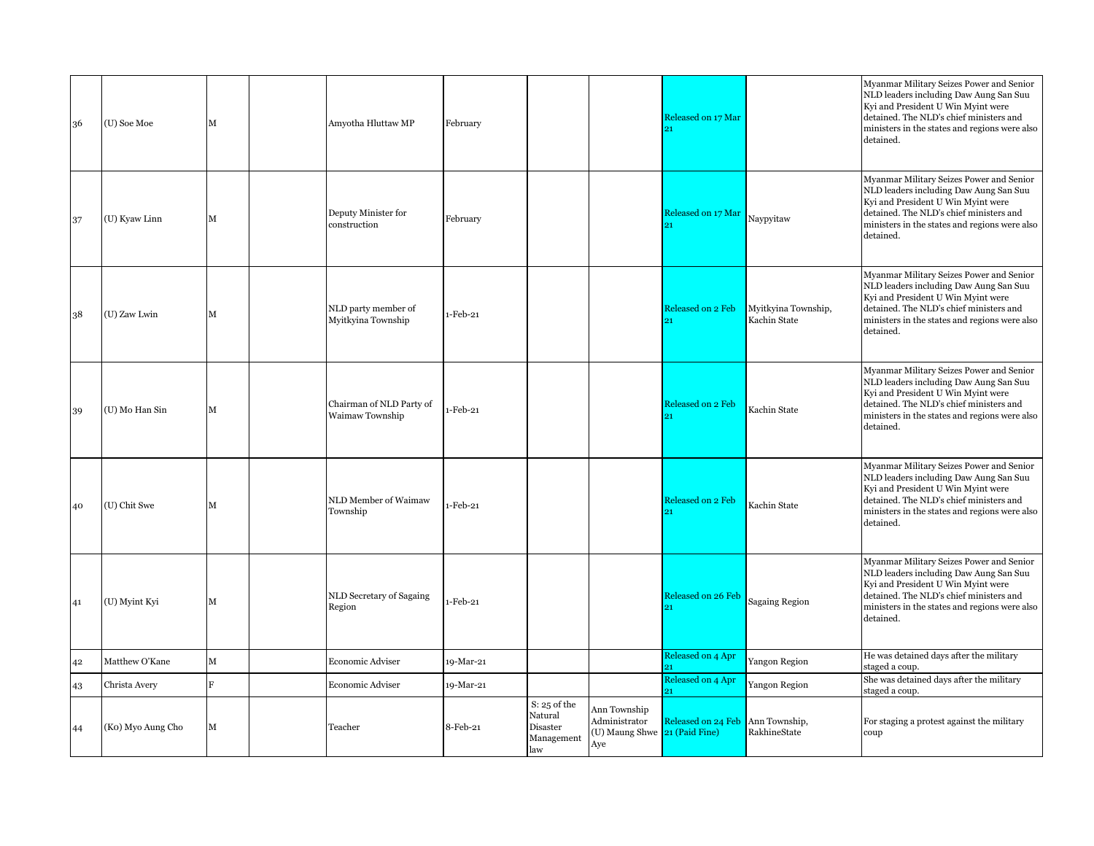| 36 | (U) Soe Moe       | М              | Amyotha Hluttaw MP                          | February  |                                                          |                                                                       | Released on 17 Mar<br>21 |                                     | Myanmar Military Seizes Power and Senior<br>NLD leaders including Daw Aung San Suu<br>Kyi and President U Win Myint were<br>detained. The NLD's chief ministers and<br>ministers in the states and regions were also<br>detained. |
|----|-------------------|----------------|---------------------------------------------|-----------|----------------------------------------------------------|-----------------------------------------------------------------------|--------------------------|-------------------------------------|-----------------------------------------------------------------------------------------------------------------------------------------------------------------------------------------------------------------------------------|
| 37 | (U) Kyaw Linn     | M              | Deputy Minister for<br>construction         | February  |                                                          |                                                                       | Released on 17 Mar       | Naypyitaw                           | Myanmar Military Seizes Power and Senior<br>NLD leaders including Daw Aung San Suu<br>Kyi and President U Win Myint were<br>detained. The NLD's chief ministers and<br>ministers in the states and regions were also<br>detained. |
| 38 | (U) Zaw Lwin      | M              | NLD party member of<br>Myitkyina Township   | 1-Feb-21  |                                                          |                                                                       | Released on 2 Feb<br>21  | Myitkyina Township,<br>Kachin State | Myanmar Military Seizes Power and Senior<br>NLD leaders including Daw Aung San Suu<br>Kyi and President U Win Myint were<br>detained. The NLD's chief ministers and<br>ministers in the states and regions were also<br>detained. |
| 39 | (U) Mo Han Sin    | М              | Chairman of NLD Party of<br>Waimaw Township | 1-Feb-21  |                                                          |                                                                       | Released on 2 Feb        | Kachin State                        | Myanmar Military Seizes Power and Senior<br>NLD leaders including Daw Aung San Suu<br>Kyi and President U Win Myint were<br>detained. The NLD's chief ministers and<br>ministers in the states and regions were also<br>detained. |
| 40 | (U) Chit Swe      | M              | NLD Member of Waimaw<br>Township            | 1-Feb-21  |                                                          |                                                                       | Released on 2 Feb<br>91  | Kachin State                        | Myanmar Military Seizes Power and Senior<br>NLD leaders including Daw Aung San Suu<br>Kyi and President U Win Myint were<br>detained. The NLD's chief ministers and<br>ministers in the states and regions were also<br>detained. |
| 41 | (U) Myint Kyi     | М              | NLD Secretary of Sagaing<br>Region          | 1-Feb-21  |                                                          |                                                                       | Released on 26 Feb       | <b>Sagaing Region</b>               | Myanmar Military Seizes Power and Senior<br>NLD leaders including Daw Aung San Suu<br>Kyi and President U Win Myint were<br>detained. The NLD's chief ministers and<br>ministers in the states and regions were also<br>detained. |
| 42 | Matthew O'Kane    | М              | Economic Adviser                            | 19-Mar-21 |                                                          |                                                                       | Released on 4 Apr<br>91  | Yangon Region                       | He was detained days after the military<br>staged a coup.                                                                                                                                                                         |
| 43 | Christa Avery     | $\overline{B}$ | Economic Adviser                            | 19-Mar-21 |                                                          |                                                                       | Released on 4 Apr<br>91  | Yangon Region                       | She was detained days after the military<br>staged a coup.                                                                                                                                                                        |
| 44 | (Ko) Myo Aung Cho | М              | Teacher                                     | 8-Feb-21  | S: 25 of the<br>Natural<br>Disaster<br>Management<br>law | Ann Township<br>Administrator<br>(U) Maung Shwe 21 (Paid Fine)<br>Aye | Released on 24 Feb       | Ann Township,<br>RakhineState       | For staging a protest against the military<br>coup                                                                                                                                                                                |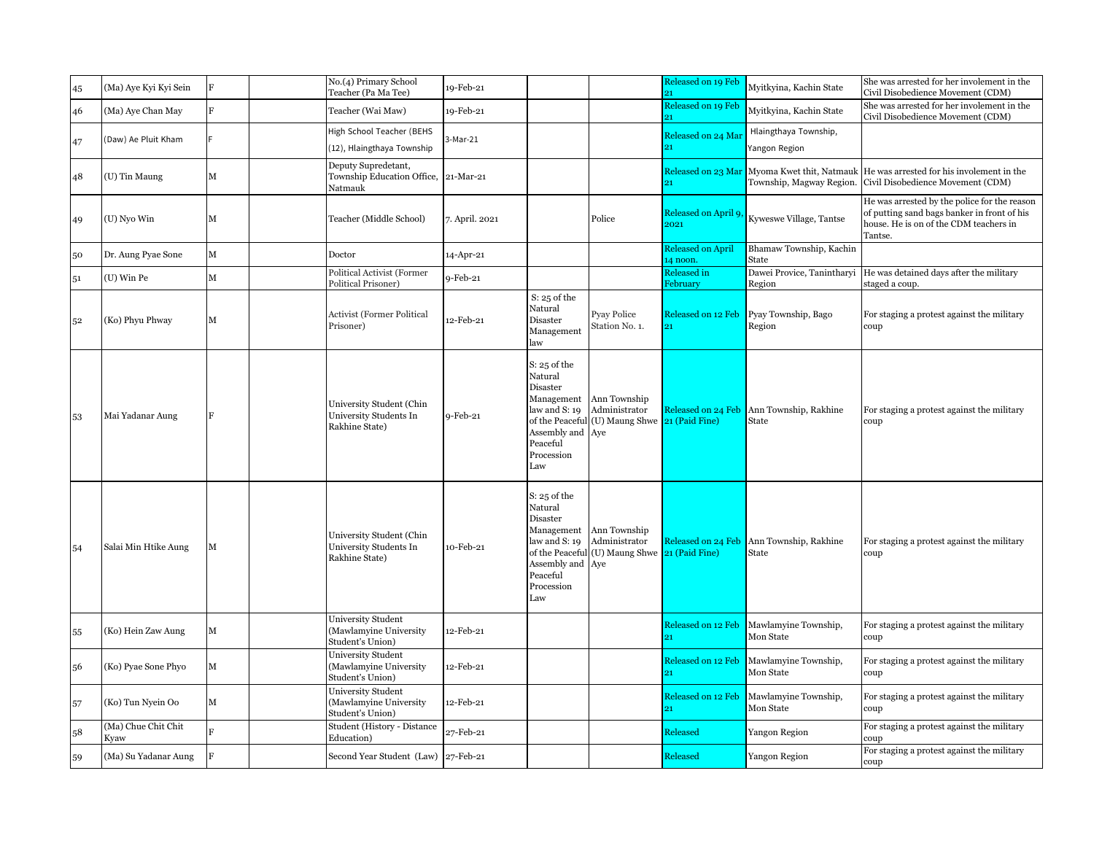| 45 | (Ma) Aye Kyi Kyi Sein       | $\mathbf F$ | No.(4) Primary School<br>Teacher (Pa Ma Tee)                           | 19-Feb-21      |                                                                                                             |                                                                                           | Released on 19 Feb<br>91             | Myitkyina, Kachin State                                                 | She was arrested for her involement in the<br>Civil Disobedience Movement (CDM)                                                                  |
|----|-----------------------------|-------------|------------------------------------------------------------------------|----------------|-------------------------------------------------------------------------------------------------------------|-------------------------------------------------------------------------------------------|--------------------------------------|-------------------------------------------------------------------------|--------------------------------------------------------------------------------------------------------------------------------------------------|
| 46 | (Ma) Aye Chan May           | R           | Teacher (Wai Maw)                                                      | 19-Feb-21      |                                                                                                             |                                                                                           | Released on 19 Feb                   | Myitkyina, Kachin State                                                 | She was arrested for her involement in the<br>Civil Disobedience Movement (CDM)                                                                  |
| 47 | (Daw) Ae Pluit Kham         |             | High School Teacher (BEHS<br>(12), Hlaingthaya Township                | 3-Mar-21       |                                                                                                             |                                                                                           | Released on 24 Ma<br>21              | Hlaingthaya Township,<br>Yangon Region                                  |                                                                                                                                                  |
| 48 | (U) Tin Maung               | М           | Deputy Supredetant,<br>Township Education Office, 21-Mar-21<br>Natmauk |                |                                                                                                             |                                                                                           |                                      | Released on 23 Mar Myoma Kwet thit, Natmauk<br>Township, Magway Region. | He was arrested for his involement in the<br>Civil Disobedience Movement (CDM)                                                                   |
| 49 | (U) Nyo Win                 | M           | Teacher (Middle School)                                                | 7. April. 2021 |                                                                                                             | Police                                                                                    | Released on April 9,<br>2021         | Kyweswe Village, Tantse                                                 | He was arrested by the police for the reason<br>of putting sand bags banker in front of his<br>house. He is on of the CDM teachers in<br>Tantse. |
| 50 | Dr. Aung Pyae Sone          | М           | Doctor                                                                 | 14-Apr-21      |                                                                                                             |                                                                                           | <b>Released on April</b><br>14 noon. | Bhamaw Township, Kachin<br>State                                        |                                                                                                                                                  |
| 51 | (U) Win Pe                  | М           | <b>Political Activist (Former</b><br>Political Prisoner)               | 9-Feb-21       |                                                                                                             |                                                                                           | Released in<br>February              | Dawei Provice, Tanintharyi<br>Region                                    | He was detained days after the military<br>staged a coup.                                                                                        |
| 52 | (Ko) Phyu Phway             | М           | <b>Activist (Former Political</b><br>Prisoner)                         | 12-Feb-21      | $S: 25$ of the<br>Natural<br>Disaster<br>Management<br>law                                                  | <b>Pyay Police</b><br>Station No. 1.                                                      | Released on 12 Feb<br>21             | Pyay Township, Bago<br>Region                                           | For staging a protest against the military<br>coup                                                                                               |
| 53 | Mai Yadanar Aung            |             | University Student (Chin<br>University Students In<br>Rakhine State)   | 9-Feb-21       | $S: 25$ of the<br>Natural<br>Disaster<br>law and S: 19<br>Assembly and Aye<br>Peaceful<br>Procession<br>Law | Management Ann Township<br>Administrator<br>of the Peaceful (U) Maung Shwe 21 (Paid Fine) |                                      | Released on 24 Feb Ann Township, Rakhine<br>State                       | For staging a protest against the military<br>coup                                                                                               |
| 54 | Salai Min Htike Aung        | М           | University Student (Chin<br>University Students In<br>Rakhine State)   | 10-Feb-21      | $S: 25$ of the<br>Natural<br>Disaster<br>law and S: 19<br>Assembly and Aye<br>Peaceful<br>Procession<br>Law | Management Ann Township<br>Administrator<br>of the Peaceful (U) Maung Shwe 21 (Paid Fine) |                                      | Released on 24 Feb Ann Township, Rakhine<br>State                       | For staging a protest against the military<br>coup                                                                                               |
| 55 | (Ko) Hein Zaw Aung          | М           | University Student<br>(Mawlamyine University<br>Student's Union)       | 12-Feb-21      |                                                                                                             |                                                                                           | Released on 12 Feb                   | Mawlamyine Township,<br>Mon State                                       | For staging a protest against the military<br>coup                                                                                               |
| 56 | (Ko) Pyae Sone Phyo         | M           | University Student<br>(Mawlamyine University<br>Student's Union)       | 12-Feb-21      |                                                                                                             |                                                                                           | Released on 12 Feb<br>91             | Mawlamyine Township,<br>Mon State                                       | For staging a protest against the military<br>coup                                                                                               |
| 57 | (Ko) Tun Nyein Oo           | M           | University Student<br>(Mawlamyine University<br>Student's Union)       | 12-Feb-21      |                                                                                                             |                                                                                           | Released on 12 Feb<br>21             | Mawlamyine Township,<br>Mon State                                       | For staging a protest against the military<br>coup                                                                                               |
| 58 | (Ma) Chue Chit Chit<br>Kyaw | R           | Student (History - Distance<br>Education)                              | 27-Feb-21      |                                                                                                             |                                                                                           | Released                             | Yangon Region                                                           | For staging a protest against the military<br>coup                                                                                               |
| 59 | (Ma) Su Yadanar Aung        | F           | Second Year Student (Law) 27-Feb-21                                    |                |                                                                                                             |                                                                                           | Released                             | Yangon Region                                                           | For staging a protest against the military<br>coup                                                                                               |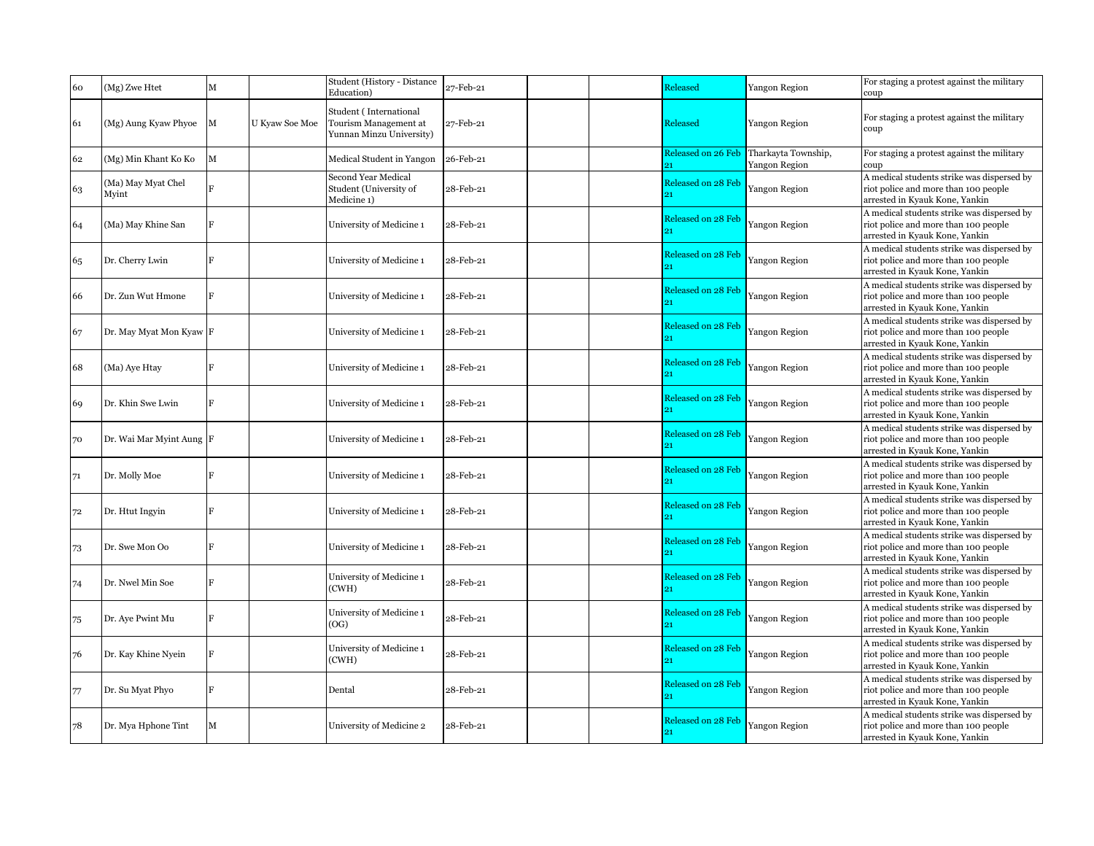| 60 | (Mg) Zwe Htet               | M            |                | Student (History - Distance<br>Education)                                   | 27-Feb-21 | Released           | Yangon Region                        | For staging a protest against the military<br>coup                                                                   |
|----|-----------------------------|--------------|----------------|-----------------------------------------------------------------------------|-----------|--------------------|--------------------------------------|----------------------------------------------------------------------------------------------------------------------|
| 61 | (Mg) Aung Kyaw Phyoe        | M            | U Kyaw Soe Moe | Student (International<br>Tourism Management at<br>Yunnan Minzu University) | 27-Feb-21 | Released           | Yangon Region                        | For staging a protest against the military<br>coup                                                                   |
| 62 | (Mg) Min Khant Ko Ko        | M            |                | Medical Student in Yangon                                                   | 26-Feb-21 | Released on 26 Feb | Tharkayta Township,<br>Yangon Region | For staging a protest against the military<br>coup                                                                   |
| 63 | (Ma) May Myat Chel<br>Myint |              |                | <b>Second Year Medical</b><br>Student (University of<br>Medicine 1)         | 28-Feb-21 | Released on 28 Feb | Yangon Region                        | A medical students strike was dispersed by<br>riot police and more than 100 people<br>arrested in Kyauk Kone, Yankin |
| 64 | (Ma) May Khine San          |              |                | University of Medicine 1                                                    | 28-Feb-21 | Released on 28 Feb | Yangon Region                        | A medical students strike was dispersed by<br>riot police and more than 100 people<br>arrested in Kyauk Kone, Yankin |
| 65 | Dr. Cherry Lwin             | R            |                | University of Medicine 1                                                    | 28-Feb-21 | Released on 28 Feb | Yangon Region                        | A medical students strike was dispersed by<br>riot police and more than 100 people<br>arrested in Kyauk Kone, Yankin |
| 66 | Dr. Zun Wut Hmone           | $\mathbf{E}$ |                | University of Medicine 1                                                    | 28-Feb-21 | Released on 28 Feb | Yangon Region                        | A medical students strike was dispersed by<br>riot police and more than 100 people<br>arrested in Kyauk Kone, Yankin |
| 67 | Dr. May Myat Mon Kyaw F     |              |                | University of Medicine 1                                                    | 28-Feb-21 | Released on 28 Feb | Yangon Region                        | A medical students strike was dispersed by<br>riot police and more than 100 people<br>arrested in Kyauk Kone, Yankin |
| 68 | (Ma) Aye Htay               |              |                | University of Medicine 1                                                    | 28-Feb-21 | Released on 28 Feb | Yangon Region                        | A medical students strike was dispersed by<br>riot police and more than 100 people<br>arrested in Kyauk Kone, Yankin |
| 69 | Dr. Khin Swe Lwin           |              |                | University of Medicine 1                                                    | 28-Feb-21 | Released on 28 Feb | Yangon Region                        | A medical students strike was dispersed by<br>riot police and more than 100 people<br>arrested in Kyauk Kone, Yankin |
| 70 | Dr. Wai Mar Myint Aung F    |              |                | University of Medicine 1                                                    | 28-Feb-21 | Released on 28 Feb | Yangon Region                        | A medical students strike was dispersed by<br>riot police and more than 100 people<br>arrested in Kyauk Kone, Yankin |
| 71 | Dr. Molly Moe               |              |                | University of Medicine 1                                                    | 28-Feb-21 | Released on 28 Feb | Yangon Region                        | A medical students strike was dispersed by<br>riot police and more than 100 people<br>arrested in Kyauk Kone, Yankin |
| 72 | Dr. Htut Ingyin             | $\mathbf{E}$ |                | University of Medicine 1                                                    | 28-Feb-21 | Released on 28 Feb | Yangon Region                        | A medical students strike was dispersed by<br>riot police and more than 100 people<br>arrested in Kyauk Kone, Yankin |
| 73 | Dr. Swe Mon Oo              |              |                | University of Medicine 1                                                    | 28-Feb-21 | Released on 28 Feb | Yangon Region                        | A medical students strike was dispersed by<br>riot police and more than 100 people<br>arrested in Kyauk Kone, Yankin |
| 74 | Dr. Nwel Min Soe            |              |                | University of Medicine 1<br>(CWH)                                           | 28-Feb-21 | Released on 28 Feb | Yangon Region                        | A medical students strike was dispersed by<br>riot police and more than 100 people<br>arrested in Kyauk Kone, Yankin |
| 75 | Dr. Aye Pwint Mu            |              |                | University of Medicine 1<br>(OG)                                            | 28-Feb-21 | Released on 28 Feb | Yangon Region                        | A medical students strike was dispersed by<br>riot police and more than 100 people<br>arrested in Kyauk Kone, Yankin |
| 76 | Dr. Kay Khine Nyein         |              |                | University of Medicine 1<br>(CWH)                                           | 28-Feb-21 | Released on 28 Feb | Yangon Region                        | A medical students strike was dispersed by<br>riot police and more than 100 people<br>arrested in Kyauk Kone, Yankin |
| 77 | Dr. Su Myat Phyo            |              |                | Dental                                                                      | 28-Feb-21 | Released on 28 Feb | Yangon Region                        | A medical students strike was dispersed by<br>riot police and more than 100 people<br>arrested in Kyauk Kone, Yankin |
| 78 | Dr. Mya Hphone Tint         | M            |                | University of Medicine 2                                                    | 28-Feb-21 | Released on 28 Feb | Yangon Region                        | A medical students strike was dispersed by<br>riot police and more than 100 people<br>arrested in Kyauk Kone, Yankin |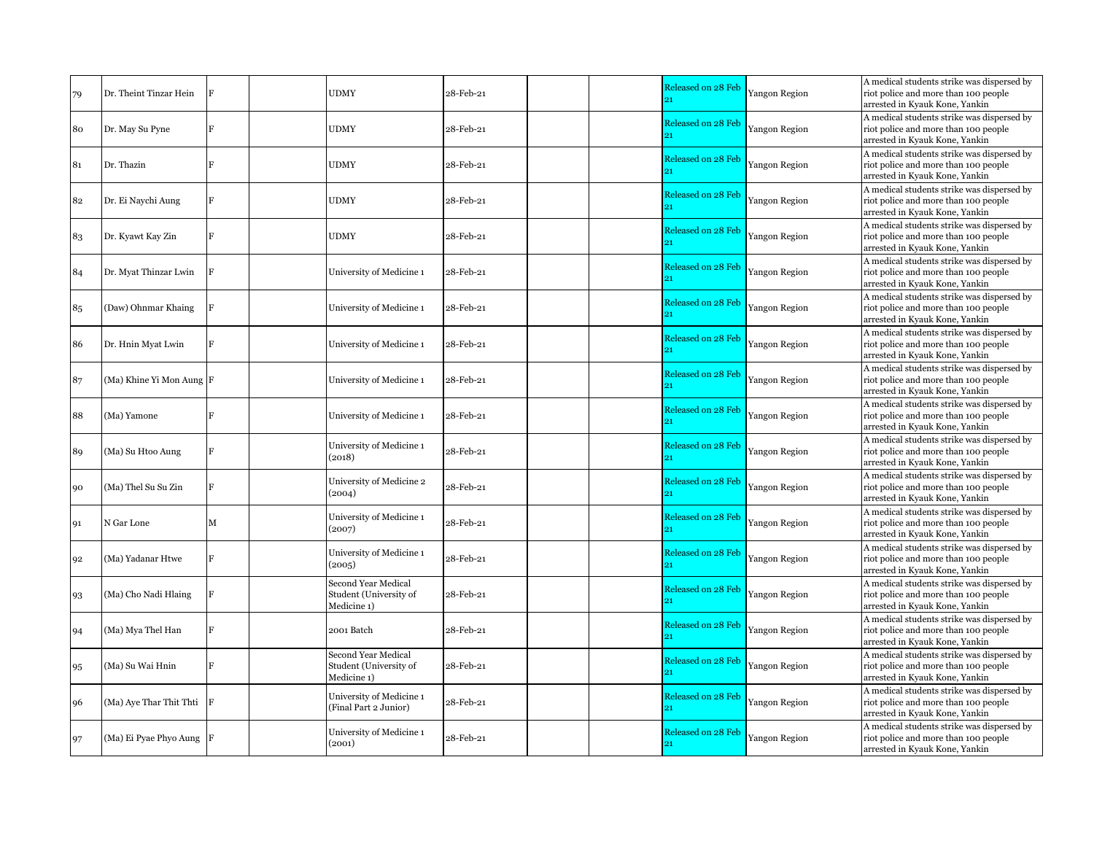| 79 | Dr. Theint Tinzar Hein   |   | <b>UDMY</b>                                                         | 28-Feb-21 | Released on 28 Feb<br>21 | Yangon Region        | A medical students strike was dispersed by<br>riot police and more than 100 people<br>arrested in Kyauk Kone, Yankin |
|----|--------------------------|---|---------------------------------------------------------------------|-----------|--------------------------|----------------------|----------------------------------------------------------------------------------------------------------------------|
| 80 | Dr. May Su Pyne          |   | <b>UDMY</b>                                                         | 28-Feb-21 | Released on 28 Feb       | Yangon Region        | A medical students strike was dispersed by<br>riot police and more than 100 people<br>arrested in Kyauk Kone, Yankin |
| 81 | Dr. Thazin               |   | <b>UDMY</b>                                                         | 28-Feb-21 | Released on 28 Feb       | Yangon Region        | A medical students strike was dispersed by<br>riot police and more than 100 people<br>arrested in Kyauk Kone, Yankin |
| 82 | Dr. Ei Naychi Aung       |   | <b>UDMY</b>                                                         | 28-Feb-21 | Released on 28 Feb<br>o1 | Yangon Region        | A medical students strike was dispersed by<br>riot police and more than 100 people<br>arrested in Kyauk Kone, Yankin |
| 83 | Dr. Kyawt Kay Zin        |   | <b>UDMY</b>                                                         | 28-Feb-21 | Released on 28 Feb       | Yangon Region        | A medical students strike was dispersed by<br>riot police and more than 100 people<br>arrested in Kyauk Kone, Yankin |
| 84 | Dr. Myat Thinzar Lwin    |   | University of Medicine 1                                            | 28-Feb-21 | Released on 28 Feb       | Yangon Region        | A medical students strike was dispersed by<br>riot police and more than 100 people<br>arrested in Kyauk Kone, Yankin |
| 85 | (Daw) Ohnmar Khaing      |   | University of Medicine 1                                            | 28-Feb-21 | Released on 28 Feb<br>21 | Yangon Region        | A medical students strike was dispersed by<br>riot police and more than 100 people<br>arrested in Kyauk Kone, Yankin |
| 86 | Dr. Hnin Myat Lwin       |   | University of Medicine 1                                            | 28-Feb-21 | Released on 28 Feb<br>21 | <b>Yangon Region</b> | A medical students strike was dispersed by<br>riot police and more than 100 people<br>arrested in Kyauk Kone, Yankin |
| 87 | (Ma) Khine Yi Mon Aung F |   | University of Medicine 1                                            | 28-Feb-21 | Released on 28 Feb<br>21 | Yangon Region        | A medical students strike was dispersed by<br>riot police and more than 100 people<br>arrested in Kyauk Kone, Yankin |
| 88 | (Ma) Yamone              | F | University of Medicine 1                                            | 28-Feb-21 | Released on 28 Feb<br>21 | Yangon Region        | A medical students strike was dispersed by<br>riot police and more than 100 people<br>arrested in Kyauk Kone, Yankin |
| 89 | (Ma) Su Htoo Aung        |   | University of Medicine 1<br>(2018)                                  | 28-Feb-21 | Released on 28 Feb<br>21 | Yangon Region        | A medical students strike was dispersed by<br>riot police and more than 100 people<br>arrested in Kyauk Kone, Yankin |
| 90 | (Ma) Thel Su Su Zin      |   | University of Medicine 2<br>(2004)                                  | 28-Feb-21 | Released on 28 Feb<br>21 | Yangon Region        | A medical students strike was dispersed by<br>riot police and more than 100 people<br>arrested in Kyauk Kone, Yankin |
| 91 | N Gar Lone               | M | University of Medicine 1<br>(2007)                                  | 28-Feb-21 | Released on 28 Feb<br>21 | Yangon Region        | A medical students strike was dispersed by<br>riot police and more than 100 people<br>arrested in Kyauk Kone, Yankin |
| 92 | (Ma) Yadanar Htwe        |   | University of Medicine 1<br>(2005)                                  | 28-Feb-21 | Released on 28 Feb<br>21 | Yangon Region        | A medical students strike was dispersed by<br>riot police and more than 100 people<br>arrested in Kyauk Kone, Yankin |
| 93 | (Ma) Cho Nadi Hlaing     |   | <b>Second Year Medical</b><br>Student (University of<br>Medicine 1) | 28-Feb-21 | Released on 28 Feb<br>91 | Yangon Region        | A medical students strike was dispersed by<br>riot police and more than 100 people<br>arrested in Kyauk Kone, Yankin |
| 94 | (Ma) Mya Thel Han        |   | 2001 Batch                                                          | 28-Feb-21 | Released on 28 Feb<br>21 | Yangon Region        | A medical students strike was dispersed by<br>riot police and more than 100 people<br>arrested in Kyauk Kone, Yankin |
| 95 | (Ma) Su Wai Hnin         |   | Second Year Medical<br>Student (University of<br>Medicine 1)        | 28-Feb-21 | Released on 28 Feb       | Yangon Region        | A medical students strike was dispersed by<br>riot police and more than 100 people<br>arrested in Kyauk Kone, Yankin |
| 96 | (Ma) Aye Thar Thit Thti  |   | University of Medicine 1<br>(Final Part 2 Junior)                   | 28-Feb-21 | Released on 28 Feb<br>ò. | Yangon Region        | A medical students strike was dispersed by<br>riot police and more than 100 people<br>arrested in Kyauk Kone, Yankin |
| 97 | (Ma) Ei Pyae Phyo Aung F |   | University of Medicine 1<br>(2001)                                  | 28-Feb-21 | Released on 28 Feb       | <b>Yangon Region</b> | A medical students strike was dispersed by<br>riot police and more than 100 people<br>arrested in Kyauk Kone, Yankin |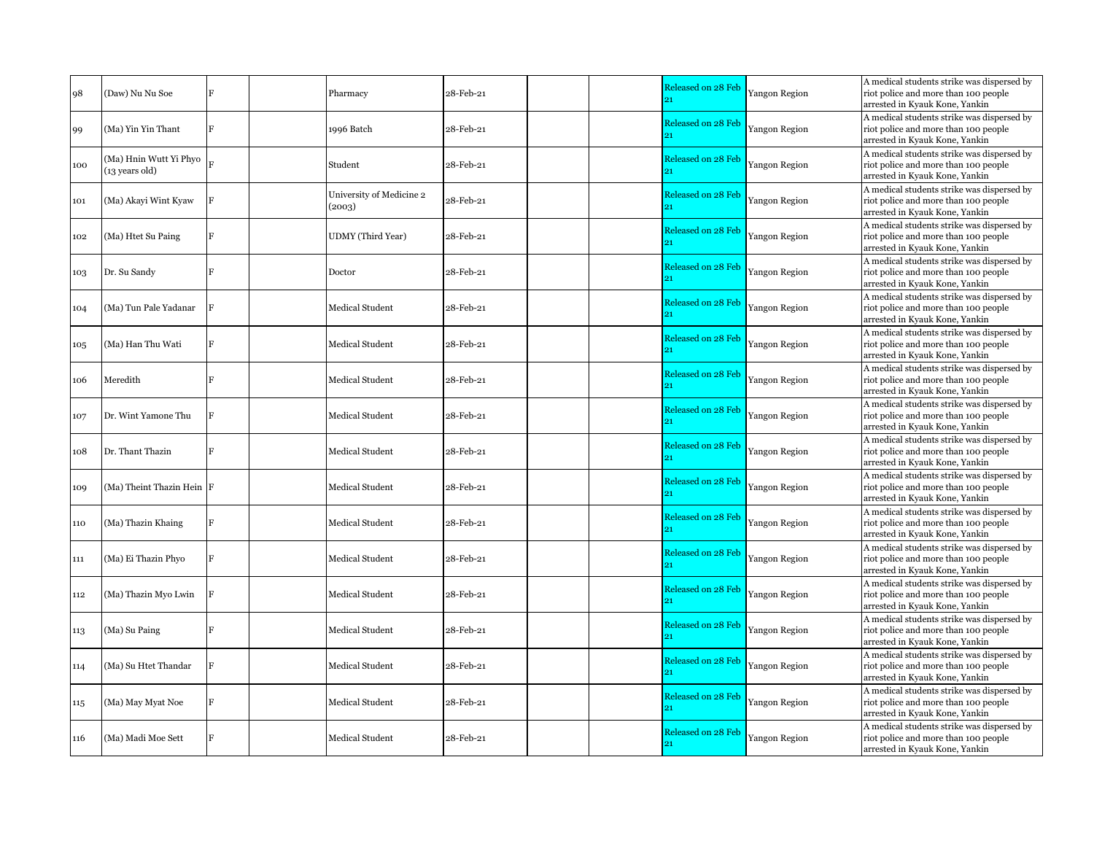| 98  | (Daw) Nu Nu Soe                          |  | Pharmacy                           | 28-Feb-21 | Released on 28 Feb<br>91      | Yangon Region        | A medical students strike was dispersed by<br>riot police and more than 100 people<br>arrested in Kyauk Kone, Yankin |
|-----|------------------------------------------|--|------------------------------------|-----------|-------------------------------|----------------------|----------------------------------------------------------------------------------------------------------------------|
| 99  | (Ma) Yin Yin Thant                       |  | 1996 Batch                         | 28-Feb-21 | Released on 28 Feb<br>21      | Yangon Region        | A medical students strike was dispersed by<br>riot police and more than 100 people<br>arrested in Kyauk Kone, Yankin |
| 100 | (Ma) Hnin Wutt Yi Phyo<br>(13 years old) |  | Student                            | 28-Feb-21 | Released on 28 Feb<br>ò.      | Yangon Region        | A medical students strike was dispersed by<br>riot police and more than 100 people<br>arrested in Kyauk Kone, Yankin |
| 101 | (Ma) Akayi Wint Kyaw                     |  | University of Medicine 2<br>(2003) | 28-Feb-21 | Released on 28 Feb            | Yangon Region        | A medical students strike was dispersed by<br>riot police and more than 100 people<br>arrested in Kyauk Kone, Yankin |
| 102 | (Ma) Htet Su Paing                       |  | <b>UDMY</b> (Third Year)           | 28-Feb-21 | Released on 28 Feb            | <b>Yangon Region</b> | A medical students strike was dispersed by<br>riot police and more than 100 people<br>arrested in Kyauk Kone, Yankin |
| 103 | Dr. Su Sandy                             |  | Doctor                             | 28-Feb-21 | Released on 28 Feb<br>91      | Yangon Region        | A medical students strike was dispersed by<br>riot police and more than 100 people<br>arrested in Kyauk Kone, Yankin |
| 104 | (Ma) Tun Pale Yadanar                    |  | Medical Student                    | 28-Feb-21 | Released on 28 Feb<br>21      | Yangon Region        | A medical students strike was dispersed by<br>riot police and more than 100 people<br>arrested in Kyauk Kone, Yankin |
| 105 | (Ma) Han Thu Wati                        |  | Medical Student                    | 28-Feb-21 | Released on 28 Feb<br>21      | Yangon Region        | A medical students strike was dispersed by<br>riot police and more than 100 people<br>arrested in Kyauk Kone, Yankin |
| 106 | Meredith                                 |  | <b>Medical Student</b>             | 28-Feb-21 | Released on 28 Feb<br>21      | Yangon Region        | A medical students strike was dispersed by<br>riot police and more than 100 people<br>arrested in Kyauk Kone, Yankin |
| 107 | Dr. Wint Yamone Thu                      |  | <b>Medical Student</b>             | 28-Feb-21 | Released on 28 Feb<br>21      | Yangon Region        | A medical students strike was dispersed by<br>riot police and more than 100 people<br>arrested in Kyauk Kone, Yankin |
| 108 | Dr. Thant Thazin                         |  | Medical Student                    | 28-Feb-21 | Released on 28 Feb<br>21      | Yangon Region        | A medical students strike was dispersed by<br>riot police and more than 100 people<br>arrested in Kyauk Kone, Yankin |
| 109 | (Ma) Theint Thazin Hein F                |  | Medical Student                    | 28-Feb-21 | Released on 28 Feb<br>$_{21}$ | Yangon Region        | A medical students strike was dispersed by<br>riot police and more than 100 people<br>arrested in Kyauk Kone, Yankin |
| 110 | (Ma) Thazin Khaing                       |  | <b>Medical Student</b>             | 28-Feb-21 | Released on 28 Feb<br>21      | Yangon Region        | A medical students strike was dispersed by<br>riot police and more than 100 people<br>arrested in Kyauk Kone, Yankin |
| 111 | (Ma) Ei Thazin Phyo                      |  | Medical Student                    | 28-Feb-21 | Released on 28 Feb<br>21      | <b>Yangon Region</b> | A medical students strike was dispersed by<br>riot police and more than 100 people<br>arrested in Kyauk Kone, Yankin |
| 112 | (Ma) Thazin Myo Lwin                     |  | <b>Medical Student</b>             | 28-Feb-21 | Released on 28 Feb<br>91      | <b>Yangon Region</b> | A medical students strike was dispersed by<br>riot police and more than 100 people<br>arrested in Kyauk Kone, Yankin |
| 113 | (Ma) Su Paing                            |  | Medical Student                    | 28-Feb-21 | Released on 28 Feb<br>91      | Yangon Region        | A medical students strike was dispersed by<br>riot police and more than 100 people<br>arrested in Kyauk Kone, Yankin |
| 114 | (Ma) Su Htet Thandar                     |  | Medical Student                    | 28-Feb-21 | Released on 28 Feb            | Yangon Region        | A medical students strike was dispersed by<br>riot police and more than 100 people<br>arrested in Kyauk Kone, Yankin |
| 115 | (Ma) May Myat Noe                        |  | <b>Medical Student</b>             | 28-Feb-21 | Released on 28 Feb<br>ò.      | Yangon Region        | A medical students strike was dispersed by<br>riot police and more than 100 people<br>arrested in Kyauk Kone, Yankin |
| 116 | (Ma) Madi Moe Sett                       |  | <b>Medical Student</b>             | 28-Feb-21 | Released on 28 Feb            | <b>Yangon Region</b> | A medical students strike was dispersed by<br>riot police and more than 100 people<br>arrested in Kyauk Kone, Yankin |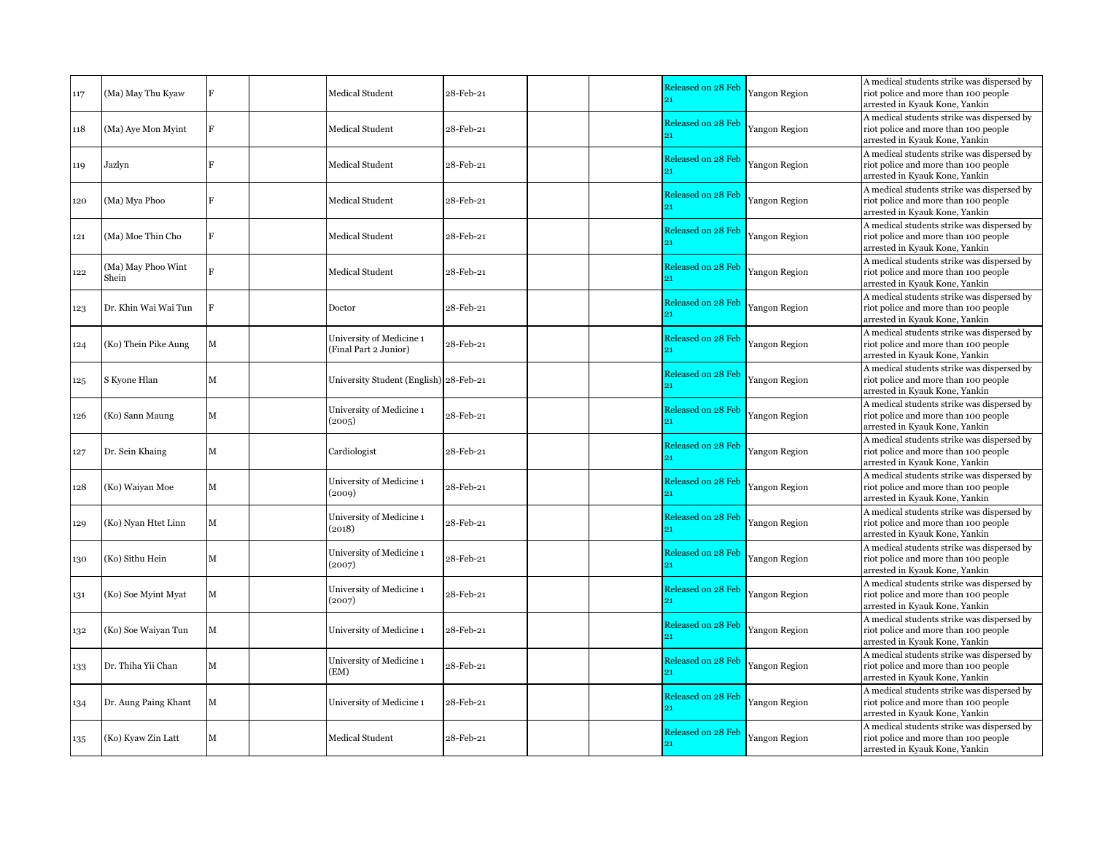| 117 | (Ma) May Thu Kyaw           |             | Medical Student                                   | 28-Feb-21 | Released on 28 Feb            | Yangon Region        | A medical students strike was dispersed by<br>riot police and more than 100 people<br>arrested in Kyauk Kone, Yankin |
|-----|-----------------------------|-------------|---------------------------------------------------|-----------|-------------------------------|----------------------|----------------------------------------------------------------------------------------------------------------------|
| 118 | (Ma) Aye Mon Myint          | E           | Medical Student                                   | 28-Feb-21 | Released on 28 Feb            | Yangon Region        | A medical students strike was dispersed by<br>riot police and more than 100 people<br>arrested in Kyauk Kone, Yankin |
| 119 | Jazlyn                      |             | Medical Student                                   | 28-Feb-21 | Released on 28 Feb            | Yangon Region        | A medical students strike was dispersed by<br>riot police and more than 100 people<br>arrested in Kyauk Kone, Yankin |
| 120 | (Ma) Mya Phoo               |             | Medical Student                                   | 28-Feb-21 | Released on 28 Feb            | Yangon Region        | A medical students strike was dispersed by<br>riot police and more than 100 people<br>arrested in Kyauk Kone, Yankin |
| 121 | (Ma) Moe Thin Cho           |             | <b>Medical Student</b>                            | 28-Feb-21 | Released on 28 Feb            | <b>Yangon Region</b> | A medical students strike was dispersed by<br>riot police and more than 100 people<br>arrested in Kyauk Kone, Yankin |
| 122 | (Ma) May Phoo Wint<br>Shein |             | <b>Medical Student</b>                            | 28-Feb-21 | Released on 28 Feb            | Yangon Region        | A medical students strike was dispersed by<br>riot police and more than 100 people<br>arrested in Kyauk Kone, Yankin |
| 123 | Dr. Khin Wai Wai Tun        |             | Doctor                                            | 28-Feb-21 | Released on 28 Feb<br>$_{21}$ | Yangon Region        | A medical students strike was dispersed by<br>riot police and more than 100 people<br>arrested in Kyauk Kone, Yankin |
| 124 | (Ko) Thein Pike Aung        | $\mathbf M$ | University of Medicine 1<br>(Final Part 2 Junior) | 28-Feb-21 | Released on 28 Feb<br>21      | Yangon Region        | A medical students strike was dispersed by<br>riot police and more than 100 people<br>arrested in Kyauk Kone, Yankin |
| 125 | S Kyone Hlan                | M           | University Student (English) 28-Feb-21            |           | Released on 28 Feb<br>21      | Yangon Region        | A medical students strike was dispersed by<br>riot police and more than 100 people<br>arrested in Kyauk Kone, Yankin |
| 126 | (Ko) Sann Maung             | м           | University of Medicine 1<br>(2005)                | 28-Feb-21 | Released on 28 Feb<br>21      | Yangon Region        | A medical students strike was dispersed by<br>riot police and more than 100 people<br>arrested in Kyauk Kone, Yankin |
| 127 | Dr. Sein Khaing             | м           | Cardiologist                                      | 28-Feb-21 | Released on 28 Feb<br>21      | Yangon Region        | A medical students strike was dispersed by<br>riot police and more than 100 people<br>arrested in Kyauk Kone, Yankin |
| 128 | (Ko) Waiyan Moe             | М           | University of Medicine 1<br>(2009)                | 28-Feb-21 | Released on 28 Feb<br>91      | Yangon Region        | A medical students strike was dispersed by<br>riot police and more than 100 people<br>arrested in Kyauk Kone, Yankin |
| 129 | (Ko) Nyan Htet Linn         | M           | University of Medicine 1<br>(2018)                | 28-Feb-21 | Released on 28 Feb            | Yangon Region        | A medical students strike was dispersed by<br>riot police and more than 100 people<br>arrested in Kyauk Kone, Yankin |
| 130 | (Ko) Sithu Hein             | М           | University of Medicine 1<br>(2007)                | 28-Feb-21 | Released on 28 Feb<br>21      | <b>Yangon Region</b> | A medical students strike was dispersed by<br>riot police and more than 100 people<br>arrested in Kyauk Kone, Yankin |
| 131 | (Ko) Soe Myint Myat         | M           | University of Medicine 1<br>(2007)                | 28-Feb-21 | Released on 28 Feb<br>91      | <b>Yangon Region</b> | A medical students strike was dispersed by<br>riot police and more than 100 people<br>arrested in Kyauk Kone, Yankin |
| 132 | (Ko) Soe Waiyan Tun         | M           | University of Medicine 1                          | 28-Feb-21 | Released on 28 Feb            | Yangon Region        | A medical students strike was dispersed by<br>riot police and more than 100 people<br>arrested in Kyauk Kone, Yankin |
| 133 | Dr. Thiha Yii Chan          | м           | University of Medicine 1<br>(EM)                  | 28-Feb-21 | Released on 28 Feb            | Yangon Region        | A medical students strike was dispersed by<br>riot police and more than 100 people<br>arrested in Kyauk Kone, Yankin |
| 134 | Dr. Aung Paing Khant        | M           | University of Medicine 1                          | 28-Feb-21 | Released on 28 Feb            | Yangon Region        | A medical students strike was dispersed by<br>riot police and more than 100 people<br>arrested in Kyauk Kone, Yankin |
| 135 | (Ko) Kyaw Zin Latt          | м           | <b>Medical Student</b>                            | 28-Feb-21 | Released on 28 Feb            | <b>Yangon Region</b> | A medical students strike was dispersed by<br>riot police and more than 100 people<br>arrested in Kyauk Kone, Yankin |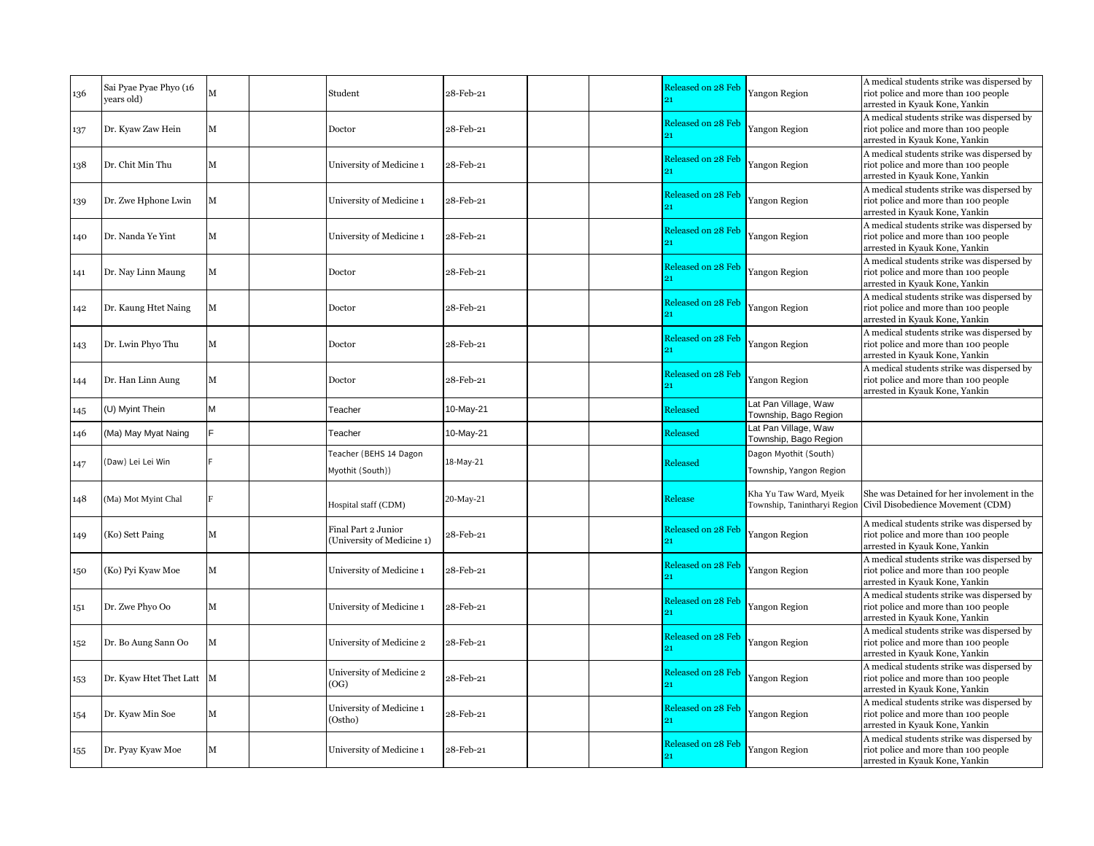| 136 | Sai Pyae Pyae Phyo (16<br>vears old) | M | Student                                           | 28-Feb-21                                            | Released on 28 Feb<br>91 | Yangon Region                                    | A medical students strike was dispersed by<br>riot police and more than 100 people<br>arrested in Kyauk Kone, Yankin |
|-----|--------------------------------------|---|---------------------------------------------------|------------------------------------------------------|--------------------------|--------------------------------------------------|----------------------------------------------------------------------------------------------------------------------|
| 137 | Dr. Kyaw Zaw Hein                    | м | Doctor                                            | 28-Feb-21                                            | Released on 28 Feb       | Yangon Region                                    | A medical students strike was dispersed by<br>riot police and more than 100 people<br>arrested in Kyauk Kone, Yankin |
| 138 | Dr. Chit Min Thu                     | М | University of Medicine 1                          | 28-Feb-21                                            | Released on 28 Feb       | Yangon Region                                    | A medical students strike was dispersed by<br>riot police and more than 100 people<br>arrested in Kyauk Kone, Yankin |
| 139 | Dr. Zwe Hphone Lwin                  | M | University of Medicine 1                          | 28-Feb-21                                            | Released on 28 Feb<br>21 | Yangon Region                                    | A medical students strike was dispersed by<br>riot police and more than 100 people<br>arrested in Kyauk Kone, Yankin |
| 140 | Dr. Nanda Ye Yint                    | М | University of Medicine 1                          | 28-Feb-21                                            | Released on 28 Feb<br>21 | Yangon Region                                    | A medical students strike was dispersed by<br>riot police and more than 100 people<br>arrested in Kyauk Kone, Yankin |
| 141 | Dr. Nay Linn Maung                   | м | Doctor                                            | 28-Feb-21                                            | Released on 28 Feb<br>21 | Yangon Region                                    | A medical students strike was dispersed by<br>riot police and more than 100 people<br>arrested in Kyauk Kone, Yankin |
| 142 | Dr. Kaung Htet Naing                 | M | Doctor                                            | 28-Feb-21                                            | Released on 28 Feb       | Yangon Region                                    | A medical students strike was dispersed by<br>riot police and more than 100 people<br>arrested in Kyauk Kone, Yankin |
| 143 | Dr. Lwin Phyo Thu                    | М | Doctor                                            | 28-Feb-21                                            | Released on 28 Feb<br>91 | Yangon Region                                    | A medical students strike was dispersed by<br>riot police and more than 100 people<br>arrested in Kyauk Kone, Yankin |
| 144 | Dr. Han Linn Aung                    | м | Doctor                                            | 28-Feb-21                                            | Released on 28 Feb       | Yangon Region                                    | A medical students strike was dispersed by<br>riot police and more than 100 people<br>arrested in Kyauk Kone, Yankin |
| 145 | U) Myint Thein                       | M | Teacher                                           | 10-May-21                                            | Released                 | Lat Pan Village, Waw<br>Township, Bago Region    |                                                                                                                      |
| 146 | (Ma) May Myat Naing                  |   | Teacher                                           | 10-May-21                                            | Released                 | Lat Pan Village, Waw<br>Township, Bago Region    |                                                                                                                      |
| 147 | Daw) Lei Lei Win                     |   | Teacher (BEHS 14 Dagon<br>Myothit (South))        | 18-May-21                                            | Released                 | Dagon Myothit (South)<br>Township, Yangon Region |                                                                                                                      |
| 148 | (Ma) Mot Myint Chal                  |   | Hospital staff (CDM)                              | 20-May-21                                            | Release                  | Kha Yu Taw Ward, Myeik                           | She was Detained for her involement in the<br>Township, Tanintharyi Region Civil Disobedience Movement (CDM)         |
| 149 | (Ko) Sett Paing                      | м | Final Part 2 Junior<br>(University of Medicine 1) | 28-Feb-21                                            | Released on 28 Feb       | Yangon Region                                    | A medical students strike was dispersed by<br>riot police and more than 100 people<br>arrested in Kyauk Kone, Yankin |
| 150 | (Ko) Pyi Kyaw Moe                    | М | University of Medicine 1                          | 28-Feb-21                                            | Released on 28 Feb<br>21 | Yangon Region                                    | A medical students strike was dispersed by<br>riot police and more than 100 people<br>arrested in Kyauk Kone, Yankin |
| 151 | Dr. Zwe Phyo Oo                      | М | University of Medicine 1                          | ${\small 28}\text{-}\mathrm{Feb}\text{-}\mathrm{21}$ | Released on 28 Feb<br>21 | Yangon Region                                    | A medical students strike was dispersed by<br>riot police and more than 100 people<br>arrested in Kyauk Kone, Yankin |
| 152 | Dr. Bo Aung Sann Oo                  | М | University of Medicine 2                          | 28-Feb-21                                            | Released on 28 Feb<br>21 | Yangon Region                                    | A medical students strike was dispersed by<br>riot police and more than 100 people<br>arrested in Kyauk Kone, Yankin |
| 153 | Dr. Kyaw Htet Thet Latt M            |   | University of Medicine 2<br>(OG)                  | 28-Feb-21                                            | Released on 28 Feb       | Yangon Region                                    | A medical students strike was dispersed by<br>riot police and more than 100 people<br>arrested in Kyauk Kone, Yankin |
| 154 | Dr. Kyaw Min Soe                     | м | University of Medicine 1<br>(Ostho)               | 28-Feb-21                                            | Released on 28 Feb<br>91 | Yangon Region                                    | A medical students strike was dispersed by<br>riot police and more than 100 people<br>arrested in Kyauk Kone, Yankin |
| 155 | Dr. Pyay Kyaw Moe                    | М | University of Medicine 1                          | 28-Feb-21                                            | Released on 28 Feb       | Yangon Region                                    | A medical students strike was dispersed by<br>riot police and more than 100 people<br>arrested in Kyauk Kone, Yankin |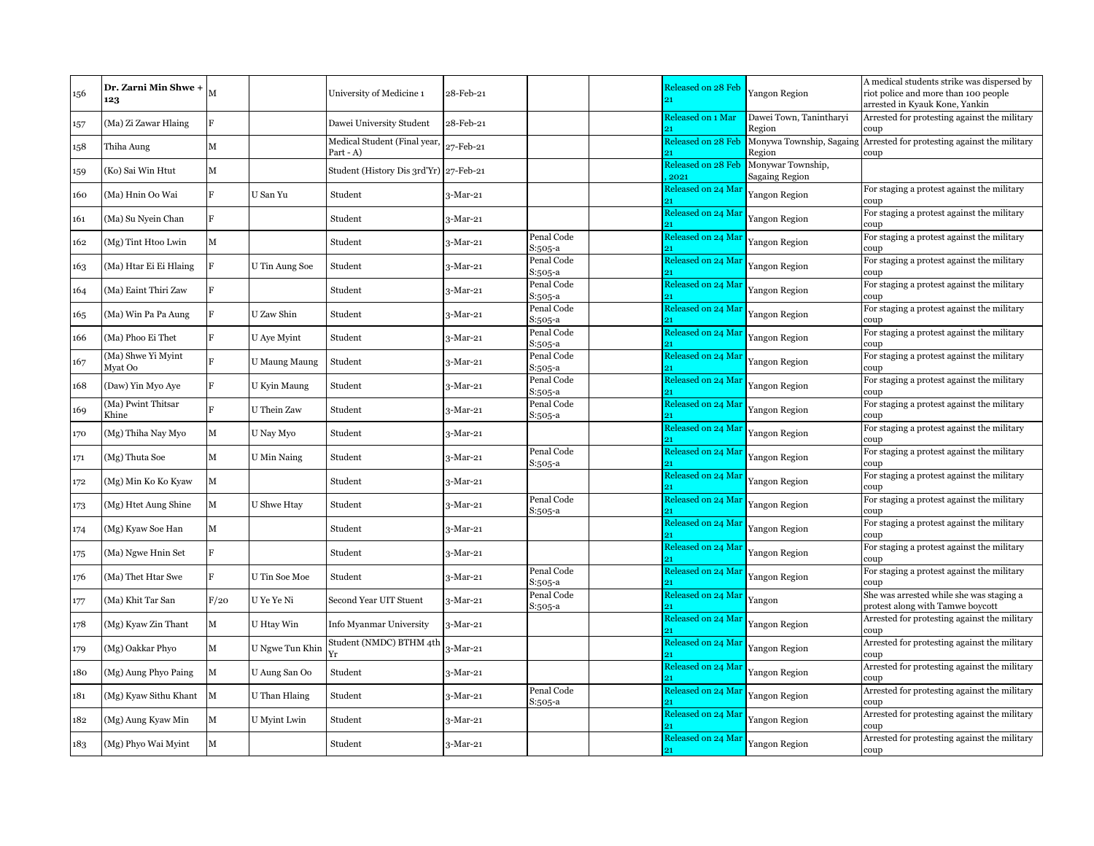| 156 | Dr. Zarni Min Shwe +<br>123   | M            |                      | University of Medicine 1                   | 28-Feb-21  |                       | Released on 28 Feb<br>91   | Yangon Region                              | A medical students strike was dispersed by<br>riot police and more than 100 people<br>arrested in Kyauk Kone, Yankin |
|-----|-------------------------------|--------------|----------------------|--------------------------------------------|------------|-----------------------|----------------------------|--------------------------------------------|----------------------------------------------------------------------------------------------------------------------|
| 157 | (Ma) Zi Zawar Hlaing          | F            |                      | Dawei University Student                   | 28-Feb-21  |                       | Released on 1 Mar          | Dawei Town, Tanintharyi<br>Region          | Arrested for protesting against the military<br>coup                                                                 |
| 158 | Thiha Aung                    | М            |                      | Medical Student (Final year<br>$Part - A)$ | 27-Feb-21  |                       | Released on 28 Feb         | Region                                     | Monywa Township, Sagaing Arrested for protesting against the military<br>coup                                        |
| 159 | (Ko) Sai Win Htut             | М            |                      | Student (History Dis 3rd'Yr) 27-Feb-21     |            |                       | Released on 28 Feb<br>2021 | Monywar Township,<br><b>Sagaing Region</b> |                                                                                                                      |
| 160 | (Ma) Hnin Oo Wai              | R            | U San Yu             | Student                                    | 3-Mar-21   |                       | Released on 24 Mar         | Yangon Region                              | For staging a protest against the military                                                                           |
| 161 | (Ma) Su Nyein Chan            | R            |                      | Student                                    | 3-Mar-21   |                       | Released on 24 Mar         | Yangon Region                              | For staging a protest against the military<br>coup                                                                   |
| 162 | (Mg) Tint Htoo Lwin           | М            |                      | Student                                    | 3-Mar-21   | Penal Code<br>S:505-a | Released on 24 Mar         | Yangon Region                              | For staging a protest against the military<br>coup                                                                   |
| 163 | (Ma) Htar Ei Ei Hlaing        | F            | U Tin Aung Soe       | Student                                    | 3-Mar-21   | Penal Code<br>S:505-a | Released on 24 Mar         | Yangon Region                              | For staging a protest against the military<br>coup                                                                   |
| 164 | (Ma) Eaint Thiri Zaw          | F            |                      | Student                                    | $3-Mar-21$ | Penal Code<br>S:505-a | Released on 24 Mar         | Yangon Region                              | For staging a protest against the military<br>coup                                                                   |
| 165 | (Ma) Win Pa Pa Aung           | F            | U Zaw Shin           | Student                                    | 3-Mar-21   | Penal Code<br>S:505-a | Released on 24 Mar         | Yangon Region                              | For staging a protest against the military<br>coup                                                                   |
| 166 | (Ma) Phoo Ei Thet             |              | U Aye Myint          | Student                                    | 3-Mar-21   | Penal Code<br>S:505-a | Released on 24 Mar         | Yangon Region                              | For staging a protest against the military<br>coup                                                                   |
| 167 | (Ma) Shwe Yi Myint<br>Myat Oo | R            | <b>U Maung Maung</b> | Student                                    | 3-Mar-21   | Penal Code<br>S:505-a | Released on 24 Mar<br>91   | Yangon Region                              | For staging a protest against the military<br>coup                                                                   |
| 168 | (Daw) Yin Myo Aye             |              | U Kyin Maung         | Student                                    | 3-Mar-21   | Penal Code<br>S:505-a | Released on 24 Mar         | Yangon Region                              | For staging a protest against the military<br>coup                                                                   |
| 169 | (Ma) Pwint Thitsar<br>Khine   | Ħ.           | U Thein Zaw          | Student                                    | 3-Mar-21   | Penal Code<br>S:505-a | Released on 24 Mar         | Yangon Region                              | For staging a protest against the military<br>coup                                                                   |
| 170 | (Mg) Thiha Nay Myo            | М            | U Nay Myo            | Student                                    | 3-Mar-21   |                       | Released on 24 Mar         | Yangon Region                              | For staging a protest against the military<br>coup                                                                   |
| 171 | (Mg) Thuta Soe                | $\mathbf{M}$ | U Min Naing          | Student                                    | 3-Mar-21   | Penal Code<br>S:505-a | Released on 24 Mar<br>91   | Yangon Region                              | For staging a protest against the military<br>coup                                                                   |
| 172 | (Mg) Min Ko Ko Kyaw           | M            |                      | Student                                    | $3-Mar-21$ |                       | Released on 24 Mar         | Yangon Region                              | For staging a protest against the military<br>coup                                                                   |
| 173 | (Mg) Htet Aung Shine          | $\mathbf{M}$ | U Shwe Htay          | Student                                    | 3-Mar-21   | Penal Code<br>S:505-a | Released on 24 Mar         | Yangon Region                              | For staging a protest against the military<br>coup                                                                   |
| 174 | (Mg) Kyaw Soe Han             | М            |                      | Student                                    | 3-Mar-21   |                       | Released on 24 Mar         | Yangon Region                              | For staging a protest against the military<br>coup                                                                   |
| 175 | (Ma) Ngwe Hnin Set            | R            |                      | Student                                    | 3-Mar-21   |                       | Released on 24 Mar         | Yangon Region                              | For staging a protest against the military<br>coup                                                                   |
| 176 | (Ma) Thet Htar Swe            |              | U Tin Soe Moe        | Student                                    | 3-Mar-21   | Penal Code<br>S:505-a | Released on 24 Mar         | Yangon Region                              | For staging a protest against the military<br>coup                                                                   |
| 177 | (Ma) Khit Tar San             | F/20         | U Ye Ye Ni           | Second Year UIT Stuent                     | 3-Mar-21   | Penal Code<br>S:505-a | Released on 24 Mar         | Yangon                                     | She was arrested while she was staging a<br>protest along with Tamwe boycott                                         |
| 178 | (Mg) Kyaw Zin Thant           | M            | U Htay Win           | Info Myanmar University                    | $3-Mar-21$ |                       | Released on 24 Mar         | Yangon Region                              | Arrested for protesting against the military<br>coup                                                                 |
| 179 | (Mg) Oakkar Phyo              | М            | U Ngwe Tun Khin      | Student (NMDC) BTHM 4th<br>Yr              | 3-Mar-21   |                       | Released on 24 Mar         | Yangon Region                              | Arrested for protesting against the military<br>coup                                                                 |
| 180 | (Mg) Aung Phyo Paing          | М            | U Aung San Oo        | Student                                    | $3-Mar-21$ |                       | Released on 24 Mar         | Yangon Region                              | Arrested for protesting against the military<br>coup                                                                 |
| 181 | (Mg) Kyaw Sithu Khant         | $\mathbf M$  | U Than Hlaing        | Student                                    | 3-Mar-21   | Penal Code<br>S:505-a | Released on 24 Mar         | Yangon Region                              | Arrested for protesting against the military<br>coup                                                                 |
| 182 | (Mg) Aung Kyaw Min            | М            | U Myint Lwin         | Student                                    | 3-Mar-21   |                       | Released on 24 Mar         | Yangon Region                              | Arrested for protesting against the military<br>coup                                                                 |
| 183 | (Mg) Phyo Wai Myint           | $\mathbf{M}$ |                      | Student                                    | $3-Mar-21$ |                       | Released on 24 Mar<br>21   | Yangon Region                              | Arrested for protesting against the military<br>coup                                                                 |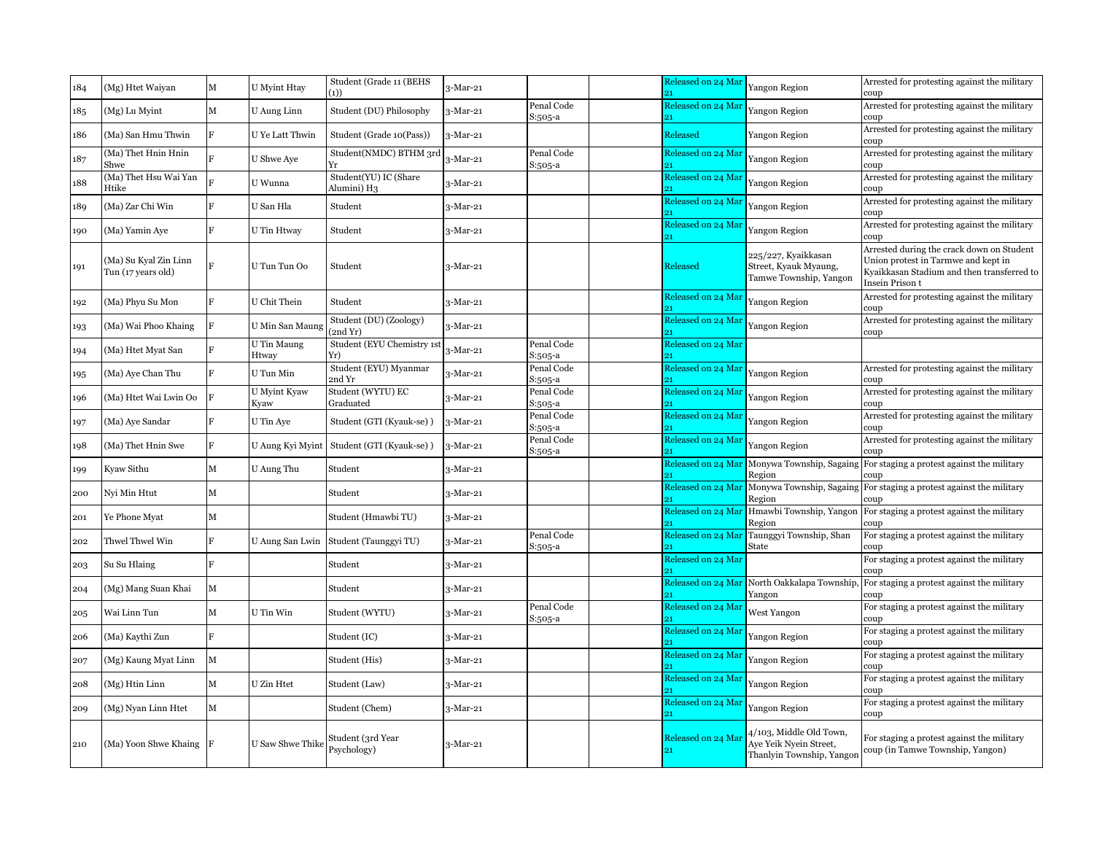| 184 | (Mg) Htet Waiyan                            | м | <b>U</b> Myint Htav  | Student (Grade 11 (BEHS<br>(1))             | 3-Mar-21   |                       | Released on 24 Mar | Yangon Region                                                                  | Arrested for protesting against the military<br>coup                                                                                              |
|-----|---------------------------------------------|---|----------------------|---------------------------------------------|------------|-----------------------|--------------------|--------------------------------------------------------------------------------|---------------------------------------------------------------------------------------------------------------------------------------------------|
| 185 | (Mg) Lu Myint                               | М | U Aung Linn          | Student (DU) Philosophy                     | $3-Mar-21$ | Penal Code<br>S:505-a | Released on 24 Mar | Yangon Region                                                                  | Arrested for protesting against the military<br>coup                                                                                              |
| 186 | (Ma) San Hmu Thwin                          | F | U Ye Latt Thwin      | Student (Grade 10(Pass))                    | 3-Mar-21   |                       | Released           | Yangon Region                                                                  | Arrested for protesting against the military<br>coup                                                                                              |
| 187 | (Ma) Thet Hnin Hnin<br>Shwe                 |   | U Shwe Aye           | Student(NMDC) BTHM 3rd<br>Yr                | 3-Mar-21   | Penal Code<br>S:505-a | Released on 24 Mar | Yangon Region                                                                  | Arrested for protesting against the military<br>coup                                                                                              |
| 188 | (Ma) Thet Hsu Wai Yan<br>Htike              |   | U Wunna              | Student(YU) IC (Share<br>Alumini) H3        | 3-Mar-21   |                       | Released on 24 Mar | Yangon Region                                                                  | Arrested for protesting against the military<br>coup                                                                                              |
| 189 | (Ma) Zar Chi Win                            |   | U San Hla            | Student                                     | 3-Mar-21   |                       | Released on 24 Mar | Yangon Region                                                                  | Arrested for protesting against the military<br>coup                                                                                              |
| 190 | (Ma) Yamin Ave                              | F | U Tin Htway          | Student                                     | 3-Mar-21   |                       | Released on 24 Mar | Yangon Region                                                                  | Arrested for protesting against the military<br>coup                                                                                              |
| 191 | (Ma) Su Kyal Zin Linn<br>Tun (17 years old) |   | U Tun Tun Oo         | Student                                     | $3-Mar-21$ |                       | Released           | 225/227, Kyaikkasan<br>Street, Kyauk Myaung,<br>Tamwe Township, Yangon         | Arrested during the crack down on Student<br>Union protest in Tarmwe and kept in<br>Kyaikkasan Stadium and then transferred to<br>Insein Prison t |
| 192 | (Ma) Phyu Su Mon                            | F | U Chit Thein         | Student                                     | $3-Mar-21$ |                       | Released on 24 Mar | Yangon Region                                                                  | Arrested for protesting against the military<br>coup                                                                                              |
| 193 | (Ma) Wai Phoo Khaing                        |   | U Min San Maung      | Student (DU) (Zoology)<br>(2nd Yr)          | 3-Mar-21   |                       | Released on 24 Mar | Yangon Region                                                                  | Arrested for protesting against the military<br>coup                                                                                              |
| 194 | (Ma) Htet Myat San                          |   | U Tin Maung<br>Htway | Student (EYU Chemistry 1s<br>Yr)            | 3-Mar-21   | Penal Code<br>3:505-a | Released on 24 Mar |                                                                                |                                                                                                                                                   |
| 195 | (Ma) Aye Chan Thu                           |   | U Tun Min            | Student (EYU) Myanmar<br>2nd Yr             | 3-Mar-21   | Penal Code<br>3:505-a | Released on 24 Mar | Yangon Region                                                                  | Arrested for protesting against the military<br>coup                                                                                              |
| 196 | (Ma) Htet Wai Lwin Oo                       | F | U Myint Kyaw<br>Kyaw | Student (WYTU) EC<br>Graduated              | $3-Mar-21$ | Penal Code<br>S:505-a | Released on 24 Mar | Yangon Region                                                                  | Arrested for protesting against the military<br>coup                                                                                              |
| 197 | (Ma) Aye Sandar                             | F | U Tin Aye            | Student (GTI (Kyauk-se))                    | 3-Mar-21   | Penal Code<br>S:505-a | Released on 24 Mar | Yangon Region                                                                  | Arrested for protesting against the military<br>coup                                                                                              |
| 198 | (Ma) Thet Hnin Swe                          | F |                      | U Aung Kyi Myint   Student (GTI (Kyauk-se)) | $3-Mar-21$ | Penal Code<br>S:505-a | Released on 24 Mar | Yangon Region                                                                  | Arrested for protesting against the military<br>coup                                                                                              |
| 199 | Kyaw Sithu                                  | М | U Aung Thu           | Student                                     | 3-Mar-21   |                       | Released on 24 Mar | Region                                                                         | Monywa Township, Sagaing For staging a protest against the military<br>coup                                                                       |
| 200 | Nyi Min Htut                                | M |                      | Student                                     | 3-Mar-21   |                       | Released on 24 Mar | Region                                                                         | Monywa Township, Sagaing For staging a protest against the military<br>coup:                                                                      |
| 201 | Ye Phone Myat                               | M |                      | Student (Hmawbi TU)                         | $3-Mar-21$ |                       | Released on 24 Mar | Hmawbi Township, Yangon<br>Region                                              | For staging a protest against the military<br>coup                                                                                                |
| 202 | Thwel Thwel Win                             | F | U Aung San Lwin      | Student (Taunggyi TU)                       | 3-Mar-21   | Penal Code<br>S:505-a | Released on 24 Mar | Taunggyi Township, Shan<br>State                                               | For staging a protest against the military<br>coup                                                                                                |
| 203 | Su Su Hlaing                                | F |                      | Student                                     | 3-Mar-21   |                       | Released on 24 Mar |                                                                                | For staging a protest against the military<br>coup                                                                                                |
| 204 | (Mg) Mang Suan Khai                         | М |                      | Student                                     | 3-Mar-21   |                       | Released on 24 Mar | North Oakkalapa Township<br>Yangon                                             | For staging a protest against the military<br>coup                                                                                                |
| 205 | Wai Linn Tun                                | М | U Tin Win            | Student (WYTU)                              | 3-Mar-21   | Penal Code<br>S:505-a | Released on 24 Mar | West Yangon                                                                    | For staging a protest against the military<br>coup                                                                                                |
| 206 | (Ma) Kaythi Zun                             | F |                      | Student (IC)                                | $3-Mar-21$ |                       | Released on 24 Mar | Yangon Region                                                                  | For staging a protest against the military<br>coup                                                                                                |
| 207 | (Mg) Kaung Myat Linn                        | М |                      | Student (His)                               | $3-Mar-21$ |                       | Released on 24 Mar | Yangon Region                                                                  | For staging a protest against the military<br>coup                                                                                                |
| 208 | (Mg) Htin Linn                              | М | U Zin Htet           | Student (Law)                               | $3-Mar-21$ |                       | Released on 24 Mar | Yangon Region                                                                  | For staging a protest against the military<br>coup                                                                                                |
| 209 | (Mg) Nyan Linn Htet                         | М |                      | Student (Chem)                              | $3-Mar-21$ |                       | Released on 24 Mar | Yangon Region                                                                  | For staging a protest against the military<br>coup                                                                                                |
| 210 | (Ma) Yoon Shwe Khaing                       |   | U Saw Shwe Thike     | Student (3rd Year<br>Psychology)            | $3-Mar-21$ |                       | Released on 24 Mai | 4/103, Middle Old Town,<br>Ave Yeik Nvein Street,<br>Thanlyin Township, Yangon | For staging a protest against the military<br>coup (in Tamwe Township, Yangon)                                                                    |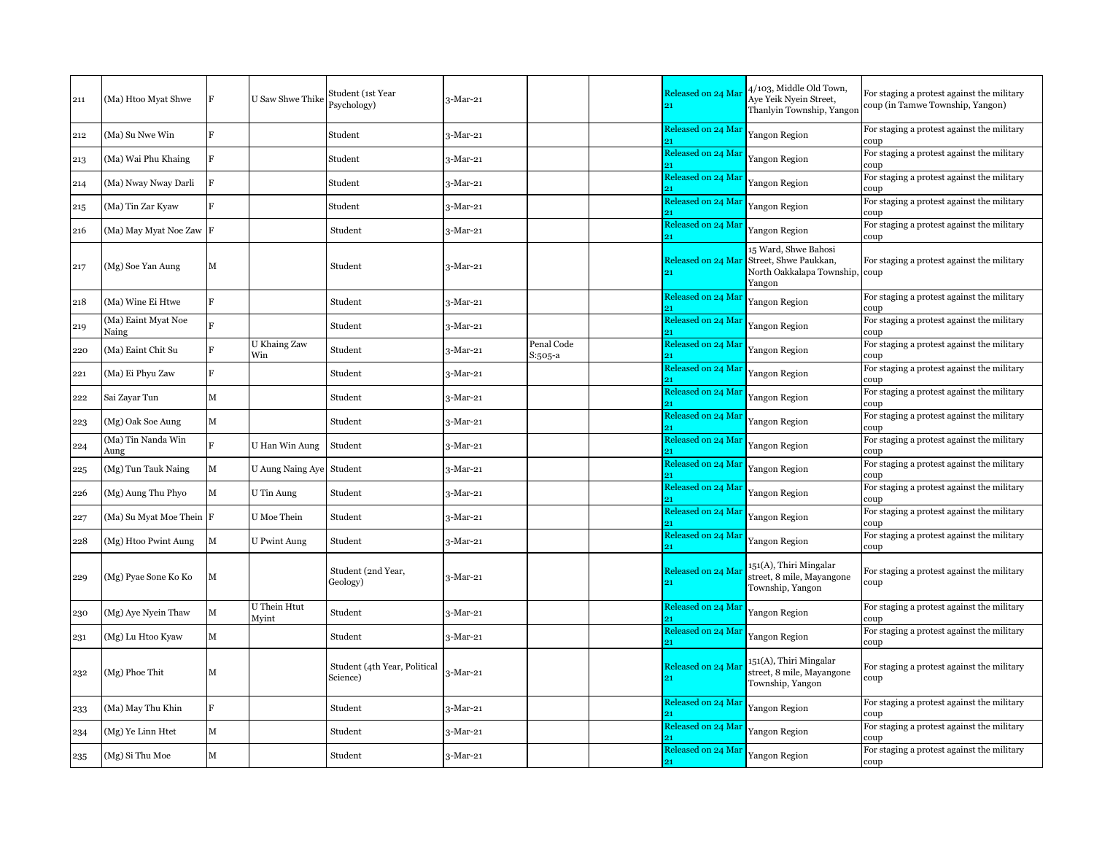| 211 | (Ma) Htoo Myat Shwe          | F            | <b>U</b> Saw Shwe Thike | Student (1st Year<br>Psychology)         | 3-Mar-21   |                       | Released on 24 Mar<br>21 | 4/103, Middle Old Town,<br>Aye Yeik Nyein Street,<br>Thanlyin Township, Yangor            | For staging a protest against the military<br>coup (in Tamwe Township, Yangon) |
|-----|------------------------------|--------------|-------------------------|------------------------------------------|------------|-----------------------|--------------------------|-------------------------------------------------------------------------------------------|--------------------------------------------------------------------------------|
| 212 | (Ma) Su Nwe Win              | F            |                         | Student                                  | 3-Mar-21   |                       | Released on 24 Mar       | Yangon Region                                                                             | For staging a protest against the military<br>coup                             |
| 213 | (Ma) Wai Phu Khaing          | F            |                         | Student                                  | 3-Mar-21   |                       | Released on 24 Mar       | Yangon Region                                                                             | For staging a protest against the military<br>coup                             |
| 214 | (Ma) Nway Nway Darli         | F            |                         | Student                                  | 3-Mar-21   |                       | Released on 24 Mar<br>91 | Yangon Region                                                                             | For staging a protest against the military<br>coup                             |
| 215 | (Ma) Tin Zar Kyaw            |              |                         | Student                                  | 3-Mar-21   |                       | Released on 24 Mar       | Yangon Region                                                                             | For staging a protest against the military<br>coup                             |
| 216 | (Ma) May Myat Noe Zaw        | F            |                         | Student                                  | $3-Mar-21$ |                       | Released on 24 Mar       | Yangon Region                                                                             | For staging a protest against the military<br>coup                             |
| 217 | (Mg) Soe Yan Aung            | М            |                         | Student                                  | 3-Mar-21   |                       | Released on 24 Mar<br>21 | 15 Ward, Shwe Bahosi<br>Street, Shwe Paukkan,<br>North Oakkalapa Township, coup<br>Yangon | For staging a protest against the military                                     |
| 218 | (Ma) Wine Ei Htwe            | R            |                         | Student                                  | 3-Mar-21   |                       | Released on 24 Mar       | Yangon Region                                                                             | For staging a protest against the military<br>coup                             |
| 219 | (Ma) Eaint Myat Noe<br>Naing |              |                         | Student                                  | 3-Mar-21   |                       | Released on 24 Mar       | Yangon Region                                                                             | For staging a protest against the military<br>coup                             |
| 220 | (Ma) Eaint Chit Su           | R            | U Khaing Zaw<br>Win     | Student                                  | 3-Mar-21   | Penal Code<br>S:505-a | Released on 24 Mar<br>91 | Yangon Region                                                                             | For staging a protest against the military<br>coup                             |
| 221 | (Ma) Ei Phyu Zaw             | F            |                         | Student                                  | 3-Mar-21   |                       | Released on 24 Mar       | Yangon Region                                                                             | For staging a protest against the military<br>coup                             |
| 222 | Sai Zayar Tun                | $\mathbf{M}$ |                         | Student                                  | 3-Mar-21   |                       | Released on 24 Mar       | Yangon Region                                                                             | For staging a protest against the military<br>coup                             |
| 223 | (Mg) Oak Soe Aung            | $\mathbf{M}$ |                         | Student                                  | 3-Mar-21   |                       | Released on 24 Mar       | Yangon Region                                                                             | For staging a protest against the military<br>coup                             |
| 224 | Ma) Tin Nanda Win<br>Aung    | E.           | U Han Win Aung          | Student                                  | 3-Mar-21   |                       | Released on 24 Mar       | Yangon Region                                                                             | For staging a protest against the military<br>coup                             |
| 225 | (Mg) Tun Tauk Naing          | М            | U Aung Naing Aye        | Student                                  | 3-Mar-21   |                       | Released on 24 Mar       | Yangon Region                                                                             | For staging a protest against the military<br>coup                             |
| 226 | (Mg) Aung Thu Phyo           | $\mathbf M$  | U Tin Aung              | Student                                  | 3-Mar-21   |                       | Released on 24 Mar       | Yangon Region                                                                             | For staging a protest against the military<br>coup                             |
| 227 | (Ma) Su Myat Moe Thein F     |              | U Moe Thein             | Student                                  | 3-Mar-21   |                       | Released on 24 Mar       | Yangon Region                                                                             | For staging a protest against the military<br>coup                             |
| 228 | (Mg) Htoo Pwint Aung         | М            | <b>U</b> Pwint Aung     | Student                                  | 3-Mar-21   |                       | Released on 24 Mar       | Yangon Region                                                                             | For staging a protest against the military<br>coup                             |
| 229 | (Mg) Pyae Sone Ko Ko         | М            |                         | Student (2nd Year,<br>Geology)           | 3-Mar-21   |                       | Released on 24 Mai<br>91 | 151(A), Thiri Mingalar<br>street, 8 mile, Mayangone<br>Township, Yangon                   | For staging a protest against the military<br>coup                             |
| 230 | (Mg) Aye Nyein Thaw          | M            | U Thein Htut<br>Myint   | Student                                  | 3-Mar-21   |                       | Released on 24 Mar       | Yangon Region                                                                             | For staging a protest against the military<br>coup                             |
| 231 | (Mg) Lu Htoo Kyaw            | M            |                         | Student                                  | 3-Mar-21   |                       | Released on 24 Mar       | Yangon Region                                                                             | For staging a protest against the military<br>coup                             |
| 232 | (Mg) Phoe Thit               | M            |                         | Student (4th Year, Political<br>Science) | 3-Mar-21   |                       | Released on 24 Mar       | 151(A), Thiri Mingalar<br>street, 8 mile, Mayangone<br>Township, Yangon                   | For staging a protest against the military<br>coup                             |
| 233 | (Ma) May Thu Khin            | F            |                         | Student                                  | 3-Mar-21   |                       | Released on 24 Mar       | Yangon Region                                                                             | For staging a protest against the military<br>coup                             |
| 234 | (Mg) Ye Linn Htet            | $\mathbf M$  |                         | Student                                  | 3-Mar-21   |                       | Released on 24 Mai       | Yangon Region                                                                             | For staging a protest against the military<br>coup                             |
| 235 | (Mg) Si Thu Moe              | М            |                         | Student                                  | 3-Mar-21   |                       | Released on 24 Mar<br>21 | Yangon Region                                                                             | For staging a protest against the military<br>coup                             |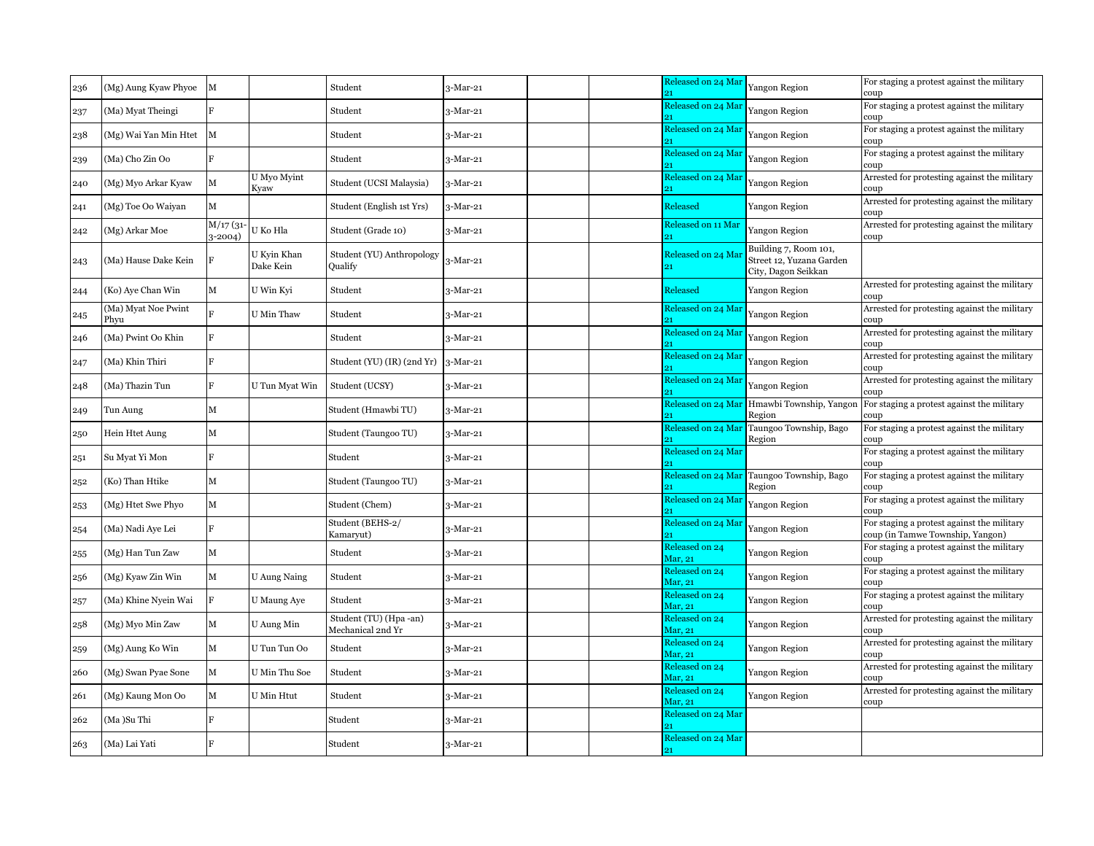| 236 | (Mg) Aung Kyaw Phyoe        | M                     |                          | Student                                    | $3-Mar-21$       |  | Released on 24 Mar<br>21         | Yangon Region                                                            | For staging a protest against the military<br>coup                             |
|-----|-----------------------------|-----------------------|--------------------------|--------------------------------------------|------------------|--|----------------------------------|--------------------------------------------------------------------------|--------------------------------------------------------------------------------|
| 237 | (Ma) Myat Theingi           |                       |                          | Student                                    | $3-Mar-21$       |  | Released on 24 Mar               | Yangon Region                                                            | For staging a protest against the military<br>coup                             |
| 238 | (Mg) Wai Yan Min Htet       | M                     |                          | Student                                    | $3-Mar-21$       |  | Released on 24 Mar               | Yangon Region                                                            | For staging a protest against the military<br>coup                             |
| 239 | (Ma) Cho Zin Oo             | F                     |                          | Student                                    | $3-Mar-21$       |  | Released on 24 Mar               | Yangon Region                                                            | For staging a protest against the military<br>coup                             |
| 240 | (Mg) Myo Arkar Kyaw         | $\mathbf{M}$          | U Myo Myint<br>Kyaw      | Student (UCSI Malaysia)                    | $3-Mar-21$       |  | Released on 24 Mar               | Yangon Region                                                            | Arrested for protesting against the military<br>coup                           |
| 241 | (Mg) Toe Oo Waiyan          | M                     |                          | Student (English 1st Yrs)                  | $3-Mar-21$       |  | Released                         | Yangon Region                                                            | Arrested for protesting against the military<br>coup                           |
| 242 | (Mg) Arkar Moe              | M/17(31)<br>$3-2004)$ | U Ko Hla                 | Student (Grade 10)                         | $3-Mar-21$       |  | Released on 11 Mar               | Yangon Region                                                            | Arrested for protesting against the military<br>coup                           |
| 243 | (Ma) Hause Dake Kein        |                       | U Kyin Khan<br>Dake Kein | Student (YU) Anthropology<br>Oualify       | $3-Mar-21$       |  | Released on 24 Mai<br>21         | Building 7, Room 101,<br>Street 12, Yuzana Garden<br>City, Dagon Seikkan |                                                                                |
| 244 | (Ko) Aye Chan Win           | М                     | U Win Kyi                | Student                                    | $3-Mar-21$       |  | Released                         | Yangon Region                                                            | Arrested for protesting against the military<br>coup                           |
| 245 | (Ma) Myat Noe Pwint<br>Phyu | R                     | U Min Thaw               | Student                                    | $3-Mar-21$       |  | Released on 24 Mar               | Yangon Region                                                            | Arrested for protesting against the military<br>coup                           |
| 246 | (Ma) Pwint Oo Khin          | ĸ                     |                          | Student                                    | $3-Mar-21$       |  | Released on 24 Mar               | Yangon Region                                                            | Arrested for protesting against the military<br>coup                           |
| 247 | (Ma) Khin Thiri             | F                     |                          | Student (YU) (IR) (2nd Yr)                 | $3-Mar-21$       |  | Released on 24 Mar               | <b>Yangon Region</b>                                                     | Arrested for protesting against the military<br>coup                           |
| 248 | (Ma) Thazin Tun             |                       | U Tun Myat Win           | Student (UCSY)                             | $3$ -Mar-21 $\,$ |  | Released on 24 Mar               | Yangon Region                                                            | Arrested for protesting against the military<br>coup                           |
| 249 | Tun Aung                    | М                     |                          | Student (Hmawbi TU)                        | $3-Mar-21$       |  | Released on 24 Mar               | Hmawbi Township, Yangoı<br>Region                                        | For staging a protest against the military<br>coup                             |
| 250 | Hein Htet Aung              | М                     |                          | Student (Taungoo TU)                       | 3-Mar-21         |  | Released on 24 Mar               | Taungoo Township, Bago<br>Region                                         | For staging a protest against the military<br>coup                             |
| 251 | Su Myat Yi Mon              | F                     |                          | Student                                    | $3-Mar-21$       |  | Released on 24 Mar               |                                                                          | For staging a protest against the military<br>coup                             |
| 252 | (Ko) Than Htike             | $\mathbf{M}$          |                          | Student (Taungoo TU)                       | 3-Mar-21         |  | Released on 24 Mar               | Taungoo Township, Bago<br>Region                                         | For staging a protest against the military<br>coup                             |
| 253 | (Mg) Htet Swe Phyo          | М                     |                          | Student (Chem)                             | $3-Mar-21$       |  | Released on 24 Mar               | Yangon Region                                                            | For staging a protest against the military<br>coup                             |
| 254 | (Ma) Nadi Aye Lei           | R                     |                          | Student (BEHS-2/<br>Kamaryut)              | $3-Mar-21$       |  | Released on 24 Mar               | Yangon Region                                                            | For staging a protest against the military<br>coup (in Tamwe Township, Yangon) |
| 255 | (Mg) Han Tun Zaw            | М                     |                          | Student                                    | $3-Mar-21$       |  | Released on 24<br>Mar, 21        | Yangon Region                                                            | For staging a protest against the military<br>coup                             |
| 256 | (Mg) Kyaw Zin Win           | М                     | U Aung Naing             | Student                                    | $3-Mar-21$       |  | Released on 24<br>Mar, 21        | Yangon Region                                                            | For staging a protest against the military<br>coup                             |
| 257 | (Ma) Khine Nyein Wai        | $\rm F$               | U Maung Aye              | Student                                    | $3-Mar-21$       |  | <b>Released on 24</b><br>Mar, 21 | Yangon Region                                                            | For staging a protest against the military<br>coup                             |
| 258 | (Mg) Myo Min Zaw            | М                     | U Aung Min               | Student (TU) (Hpa-an)<br>Mechanical 2nd Yr | $3-Mar-21$       |  | Released on 24<br>Mar, 21        | Yangon Region                                                            | Arrested for protesting against the military<br>coup                           |
| 259 | (Mg) Aung Ko Win            | M                     | U Tun Tun Oo             | Student                                    | $3-Mar-21$       |  | Released on 24<br>Mar, 21        | Yangon Region                                                            | Arrested for protesting against the military<br>coup                           |
| 260 | (Mg) Swan Pyae Sone         | $\mathbf M$           | U Min Thu Soe            | Student                                    | $3-Mar-21$       |  | Released on 24<br>Mar, 21        | Yangon Region                                                            | Arrested for protesting against the military<br>coup                           |
| 261 | (Mg) Kaung Mon Oo           | М                     | U Min Htut               | Student                                    | $3-Mar-21$       |  | Released on 24<br>Mar, 21        | Yangon Region                                                            | Arrested for protesting against the military<br>coup                           |
| 262 | (Ma )Su Thi                 |                       |                          | Student                                    | $3-Mar-21$       |  | Released on 24 Mar               |                                                                          |                                                                                |
| 263 | (Ma) Lai Yati               |                       |                          | Student                                    | $3-Mar-21$       |  | Released on 24 Mar<br>21         |                                                                          |                                                                                |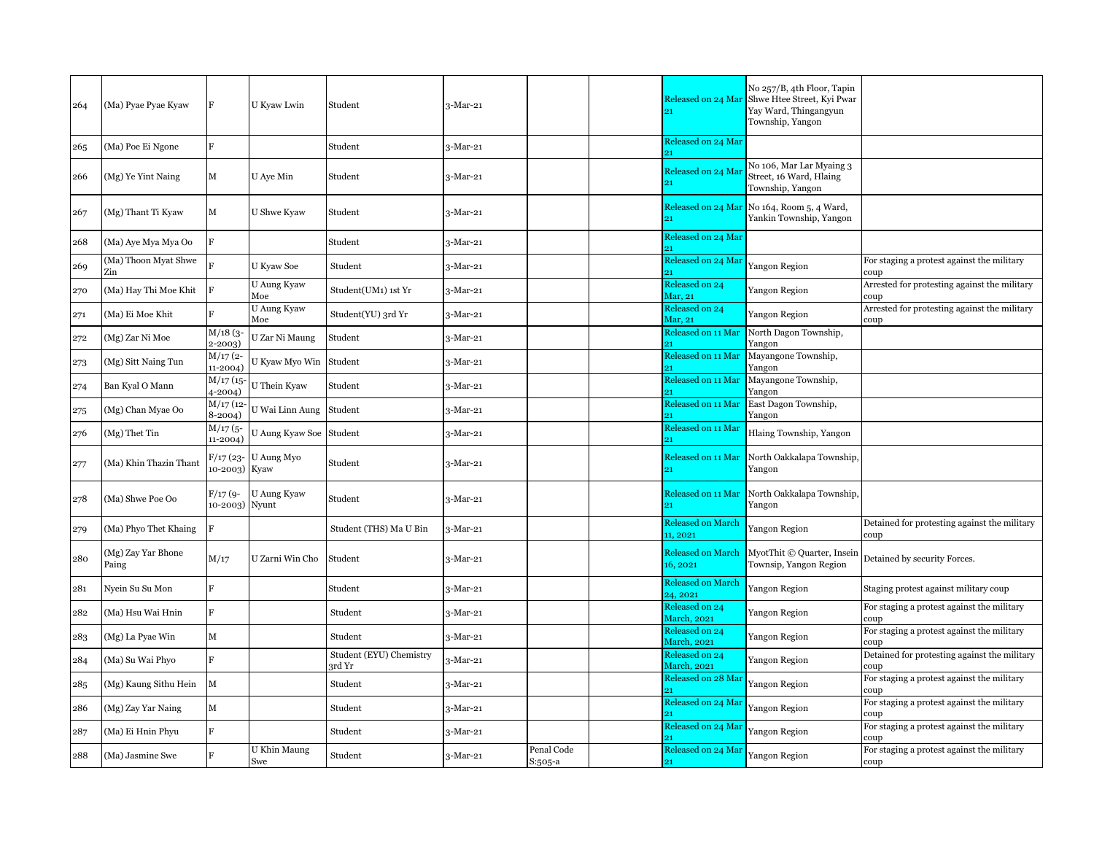| 264 | (Ma) Pyae Pyae Kyaw         | F                          | U Kyaw Lwin             | Student                           | 3-Mar-21   |                       | Released on 24 Mai<br>21              | No 257/B, 4th Floor, Tapin<br>Shwe Htee Street, Kyi Pwar<br>Yay Ward, Thingangyun<br>Township, Yangon |                                                      |
|-----|-----------------------------|----------------------------|-------------------------|-----------------------------------|------------|-----------------------|---------------------------------------|-------------------------------------------------------------------------------------------------------|------------------------------------------------------|
| 265 | (Ma) Poe Ei Ngone           | R                          |                         | Student                           | 3-Mar-21   |                       | Released on 24 Mar                    |                                                                                                       |                                                      |
| 266 | (Mg) Ye Yint Naing          | М                          | U Aye Min               | Student                           | 3-Mar-21   |                       | Released on 24 Ma                     | No 106, Mar Lar Myaing 3<br>Street, 16 Ward, Hlaing<br>Township, Yangon                               |                                                      |
| 267 | (Mg) Thant Ti Kyaw          | М                          | U Shwe Kyaw             | Student                           | 3-Mar-21   |                       |                                       | Released on 24 Mar No 164, Room 5, 4 Ward,<br>Yankin Township, Yangon                                 |                                                      |
| 268 | (Ma) Aye Mya Mya Oo         | R                          |                         | Student                           | 3-Mar-21   |                       | Released on 24 Mar                    |                                                                                                       |                                                      |
| 269 | (Ma) Thoon Myat Shwe<br>Zin |                            | U Kyaw Soe              | Student                           | 3-Mar-21   |                       | Released on 24 Mai<br>91              | Yangon Region                                                                                         | For staging a protest against the military<br>coup   |
| 270 | (Ma) Hay Thi Moe Khit       | R                          | U Aung Kyaw<br>Moe      | Student(UM1) 1st Yr               | 3-Mar-21   |                       | Released on 24<br>Mar, 21             | Yangon Region                                                                                         | Arrested for protesting against the military<br>coup |
| 271 | (Ma) Ei Moe Khit            |                            | U Aung Kyaw<br>Moe      | Student(YU) 3rd Yr                | 3-Mar-21   |                       | Released on 24<br>Mar, 21             | Yangon Region                                                                                         | Arrested for protesting against the military<br>coup |
| 272 | (Mg) Zar Ni Moe             | M/18(3<br>2-2003)          | U Zar Ni Maung          | Student                           | 3-Mar-21   |                       | Released on 11 Mar                    | North Dagon Township,<br>Yangon                                                                       |                                                      |
| 273 | (Mg) Sitt Naing Tun         | M/17(2-<br>11-2004)        | U Kyaw Myo Win          | Student                           | 3-Mar-21   |                       | Released on 11 Mar                    | Mayangone Township,<br>Yangon                                                                         |                                                      |
| 274 | Ban Kyal O Mann             | $M/17$ (15<br>4-2004)      | U Thein Kyaw            | Student                           | 3-Mar-21   |                       | Released on 11 Mar<br>91              | Mayangone Township,<br>Yangon                                                                         |                                                      |
| 275 | (Mg) Chan Myae Oo           | $M/17$ (12-<br>$8-2004)$   | U Wai Linn Aung Student |                                   | 3-Mar-21   |                       | Released on 11 Mar                    | East Dagon Township,<br>Yangon                                                                        |                                                      |
| 276 | (Mg) Thet Tin               | $M/17$ (5-<br>11-2004)     | U Aung Kyaw Soe Student |                                   | 3-Mar-21   |                       | Released on 11 Mai                    | Hlaing Township, Yangon                                                                               |                                                      |
| 277 | (Ma) Khin Thazin Thant      | 10-2003) Kyaw              | F/17 (23- U Aung Myo    | Student                           | 3-Mar-21   |                       | Released on 11 Mar<br>91              | North Oakkalapa Township,<br>Yangon                                                                   |                                                      |
| 278 | (Ma) Shwe Poe Oo            | F/17 (9-<br>10-2003) Nyunt | U Aung Kyaw             | Student                           | 3-Mar-21   |                       | Released on 11 Mar                    | North Oakkalapa Township,<br>Yangon                                                                   |                                                      |
| 279 | (Ma) Phyo Thet Khaing       | E                          |                         | Student (THS) Ma U Bin            | 3-Mar-21   |                       | <b>Released on March</b><br>11, 2021  | Yangon Region                                                                                         | Detained for protesting against the military<br>coup |
| 280 | (Mg) Zay Yar Bhone<br>Paing | M/17                       | U Zarni Win Cho         | Student                           | 3-Mar-21   |                       | <b>Released on March</b><br>16, 2021  | MyotThit © Quarter, Insein<br>Townsip, Yangon Region                                                  | Detained by security Forces.                         |
| 281 | Nyein Su Su Mon             | $\overline{R}$             |                         | Student                           | 3-Mar-21   |                       | <b>Released on March</b><br>24.2021   | Yangon Region                                                                                         | Staging protest against military coup                |
| 282 | (Ma) Hsu Wai Hnin           |                            |                         | Student                           | 3-Mar-21   |                       | Released on 24<br><b>March</b> , 2021 | Yangon Region                                                                                         | For staging a protest against the military<br>coup   |
| 283 | (Mg) La Pyae Win            | M                          |                         | Student                           | $3-Mar-21$ |                       | Released on 24<br><b>March</b> , 2021 | Yangon Region                                                                                         | For staging a protest against the military<br>coup   |
| 284 | (Ma) Su Wai Phyo            | $\overline{R}$             |                         | Student (EYU) Chemistry<br>3rd Yr | 3-Mar-21   |                       | Released on 24<br>March, 2021         | Yangon Region                                                                                         | Detained for protesting against the military<br>coup |
| 285 | (Mg) Kaung Sithu Hein       | $\mathbf M$                |                         | Student                           | 3-Mar-21   |                       | Released on 28 Ma                     | Yangon Region                                                                                         | For staging a protest against the military<br>coup   |
| 286 | (Mg) Zay Yar Naing          | М                          |                         | Student                           | 3-Mar-21   |                       | Released on 24 Ma                     | Yangon Region                                                                                         | For staging a protest against the military<br>coup   |
| 287 | (Ma) Ei Hnin Phyu           |                            |                         | Student                           | 3-Mar-21   |                       | Released on 24 Ma                     | Yangon Region                                                                                         | For staging a protest against the military<br>coup   |
| 288 | (Ma) Jasmine Swe            |                            | U Khin Maung<br>Swe     | Student                           | 3-Mar-21   | Penal Code<br>S:505-a | Released on 24 Mai<br>21              | Yangon Region                                                                                         | For staging a protest against the military<br>coup   |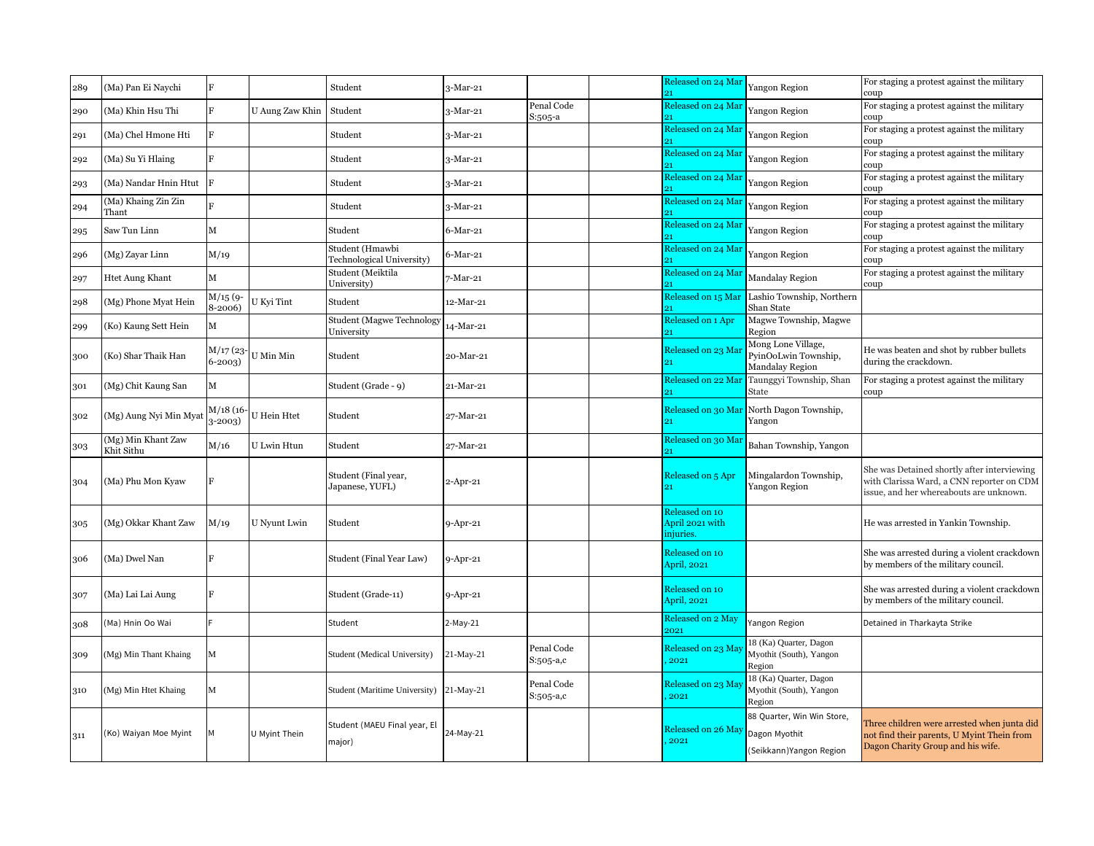| 289 | (Ma) Pan Ei Naychi               |                         |                    | Student                                      | $3-Mar-21$     |                         | Released on 24 Mar<br>21                       | Yangon Region                                                           | For staging a protest against the military<br>coup                                                                                  |
|-----|----------------------------------|-------------------------|--------------------|----------------------------------------------|----------------|-------------------------|------------------------------------------------|-------------------------------------------------------------------------|-------------------------------------------------------------------------------------------------------------------------------------|
| 290 | (Ma) Khin Hsu Thi                | Ħ.                      | U Aung Zaw Khin    | Student                                      | $3-Mar-21$     | Penal Code<br>S:505-a   | Released on 24 Mar                             | Yangon Region                                                           | For staging a protest against the military<br>coup                                                                                  |
| 291 | (Ma) Chel Hmone Hti              | $\overline{F}$          |                    | Student                                      | $3-Mar-21$     |                         | Released on 24 Mar                             | Yangon Region                                                           | For staging a protest against the military<br>coup                                                                                  |
| 292 | (Ma) Su Yi Hlaing                |                         |                    | Student                                      | $3-Mar-21$     |                         | Released on 24 Mar                             | Yangon Region                                                           | For staging a protest against the military<br>coup                                                                                  |
| 293 | (Ma) Nandar Hnin Htut            | F                       |                    | Student                                      | $3-Mar-21$     |                         | Released on 24 Mai                             | Yangon Region                                                           | For staging a protest against the military<br>coup                                                                                  |
| 294 | (Ma) Khaing Zin Zin<br>Thant     |                         |                    | Student                                      | 3-Mar-21       |                         | Released on 24 Mar                             | Yangon Region                                                           | For staging a protest against the military<br>coup                                                                                  |
| 295 | Saw Tun Linn                     | M                       |                    | Student                                      | $6$ -Mar-21    |                         | Released on 24 Mar                             | Yangon Region                                                           | For staging a protest against the military<br>coup                                                                                  |
| 296 | (Mg) Zayar Linn                  | M/19                    |                    | Student (Hmawbi<br>Technological University) | $6$ -Mar-21    |                         | Released on 24 Mar                             | Yangon Region                                                           | For staging a protest against the military<br>coup                                                                                  |
| 297 | Htet Aung Khant                  | М                       |                    | Student (Meiktila<br>University)             | 7-Mar-21       |                         | Released on 24 Mar                             | Mandalay Region                                                         | For staging a protest against the military<br>coup                                                                                  |
| 298 | (Mg) Phone Myat Hein             | M/15(9<br>8-2006)       | U Kyi Tint         | Student                                      | 12-Mar-21      |                         | Released on 15 Mar                             | Lashio Township, Northern<br>Shan State                                 |                                                                                                                                     |
| 299 | (Ko) Kaung Sett Hein             | м                       |                    | Student (Magwe Technology<br>University      | 14-Mar-21      |                         | Released on 1 Apr                              | Magwe Township, Magwe<br>Region                                         |                                                                                                                                     |
| 300 | (Ko) Shar Thaik Han              | M/17 (23-<br>$6 - 2003$ | U Min Min          | Student                                      | 20-Mar-21      |                         | Released on 23 Ma<br>21                        | Mong Lone Village,<br>PyinOoLwin Township,<br>Mandalay Region           | He was beaten and shot by rubber bullets<br>during the crackdown.                                                                   |
| 301 | (Mg) Chit Kaung San              | М                       |                    | Student (Grade - 9)                          | 21-Mar-21      |                         | Released on 22 Mar                             | Taunggyi Township, Shan<br>State                                        | For staging a protest against the military<br>coup                                                                                  |
| 302 | (Mg) Aung Nyi Min Myat           | M/18 (16-<br>3-2003)    | <b>U</b> Hein Htet | Student                                      | 27-Mar-21      |                         | Released on 30 Mar<br>21                       | North Dagon Township,<br>Yangon                                         |                                                                                                                                     |
| 303 | (Mg) Min Khant Zaw<br>Khit Sithu | M/16                    | U Lwin Htun        | Student                                      | 27-Mar-21      |                         | Released on 30 Mai                             | Bahan Township, Yangon                                                  |                                                                                                                                     |
| 304 | (Ma) Phu Mon Kyaw                | ĸ                       |                    | Student (Final year,<br>Japanese, YUFL)      | $2$ -Apr-21    |                         | Released on 5 Apr                              | Mingalardon Township,<br>Yangon Region                                  | She was Detained shortly after interviewing<br>with Clarissa Ward, a CNN reporter on CDM<br>issue, and her whereabouts are unknown. |
| 305 | (Mg) Okkar Khant Zaw             | M/19                    | U Nyunt Lwin       | Student                                      | 9-Apr-21       |                         | Released on 10<br>April 2021 with<br>injuries. |                                                                         | He was arrested in Yankin Township.                                                                                                 |
| 306 | (Ma) Dwel Nan                    |                         |                    | Student (Final Year Law)                     | 9-Apr-21       |                         | Released on 10<br>April, 2021                  |                                                                         | She was arrested during a violent crackdown<br>by members of the military council.                                                  |
| 307 | (Ma) Lai Lai Aung                | E                       |                    | Student (Grade-11)                           | $9 - Apr - 21$ |                         | Released on 10<br>April, 2021                  |                                                                         | She was arrested during a violent crackdown<br>by members of the military council.                                                  |
| 308 | Ma) Hnin Oo Wai                  |                         |                    | Student                                      | 2-May-21       |                         | Released on 2 May<br>2021                      | Yangon Region                                                           | Detained in Tharkayta Strike                                                                                                        |
| 309 | Mg) Min Thant Khaing             | М                       |                    | Student (Medical University)                 | 21-May-21      | Penal Code<br>S:505-a,c | Released on 23 Ma<br>2021                      | 18 (Ka) Quarter, Dagon<br>Myothit (South), Yangon<br>Region             |                                                                                                                                     |
| 310 | (Mg) Min Htet Khaing             | М                       |                    | Student (Maritime University) 21-May-21      |                | Penal Code<br>S:505-a,c | Released on 23 Ma<br>2021                      | 18 (Ka) Quarter, Dagon<br>Myothit (South), Yangon<br>Region             |                                                                                                                                     |
| 311 | Ko) Waiyan Moe Myint             |                         | U Myint Thein      | Student (MAEU Final year, El<br>major)       | 24-May-21      |                         | Released on 26 May<br>2021                     | 88 Quarter, Win Win Store,<br>Dagon Myothit<br>(Seikkann) Yangon Region | Three children were arrested when junta did<br>not find their parents, U Myint Thein from<br>Dagon Charity Group and his wife.      |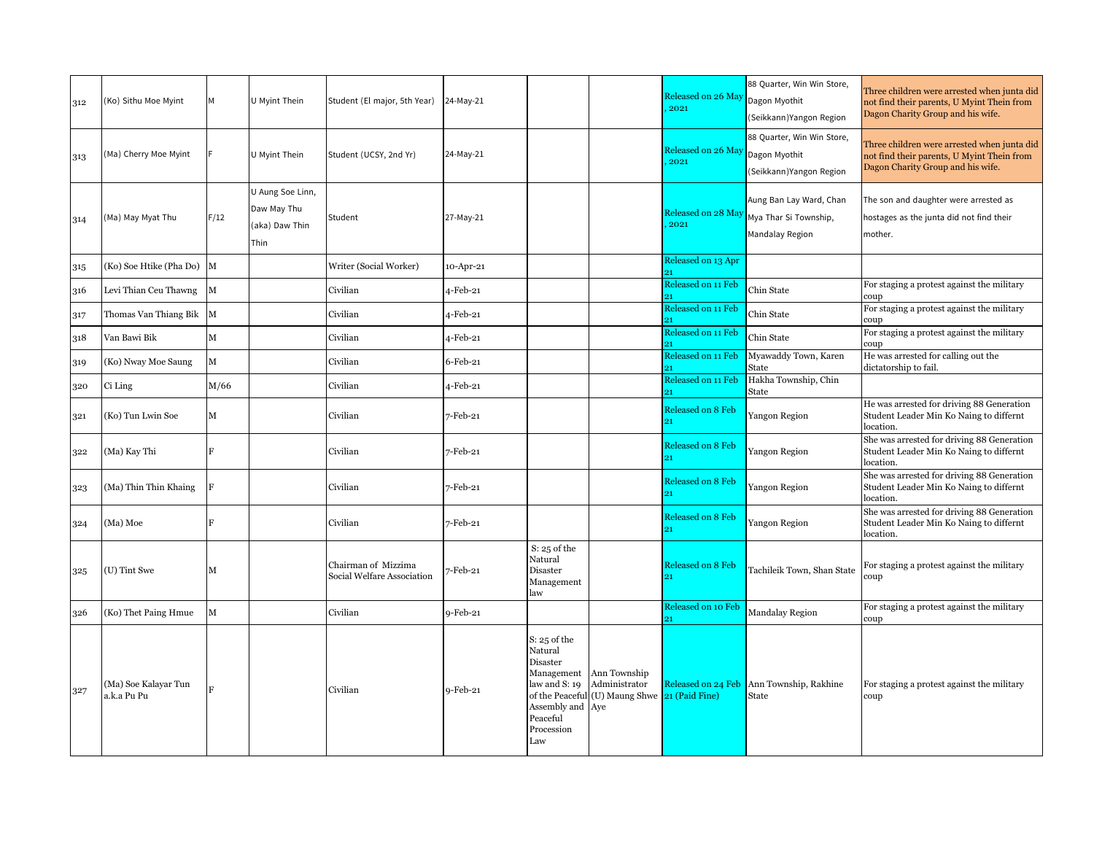| 312 | (Ko) Sithu Moe Myint                | м    | U Myint Thein                                             | Student (El major, 5th Year)                      | 24-May-21   |                                                                                                             |                                                                                           | Released on 26 May<br>2021 | 88 Quarter, Win Win Store,<br>Dagon Myothit<br>(Seikkann) Yangon Region | Three children were arrested when junta did<br>not find their parents, U Myint Thein from<br>Dagon Charity Group and his wife. |
|-----|-------------------------------------|------|-----------------------------------------------------------|---------------------------------------------------|-------------|-------------------------------------------------------------------------------------------------------------|-------------------------------------------------------------------------------------------|----------------------------|-------------------------------------------------------------------------|--------------------------------------------------------------------------------------------------------------------------------|
| 313 | (Ma) Cherry Moe Myint               |      | U Myint Thein                                             | Student (UCSY, 2nd Yr)                            | 24-May-21   |                                                                                                             |                                                                                           | Released on 26 May<br>2021 | 88 Quarter, Win Win Store,<br>Dagon Myothit<br>(Seikkann) Yangon Region | Three children were arrested when junta did<br>not find their parents, U Myint Thein from<br>Dagon Charity Group and his wife. |
| 314 | (Ma) May Myat Thu                   | F/12 | U Aung Soe Linn,<br>Daw May Thu<br>(aka) Daw Thin<br>Thin | Student                                           | 27-May-21   |                                                                                                             |                                                                                           | Released on 28 Ma<br>2021  | Aung Ban Lay Ward, Chan<br>Mya Thar Si Township,<br>Mandalay Region     | The son and daughter were arrested as<br>hostages as the junta did not find their<br>mother.                                   |
| 315 | (Ko) Soe Htike (Pha Do)             | M    |                                                           | Writer (Social Worker)                            | 10-Apr-21   |                                                                                                             |                                                                                           | Released on 13 Apr         |                                                                         |                                                                                                                                |
| 316 | Levi Thian Ceu Thawng               | M    |                                                           | Civilian                                          | 4-Feb-21    |                                                                                                             |                                                                                           | Released on 11 Feb<br>91   | Chin State                                                              | For staging a protest against the military<br>coup                                                                             |
| 317 | Thomas Van Thiang Bik               | M    |                                                           | Civilian                                          | 4-Feb-21    |                                                                                                             |                                                                                           | Released on 11 Feb         | Chin State                                                              | For staging a protest against the military<br>coup                                                                             |
| 318 | Van Bawi Bik                        | М    |                                                           | Civilian                                          | 4-Feb-21    |                                                                                                             |                                                                                           | Released on 11 Feb         | Chin State                                                              | For staging a protest against the military<br>coup                                                                             |
| 319 | (Ko) Nway Moe Saung                 | М    |                                                           | Civilian                                          | $6$ -Feb-21 |                                                                                                             |                                                                                           | Released on 11 Feb         | Myawaddy Town, Karen<br>State                                           | He was arrested for calling out the<br>dictatorship to fail.                                                                   |
| 320 | Ci Ling                             | M/66 |                                                           | Civilian                                          | 4-Feb-21    |                                                                                                             |                                                                                           | Released on 11 Feb         | Hakha Township, Chin<br>State                                           |                                                                                                                                |
| 321 | (Ko) Tun Lwin Soe                   | М    |                                                           | Civilian                                          | 7-Feb-21    |                                                                                                             |                                                                                           | Released on 8 Feb<br>21    | Yangon Region                                                           | He was arrested for driving 88 Generation<br>Student Leader Min Ko Naing to differnt<br>location.                              |
| 322 | (Ma) Kay Thi                        | F    |                                                           | Civilian                                          | 7-Feb-21    |                                                                                                             |                                                                                           | Released on 8 Feb<br>21    | Yangon Region                                                           | She was arrested for driving 88 Generation<br>Student Leader Min Ko Naing to differnt<br>location.                             |
| 323 | (Ma) Thin Thin Khaing               | F    |                                                           | Civilian                                          | 7-Feb-21    |                                                                                                             |                                                                                           | Released on 8 Feb<br>21    | Yangon Region                                                           | She was arrested for driving 88 Generation<br>Student Leader Min Ko Naing to differnt<br>location.                             |
| 324 | (Ma) Moe                            |      |                                                           | Civilian                                          | 7-Feb-21    |                                                                                                             |                                                                                           | Released on 8 Feb<br>21    | Yangon Region                                                           | She was arrested for driving 88 Generation<br>Student Leader Min Ko Naing to differnt<br>location.                             |
| 325 | (U) Tint Swe                        | M    |                                                           | Chairman of Mizzima<br>Social Welfare Association | 7-Feb-21    | $S: 25$ of the<br>Natural<br>Disaster<br>Management<br>law                                                  |                                                                                           | Released on 8 Feb<br>21    | Tachileik Town, Shan State                                              | For staging a protest against the military<br>coup                                                                             |
| 326 | (Ko) Thet Paing Hmue                | M    |                                                           | Civilian                                          | 9-Feb-21    |                                                                                                             |                                                                                           | Released on 10 Feb         | <b>Mandalay Region</b>                                                  | For staging a protest against the military<br>coup                                                                             |
| 327 | (Ma) Soe Kalayar Tun<br>a.k.a Pu Pu |      |                                                           | Civilian                                          | $9-Feb-21$  | $S: 25$ of the<br>Natural<br>Disaster<br>law and S: 19<br>Assembly and Aye<br>Peaceful<br>Procession<br>Law | Management Ann Township<br>Administrator<br>of the Peaceful (U) Maung Shwe 21 (Paid Fine) |                            | Released on 24 Feb Ann Township, Rakhine<br><b>State</b>                | For staging a protest against the military<br>coup                                                                             |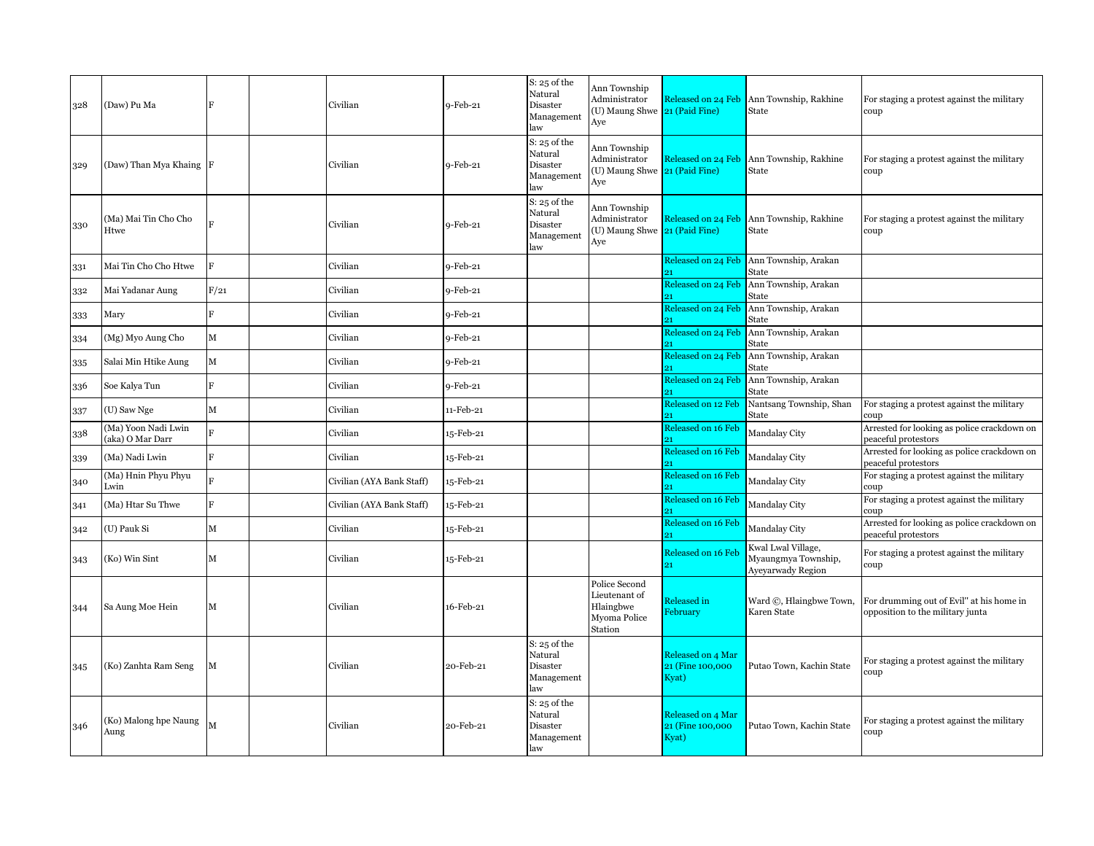| 328 | (Daw) Pu Ma                             |                | Civilian                  | $9$ -Feb-21 | $S: 25$ of the<br>Natural<br>Disaster<br>Management<br>law | Ann Township<br>Administrator<br>(U) Maung Shwe 21 (Paid Fine)<br>Aye  |                                                 | Released on 24 Feb Ann Township, Rakhine<br>State                     | For staging a protest against the military<br>coup                           |
|-----|-----------------------------------------|----------------|---------------------------|-------------|------------------------------------------------------------|------------------------------------------------------------------------|-------------------------------------------------|-----------------------------------------------------------------------|------------------------------------------------------------------------------|
| 329 | (Daw) Than Mya Khaing F                 |                | Civilian                  | 9-Feb-21    | $S: 25$ of the<br>Natural<br>Disaster<br>Management<br>law | Ann Township<br>Administrator<br>(U) Maung Shwe 21 (Paid Fine)<br>Aye  |                                                 | Released on 24 Feb Ann Township, Rakhine<br>State                     | For staging a protest against the military<br>coup                           |
| 330 | (Ma) Mai Tin Cho Cho<br>Htwe            |                | Civilian                  | $9$ -Feb-21 | $S: 25$ of the<br>Natural<br>Disaster<br>Management<br>law | Ann Township<br>Administrator<br>(U) Maung Shwe 21 (Paid Fine)<br>Aye  |                                                 | Released on 24 Feb Ann Township, Rakhine<br>State                     | For staging a protest against the military<br>coup                           |
| 331 | Mai Tin Cho Cho Htwe                    | E              | Civilian                  | $9$ -Feb-21 |                                                            |                                                                        |                                                 | Released on 24 Feb Ann Township, Arakan<br>State                      |                                                                              |
| 332 | Mai Yadanar Aung                        | F/21           | Civilian                  | $9-Feb-21$  |                                                            |                                                                        | Released on 24 Feb                              | Ann Township, Arakan<br>State                                         |                                                                              |
| 333 | Mary                                    | R              | Civilian                  | 9-Feb-21    |                                                            |                                                                        | Released on 24 Feb                              | Ann Township, Arakan<br>State                                         |                                                                              |
| 334 | (Mg) Myo Aung Cho                       | М              | Civilian                  | 9-Feb-21    |                                                            |                                                                        | Released on 24 Feb                              | Ann Township, Arakan<br>State                                         |                                                                              |
| 335 | Salai Min Htike Aung                    | M              | Civilian                  | $9-Feb-21$  |                                                            |                                                                        | Released on 24 Feb                              | Ann Township, Arakan<br>State                                         |                                                                              |
| 336 | Soe Kalya Tun                           | R              | Civilian                  | 9-Feb-21    |                                                            |                                                                        | Released on 24 Feb                              | Ann Township, Arakan<br>State                                         |                                                                              |
| 337 | (U) Saw Nge                             | M              | Civilian                  | 11-Feb-21   |                                                            |                                                                        | Released on 12 Feb                              | Nantsang Township, Shan<br>State                                      | For staging a protest against the military<br>coup                           |
| 338 | (Ma) Yoon Nadi Lwin<br>(aka) O Mar Darr |                | Civilian                  | 15-Feb-21   |                                                            |                                                                        | Released on 16 Feb<br>21                        | Mandalay City                                                         | Arrested for looking as police crackdown on<br>peaceful protestors           |
| 339 | (Ma) Nadi Lwin                          | $\overline{R}$ | Civilian                  | 15-Feb-21   |                                                            |                                                                        | Released on 16 Feb                              | Mandalay City                                                         | Arrested for looking as police crackdown on<br>peaceful protestors           |
| 340 | (Ma) Hnin Phyu Phyu<br>Lwin             |                | Civilian (AYA Bank Staff) | 15-Feb-21   |                                                            |                                                                        | Released on 16 Feb                              | Mandalay City                                                         | For staging a protest against the military<br>coup                           |
| 341 | (Ma) Htar Su Thwe                       | R              | Civilian (AYA Bank Staff) | 15-Feb-21   |                                                            |                                                                        | Released on 16 Feb                              | Mandalay City                                                         | For staging a protest against the military<br>coup                           |
| 342 | (U) Pauk Si                             | м              | Civilian                  | 15-Feb-21   |                                                            |                                                                        | Released on 16 Feb                              | Mandalay City                                                         | Arrested for looking as police crackdown on<br>peaceful protestors           |
| 343 | (Ko) Win Sint                           | м              | Civilian                  | 15-Feb-21   |                                                            |                                                                        | Released on 16 Feb<br>21                        | Kwal Lwal Village,<br>Myaungmya Township,<br><b>Ayevarwady Region</b> | For staging a protest against the military<br>coup                           |
| 344 | Sa Aung Moe Hein                        | М              | Civilian                  | 16-Feb-21   |                                                            | Police Second<br>Lieutenant of<br>Hlaingbwe<br>Myoma Police<br>Station | Released in<br>February                         | Ward ©, Hlaingbwe Town,<br>Karen State                                | For drumming out of Evil" at his home in<br>opposition to the military junta |
| 345 | (Ko) Zanhta Ram Seng                    | Μ              | Civilian                  | 20-Feb-21   | $S: 25$ of the<br>Natural<br>Disaster<br>Management<br>law |                                                                        | Released on 4 Mar<br>21 (Fine 100,000)<br>Kyat) | Putao Town, Kachin State                                              | For staging a protest against the military<br>coup                           |
| 346 | (Ko) Malong hpe Naung<br>Aung           | M              | Civilian                  | 20-Feb-21   | $S: 25$ of the<br>Natural<br>Disaster<br>Management<br>law |                                                                        | Released on 4 Mar<br>21 (Fine 100,000<br>Kyat)  | Putao Town, Kachin State                                              | For staging a protest against the military<br>coup                           |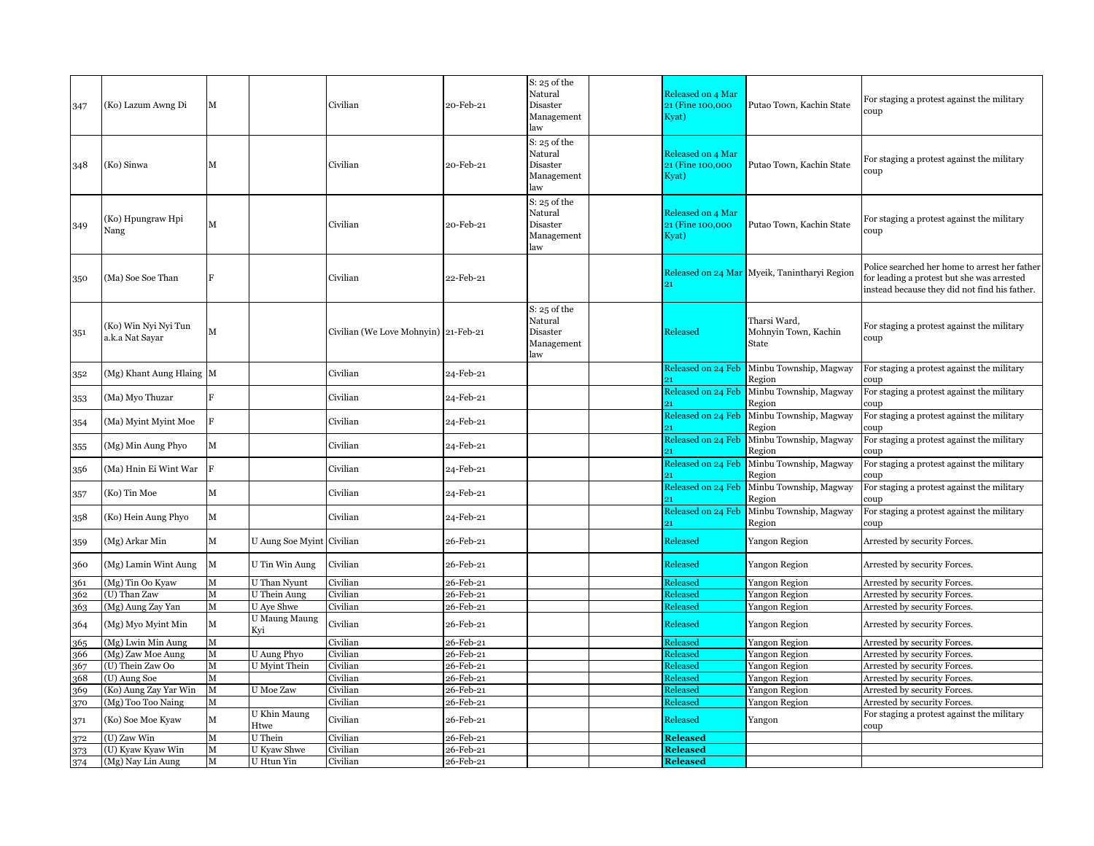| 347 | (Ko) Lazum Awng Di                      | М           |                           | Civilian                             | 20-Feb-21 | $S: 25$ of the<br>Natural<br>Disaster<br>Management<br>law | Released on 4 Mar<br>21 (Fine 100,000)<br>Kyat) | Putao Town, Kachin State                      | For staging a protest against the military<br>coup                                                                                           |
|-----|-----------------------------------------|-------------|---------------------------|--------------------------------------|-----------|------------------------------------------------------------|-------------------------------------------------|-----------------------------------------------|----------------------------------------------------------------------------------------------------------------------------------------------|
| 348 | (Ko) Sinwa                              | М           |                           | Civilian                             | 20-Feb-21 | $S: 25$ of the<br>Natural<br>Disaster<br>Management<br>law | Released on 4 Mar<br>21 (Fine 100,000<br>Kyat)  | Putao Town, Kachin State                      | For staging a protest against the military<br>coup                                                                                           |
| 349 | (Ko) Hpungraw Hpi<br>Nang               | М           |                           | Civilian                             | 20-Feb-21 | $S: 25$ of the<br>Natural<br>Disaster<br>Management<br>law | Released on 4 Mar<br>21 (Fine 100,000)<br>Kyat) | Putao Town, Kachin State                      | For staging a protest against the military<br>coup                                                                                           |
| 350 | (Ma) Soe Soe Than                       |             |                           | Civilian                             | 22-Feb-21 |                                                            |                                                 | Released on 24 Mar Myeik, Tanintharyi Region  | Police searched her home to arrest her father<br>for leading a protest but she was arrested<br>instead because they did not find his father. |
| 351 | (Ko) Win Nyi Nyi Tun<br>a.k.a Nat Sayar | М           |                           | Civilian (We Love Mohnyin) 21-Feb-21 |           | $S: 25$ of the<br>Natural<br>Disaster<br>Management<br>law | Released                                        | Tharsi Ward,<br>Mohnyin Town, Kachin<br>State | For staging a protest against the military<br>coup                                                                                           |
| 352 | (Mg) Khant Aung Hlaing M                |             |                           | Civilian                             | 24-Feb-21 |                                                            | Released on 24 Feb                              | Minbu Township, Magway<br>Region              | For staging a protest against the military<br>coup                                                                                           |
| 353 | (Ma) Myo Thuzar                         | E.          |                           | Civilian                             | 24-Feb-21 |                                                            | Released on 24 Feb                              | Minbu Township, Magway<br>Region              | For staging a protest against the military<br>coup                                                                                           |
| 354 | (Ma) Myint Myint Moe                    | $\mathbf F$ |                           | Civilian                             | 24-Feb-21 |                                                            | Released on 24 Feb                              | Minbu Township, Magway<br>Region              | For staging a protest against the military<br>coup:                                                                                          |
| 355 | (Mg) Min Aung Phyo                      | М           |                           | Civilian                             | 24-Feb-21 |                                                            | Released on 24 Feb                              | Minbu Township, Magway<br>Region              | For staging a protest against the military<br>coup                                                                                           |
| 356 | (Ma) Hnin Ei Wint War                   | F           |                           | Civilian                             | 24-Feb-21 |                                                            | Released on 24 Feb                              | Minbu Township, Magway<br>Region              | For staging a protest against the military<br>coup                                                                                           |
| 357 | (Ko) Tin Moe                            | M           |                           | Civilian                             | 24-Feb-21 |                                                            | Released on 24 Feb                              | Minbu Township, Magway<br>Region              | For staging a protest against the military<br>coup                                                                                           |
| 358 | (Ko) Hein Aung Phyo                     | М           |                           | Civilian                             | 24-Feb-21 |                                                            | Released on 24 Feb                              | Minbu Township, Magway<br>Region              | For staging a protest against the military<br>coup                                                                                           |
| 359 | (Mg) Arkar Min                          | М           | U Aung Soe Myint Civilian |                                      | 26-Feb-21 |                                                            | Released                                        | Yangon Region                                 | Arrested by security Forces.                                                                                                                 |
| 360 | (Mg) Lamin Wint Aung                    | M           | U Tin Win Aung            | Civilian                             | 26-Feb-21 |                                                            | Released                                        | Yangon Region                                 | Arrested by security Forces.                                                                                                                 |
| 361 | (Mg) Tin Oo Kyaw                        | M           | U Than Nyunt              | Civilian                             | 26-Feb-21 |                                                            | Released                                        | Yangon Region                                 | Arrested by security Forces.                                                                                                                 |
| 362 | (U) Than Zaw                            | М           | U Thein Aung              | Civilian                             | 26-Feb-21 |                                                            | Released                                        | Yangon Region                                 | Arrested by security Forces.                                                                                                                 |
| 363 | (Mg) Aung Zay Yan                       | M           | U Aye Shwe                | Civilian                             | 26-Feb-21 |                                                            | <b>Released</b>                                 | Yangon Region                                 | Arrested by security Forces.                                                                                                                 |
| 364 | (Mg) Myo Myint Min                      | М           | U Maung Maung<br>Kyi      | Civilian                             | 26-Feb-21 |                                                            | Released                                        | Yangon Region                                 | Arrested by security Forces.                                                                                                                 |
| 365 | (Mg) Lwin Min Aung                      | M           |                           | Civilian                             | 26-Feb-21 |                                                            | Released                                        | Yangon Region                                 | Arrested by security Forces.                                                                                                                 |
| 366 | (Mg) Zaw Moe Aung                       | M           | U Aung Phyo               | Civilian                             | 26-Feb-21 |                                                            | <b>Released</b>                                 | Yangon Region                                 | Arrested by security Forces.                                                                                                                 |
| 367 | (U) Thein Zaw Oo                        | M           | <b>U</b> Myint Thein      | Civilian                             | 26-Feb-21 |                                                            | Released                                        | Yangon Region                                 | Arrested by security Forces.                                                                                                                 |
| 368 | (U) Aung Soe                            | м           |                           | Civilian                             | 26-Feb-21 |                                                            | Released                                        | Yangon Region                                 | Arrested by security Forces.                                                                                                                 |
| 369 | (Ko) Aung Zay Yar Win                   | $\mathbf M$ | U Moe Zaw                 | Civilian                             | 26-Feb-21 |                                                            | Released                                        | Yangon Region                                 | Arrested by security Forces.                                                                                                                 |
| 370 | (Mg) Too Too Naing                      | М           |                           | Civilian                             | 26-Feb-21 |                                                            | Released                                        | Yangon Region                                 | Arrested by security Forces.                                                                                                                 |
| 371 | (Ko) Soe Moe Kyaw                       | М           | U Khin Maung<br>Htwe      | Civilian                             | 26-Feb-21 |                                                            | Released                                        | Yangon                                        | For staging a protest against the military<br>coup                                                                                           |
| 372 | (U) Zaw Win                             | М           | U Thein                   | Civilian                             | 26-Feb-21 |                                                            | <b>Released</b>                                 |                                               |                                                                                                                                              |
| 373 | (U) Kyaw Kyaw Win                       | M           | U Kyaw Shwe               | Civilian                             | 26-Feb-21 |                                                            | <b>Released</b>                                 |                                               |                                                                                                                                              |
| 374 | (Mg) Nay Lin Aung                       | $\mathbf M$ | U Htun Yin                | Civilian                             | 26-Feb-21 |                                                            | <b>Released</b>                                 |                                               |                                                                                                                                              |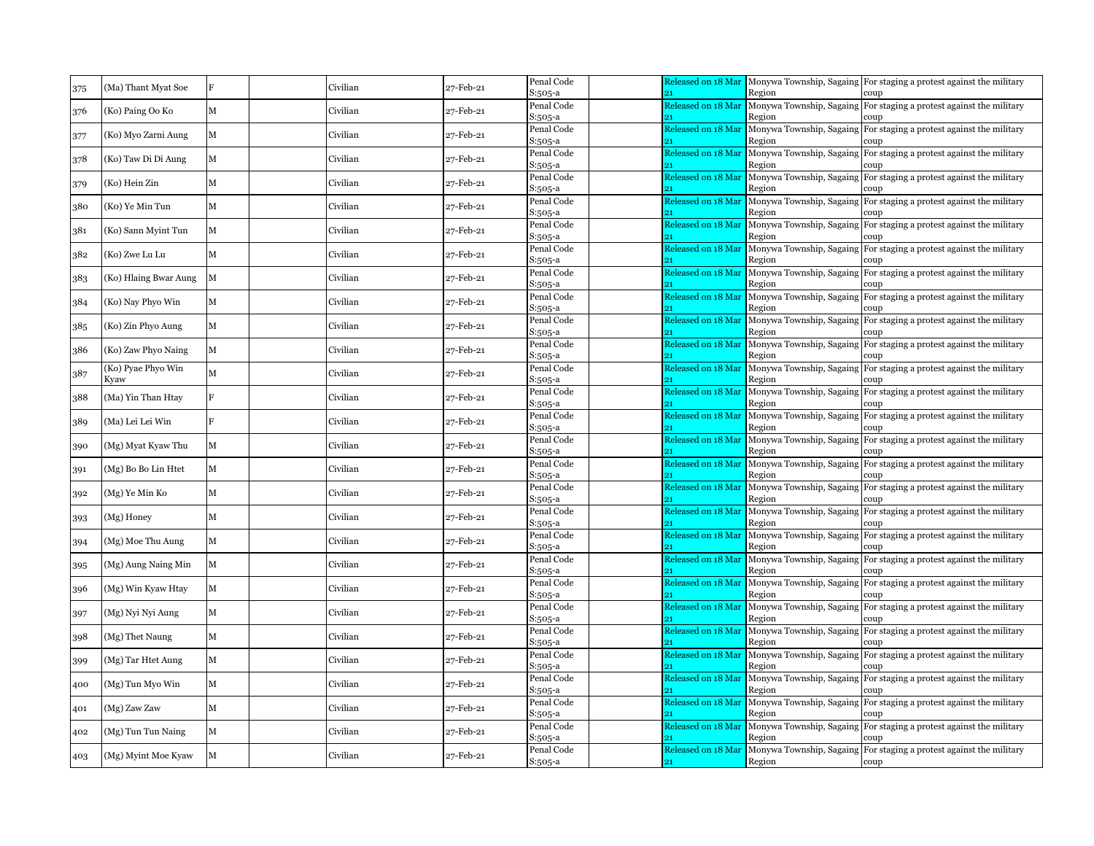| 375 | (Ma) Thant Myat Soe        | $\mathbf{F}$ | Civilian | 27-Feb-21 | Penal Code<br>S:505-a | Released on 18 Mar       | Region                             | Monywa Township, Sagaing For staging a protest against the military<br>coup |
|-----|----------------------------|--------------|----------|-----------|-----------------------|--------------------------|------------------------------------|-----------------------------------------------------------------------------|
| 376 | (Ko) Paing Oo Ko           | M            | Civilian | 27-Feb-21 | Penal Code<br>S:505-a | Released on 18 Mai       | Monywa Township, Sagaing<br>Region | For staging a protest against the military<br>coup                          |
| 377 | (Ko) Myo Zarni Aung        | $\mathbf M$  | Civilian | 27-Feb-21 | Penal Code<br>S:505-a | Released on 18 Mar       | Monywa Township, Sagaing<br>Region | For staging a protest against the military<br>coup                          |
| 378 | (Ko) Taw Di Di Aung        | М            | Civilian | 27-Feb-21 | Penal Code<br>S:505-a | Released on 18 Mar       | Monywa Township, Sagaing<br>Region | For staging a protest against the military<br>coup                          |
| 379 | (Ko) Hein Zin              | М            | Civilian | 27-Feb-21 | Penal Code<br>S:505-a | Released on 18 Mai       | Monywa Township, Sagaing<br>Region | For staging a protest against the military<br>coup                          |
| 380 | (Ko) Ye Min Tun            | $\mathbf M$  | Civilian | 27-Feb-21 | Penal Code<br>S:505-a | Released on 18 Mai       | Monywa Township, Sagaing<br>Region | For staging a protest against the military                                  |
| 381 | (Ko) Sann Myint Tun        | M            | Civilian | 27-Feb-21 | Penal Code<br>S:505-a | Released on 18 Mai       | Monywa Township, Sagaing<br>Region | For staging a protest against the military<br>coup                          |
| 382 | (Ko) Zwe Lu Lu             | $\mathbf{M}$ | Civilian | 27-Feb-21 | Penal Code<br>S:505-a | Released on 18 Mai       | Monywa Township, Sagaing<br>Region | For staging a protest against the military<br>coup                          |
| 383 | (Ko) Hlaing Bwar Aung      | M            | Civilian | 27-Feb-21 | Penal Code<br>S:505-a | Released on 18 Mai<br>21 | Monywa Township, Sagaing<br>Region | For staging a protest against the military<br>coup                          |
| 384 | (Ko) Nay Phyo Win          | М            | Civilian | 27-Feb-21 | Penal Code<br>S:505-a | Released on 18 Mar       | Monywa Township, Sagaing<br>Region | For staging a protest against the military<br>coup                          |
| 385 | (Ko) Zin Phyo Aung         | М            | Civilian | 27-Feb-21 | Penal Code<br>S:505-a | Released on 18 Mar       | Monywa Township, Sagaing<br>Region | For staging a protest against the military<br>coup                          |
| 386 | (Ko) Zaw Phyo Naing        | $\mathbf{M}$ | Civilian | 27-Feb-21 | Penal Code<br>S:505-a | Released on 18 Mai       | Region                             | Monywa Township, Sagaing For staging a protest against the military<br>coup |
| 387 | (Ko) Pyae Phyo Win<br>Kyaw | $\mathbf{M}$ | Civilian | 27-Feb-21 | Penal Code<br>S:505-a | Released on 18 Mai       | Monywa Township, Sagaing<br>Region | For staging a protest against the military<br>coup                          |
| 388 | (Ma) Yin Than Htay         | Ħ.           | Civilian | 27-Feb-21 | Penal Code<br>S:505-a | Released on 18 Mai       | Monywa Township, Sagaing<br>Region | For staging a protest against the military<br>coup                          |
| 389 | (Ma) Lei Lei Win           | F            | Civilian | 27-Feb-21 | Penal Code<br>S:505-a | Released on 18 Mai       | Monywa Township, Sagaing<br>Region | For staging a protest against the military<br>coup:                         |
| 390 | (Mg) Myat Kyaw Thu         | М            | Civilian | 27-Feb-21 | Penal Code<br>S:505-a | Released on 18 Mai       | Monywa Township, Sagaing<br>Region | For staging a protest against the military<br>coup                          |
| 391 | (Mg) Bo Bo Lin Htet        | М            | Civilian | 27-Feb-21 | Penal Code<br>S:505-a | Released on 18 Mar       | Monywa Township, Sagaing<br>Region | For staging a protest against the military<br>coup                          |
| 392 | (Mg) Ye Min Ko             | M            | Civilian | 27-Feb-21 | Penal Code<br>S:505-a | Released on 18 Mar       | Monywa Township, Sagaing<br>Region | For staging a protest against the military<br>coup                          |
| 393 | (Mg) Honey                 | M            | Civilian | 27-Feb-21 | Penal Code<br>S:505-a | Released on 18 Mai       | Region                             | Monywa Township, Sagaing For staging a protest against the military<br>coup |
| 394 | (Mg) Moe Thu Aung          | M            | Civilian | 27-Feb-21 | Penal Code<br>S:505-a | Released on 18 Mai       | Monywa Township, Sagaing<br>Region | For staging a protest against the military<br>coup                          |
| 395 | (Mg) Aung Naing Min        | M            | Civilian | 27-Feb-21 | Penal Code<br>S:505-a | Released on 18 Mai       | Monywa Township, Sagaing<br>Region | For staging a protest against the military<br>coup                          |
| 396 | (Mg) Win Kyaw Htay         | $\mathbf{M}$ | Civilian | 27-Feb-21 | Penal Code<br>S:505-a | Released on 18 Mai       | Monywa Township, Sagaing<br>Region | For staging a protest against the military<br>coup                          |
| 397 | (Mg) Nyi Nyi Aung          | M            | Civilian | 27-Feb-21 | Penal Code<br>S:505-a | Released on 18 Mar       | Monywa Township, Sagaing<br>Region | For staging a protest against the military<br>coup                          |
| 398 | (Mg) Thet Naung            | $\mathbf M$  | Civilian | 27-Feb-21 | Penal Code<br>S:505-a | Released on 18 Mai<br>21 | Monywa Township, Sagaing<br>Region | For staging a protest against the military<br>coup                          |
| 399 | (Mg) Tar Htet Aung         | М            | Civilian | 27-Feb-21 | Penal Code<br>S:505-a | Released on 18 Mar       | Monywa Township, Sagaing<br>Region | For staging a protest against the military<br>coup                          |
| 400 | (Mg) Tun Myo Win           | М            | Civilian | 27-Feb-21 | Penal Code<br>S:505-a | Released on 18 Mai       | Monywa Township, Sagaing<br>Region | For staging a protest against the military<br>coup                          |
| 401 | (Mg) Zaw Zaw               | $\mathbf M$  | Civilian | 27-Feb-21 | Penal Code<br>S:505-a | Released on 18 Mai       | Monywa Township, Sagaing<br>Region | For staging a protest against the military<br>coup                          |
| 402 | (Mg) Tun Tun Naing         | M            | Civilian | 27-Feb-21 | Penal Code<br>S:505-a | Released on 18 Mai       | Monywa Township, Sagaing<br>Region | For staging a protest against the military<br>coup                          |
| 403 | (Mg) Myint Moe Kyaw        | M            | Civilian | 27-Feb-21 | Penal Code<br>S:505-a | Released on 18 Mai<br>21 | Monywa Township, Sagaing<br>Region | For staging a protest against the military<br>coup                          |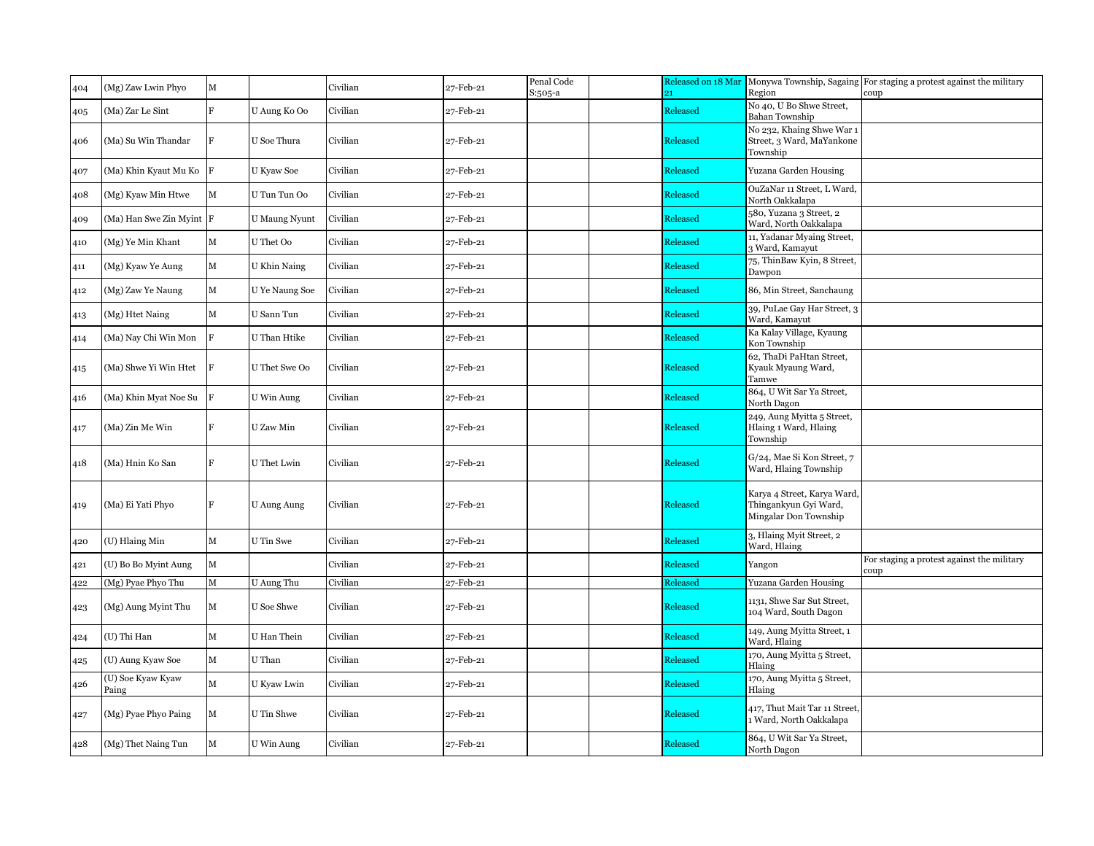| 404 | (Mg) Zaw Lwin Phyo         | $\mathbf M$    |                      | Civilian | 27-Feb-21 | Penal Code<br>S:505-a | Released on 18 Mar<br>21 | Region                                                                        | Monywa Township, Sagaing For staging a protest against the military<br>coup |
|-----|----------------------------|----------------|----------------------|----------|-----------|-----------------------|--------------------------|-------------------------------------------------------------------------------|-----------------------------------------------------------------------------|
| 405 | (Ma) Zar Le Sint           | Ŕ              | U Aung Ko Oo         | Civilian | 27-Feb-21 |                       | Released                 | No 40, U Bo Shwe Street,<br><b>Bahan Township</b>                             |                                                                             |
| 406 | (Ma) Su Win Thandar        | F              | U Soe Thura          | Civilian | 27-Feb-21 |                       | Released                 | No 232, Khaing Shwe War 1<br>Street, 3 Ward, MaYankone<br>Township            |                                                                             |
| 407 | (Ma) Khin Kyaut Mu Ko      | F              | U Kyaw Soe           | Civilian | 27-Feb-21 |                       | Released                 | Yuzana Garden Housing                                                         |                                                                             |
| 408 | (Mg) Kyaw Min Htwe         | м              | U Tun Tun Oo         | Civilian | 27-Feb-21 |                       | Released                 | OuZaNar 11 Street, L Ward,<br>North Oakkalapa                                 |                                                                             |
| 409 | (Ma) Han Swe Zin Myint     | F              | <b>U</b> Maung Nyunt | Civilian | 27-Feb-21 |                       | Released                 | 580, Yuzana 3 Street, 2<br>Ward, North Oakkalapa                              |                                                                             |
| 410 | (Mg) Ye Min Khant          | М              | U Thet Oo            | Civilian | 27-Feb-21 |                       | Released                 | 11, Yadanar Myaing Street,<br>3 Ward, Kamayut                                 |                                                                             |
| 411 | (Mg) Kyaw Ye Aung          | М              | U Khin Naing         | Civilian | 27-Feb-21 |                       | Released                 | 75, ThinBaw Kyin, 8 Street,<br>Dawpon                                         |                                                                             |
| 412 | (Mg) Zaw Ye Naung          | М              | U Ye Naung Soe       | Civilian | 27-Feb-21 |                       | Released                 | 86, Min Street, Sanchaung                                                     |                                                                             |
| 413 | (Mg) Htet Naing            | М              | U Sann Tun           | Civilian | 27-Feb-21 |                       | Released                 | 39, PuLae Gay Har Street, 3<br>Ward, Kamayut                                  |                                                                             |
| 414 | (Ma) Nay Chi Win Mon       | $\overline{F}$ | U Than Htike         | Civilian | 27-Feb-21 |                       | Released                 | Ka Kalay Village, Kyaung<br>Kon Township                                      |                                                                             |
| 415 | (Ma) Shwe Yi Win Htet      |                | U Thet Swe Oo        | Civilian | 27-Feb-21 |                       | Released                 | 62, ThaDi PaHtan Street,<br>Kyauk Myaung Ward,<br>Tamwe                       |                                                                             |
| 416 | (Ma) Khin Myat Noe Su      | R              | U Win Aung           | Civilian | 27-Feb-21 |                       | Released                 | 864, U Wit Sar Ya Street,<br>North Dagon                                      |                                                                             |
| 417 | (Ma) Zin Me Win            | F              | U Zaw Min            | Civilian | 27-Feb-21 |                       | Released                 | 249, Aung Myitta 5 Street,<br>Hlaing 1 Ward, Hlaing<br>Township               |                                                                             |
| 418 | (Ma) Hnin Ko San           | R              | U Thet Lwin          | Civilian | 27-Feb-21 |                       | Released                 | G/24, Mae Si Kon Street, 7<br>Ward, Hlaing Township                           |                                                                             |
| 419 | (Ma) Ei Yati Phyo          | $\mathbf{F}$   | <b>U</b> Aung Aung   | Civilian | 27-Feb-21 |                       | Released                 | Karya 4 Street, Karya Ward,<br>Thingankyun Gyi Ward,<br>Mingalar Don Township |                                                                             |
| 420 | (U) Hlaing Min             | М              | U Tin Swe            | Civilian | 27-Feb-21 |                       | Released                 | 3, Hlaing Myit Street, 2<br>Ward, Hlaing                                      |                                                                             |
| 421 | (U) Bo Bo Myint Aung       | М              |                      | Civilian | 27-Feb-21 |                       | Released                 | Yangon                                                                        | For staging a protest against the military<br>coup                          |
| 122 | (Mg) Pyae Phyo Thu         | M              | U Aung Thu           | Civilian | 27-Feb-21 |                       | Released                 | Yuzana Garden Housing                                                         |                                                                             |
| 423 | (Mg) Aung Myint Thu        | М              | <b>U</b> Soe Shwe    | Civilian | 27-Feb-21 |                       | Released                 | 1131, Shwe Sar Sut Street,<br>104 Ward, South Dagon                           |                                                                             |
| 424 | (U) Thi Han                | M              | U Han Thein          | Civilian | 27-Feb-21 |                       | Released                 | 149, Aung Myitta Street, 1<br>Ward, Hlaing                                    |                                                                             |
| 425 | (U) Aung Kyaw Soe          | М              | U Than               | Civilian | 27-Feb-21 |                       | Released                 | 170, Aung Myitta 5 Street,<br>Hlaing                                          |                                                                             |
| 426 | (U) Soe Kyaw Kyaw<br>Paing | М              | U Kyaw Lwin          | Civilian | 27-Feb-21 |                       | Released                 | 170, Aung Myitta 5 Street,<br>Hlaing                                          |                                                                             |
| 427 | (Mg) Pyae Phyo Paing       | м              | U Tin Shwe           | Civilian | 27-Feb-21 |                       | Released                 | 417, Thut Mait Tar 11 Street,<br>Ward, North Oakkalapa                        |                                                                             |
| 428 | (Mg) Thet Naing Tun        | М              | U Win Aung           | Civilian | 27-Feb-21 |                       | Released                 | 864, U Wit Sar Ya Street,<br>North Dagon                                      |                                                                             |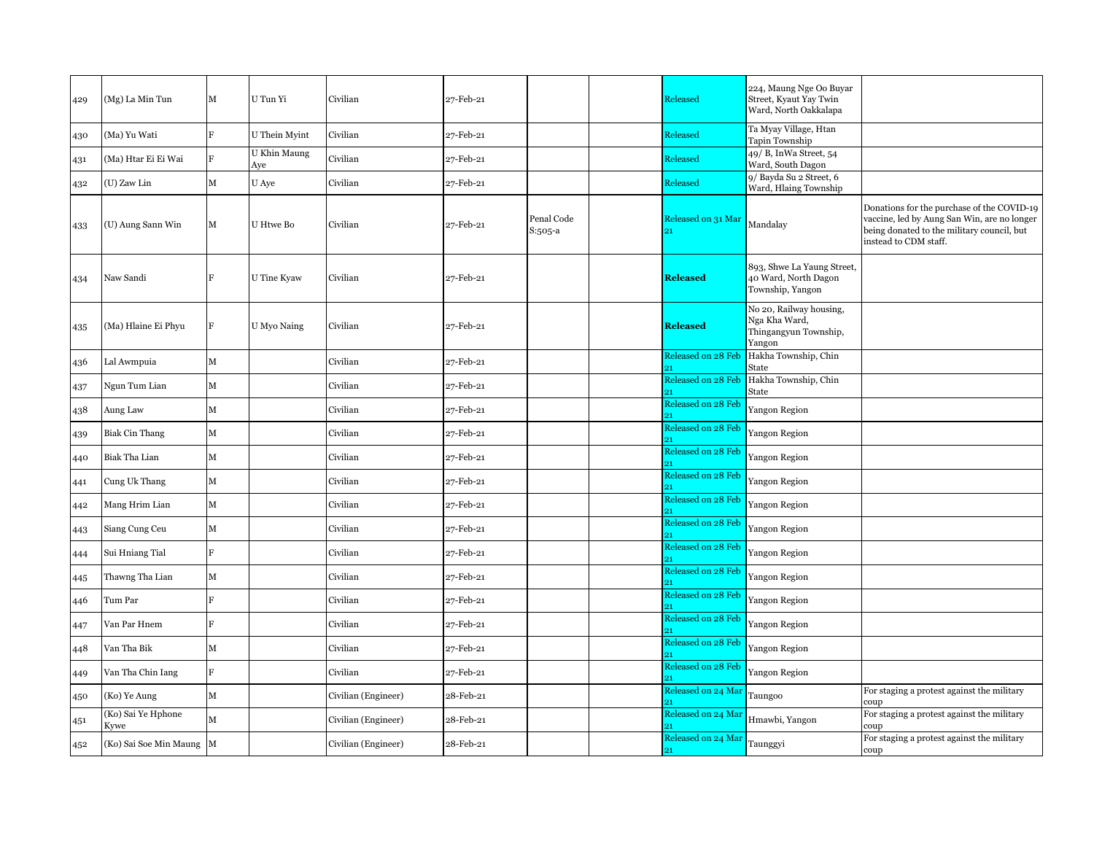| 429 | (Mg) La Min Tun            | M           | U Tun Yi            | Civilian            | 27-Feb-21 |                       | Released                 | 224, Maung Nge Oo Buyar<br>Street, Kyaut Yay Twin<br>Ward, North Oakkalapa  |                                                                                                                                                                  |
|-----|----------------------------|-------------|---------------------|---------------------|-----------|-----------------------|--------------------------|-----------------------------------------------------------------------------|------------------------------------------------------------------------------------------------------------------------------------------------------------------|
| 430 | (Ma) Yu Wati               | F           | U Thein Myint       | Civilian            | 27-Feb-21 |                       | Released                 | Ta Myay Village, Htan<br>Tapin Township                                     |                                                                                                                                                                  |
| 431 | (Ma) Htar Ei Ei Wai        |             | U Khin Maung<br>Aye | Civilian            | 27-Feb-21 |                       | Released                 | 49/ B, InWa Street, 54<br>Ward, South Dagon                                 |                                                                                                                                                                  |
| 432 | (U) Zaw Lin                | $\mathbf M$ | U Aye               | Civilian            | 27-Feb-21 |                       | Released                 | 9/ Bayda Su 2 Street, 6<br>Ward, Hlaing Township                            |                                                                                                                                                                  |
| 433 | (U) Aung Sann Win          | М           | U Htwe Bo           | Civilian            | 27-Feb-21 | Penal Code<br>S:505-a | Released on 31 Mar       | Mandalay                                                                    | Donations for the purchase of the COVID-19<br>vaccine, led by Aung San Win, are no longer<br>being donated to the military council, but<br>instead to CDM staff. |
| 434 | Naw Sandi                  | F           | U Tine Kyaw         | Civilian            | 27-Feb-21 |                       | <b>Released</b>          | 893, Shwe La Yaung Street,<br>40 Ward, North Dagon<br>Township, Yangon      |                                                                                                                                                                  |
| 435 | (Ma) Hlaine Ei Phyu        | $\mathbf F$ | U Myo Naing         | Civilian            | 27-Feb-21 |                       | <b>Released</b>          | No 20, Railway housing,<br>Nga Kha Ward,<br>Thingangyun Township,<br>Yangon |                                                                                                                                                                  |
| 436 | Lal Awmpuia                | $\mathbf M$ |                     | Civilian            | 27-Feb-21 |                       | Released on 28 Feb       | Hakha Township, Chin<br>State                                               |                                                                                                                                                                  |
| 437 | Ngun Tum Lian              | $\mathbf M$ |                     | Civilian            | 27-Feb-21 |                       | Released on 28 Feb       | Hakha Township, Chin<br>State                                               |                                                                                                                                                                  |
| 438 | Aung Law                   | $\mathbf M$ |                     | Civilian            | 27-Feb-21 |                       | Released on 28 Feb       | Yangon Region                                                               |                                                                                                                                                                  |
| 439 | <b>Biak Cin Thang</b>      | $\mathbf M$ |                     | Civilian            | 27-Feb-21 |                       | Released on 28 Feb       | Yangon Region                                                               |                                                                                                                                                                  |
| 440 | Biak Tha Lian              | $\mathbf M$ |                     | Civilian            | 27-Feb-21 |                       | Released on 28 Feb       | Yangon Region                                                               |                                                                                                                                                                  |
| 441 | Cung Uk Thang              | $\mathbf M$ |                     | Civilian            | 27-Feb-21 |                       | Released on 28 Feb       | Yangon Region                                                               |                                                                                                                                                                  |
| 442 | Mang Hrim Lian             | $\mathbf M$ |                     | Civilian            | 27-Feb-21 |                       | Released on 28 Feb       | Yangon Region                                                               |                                                                                                                                                                  |
| 443 | Siang Cung Ceu             | $\mathbf M$ |                     | Civilian            | 27-Feb-21 |                       | Released on 28 Feb       | Yangon Region                                                               |                                                                                                                                                                  |
| 444 | Sui Hniang Tial            | F           |                     | Civilian            | 27-Feb-21 |                       | Released on 28 Feb<br>o1 | Yangon Region                                                               |                                                                                                                                                                  |
| 445 | Thawng Tha Lian            | $\mathbf M$ |                     | Civilian            | 27-Feb-21 |                       | Released on 28 Feb       | Yangon Region                                                               |                                                                                                                                                                  |
| 446 | Tum Par                    | F           |                     | Civilian            | 27-Feb-21 |                       | Released on 28 Feb       | Yangon Region                                                               |                                                                                                                                                                  |
| 447 | Van Par Hnem               | F           |                     | Civilian            | 27-Feb-21 |                       | Released on 28 Feb<br>21 | Yangon Region                                                               |                                                                                                                                                                  |
| 448 | Van Tha Bik                | $\mathbf M$ |                     | Civilian            | 27-Feb-21 |                       | Released on 28 Feb       | Yangon Region                                                               |                                                                                                                                                                  |
| 449 | Van Tha Chin Iang          | F           |                     | Civilian            | 27-Feb-21 |                       | Released on 28 Feb       | Yangon Region                                                               |                                                                                                                                                                  |
| 450 | (Ko) Ye Aung               | $\mathbf M$ |                     | Civilian (Engineer) | 28-Feb-21 |                       | Released on 24 Mar       | Taungoo                                                                     | For staging a protest against the military<br>coup                                                                                                               |
| 451 | (Ko) Sai Ye Hphone<br>Kywe | M           |                     | Civilian (Engineer) | 28-Feb-21 |                       | Released on 24 Mar       | Hmawbi, Yangon                                                              | For staging a protest against the military<br>coup                                                                                                               |
| 452 | (Ko) Sai Soe Min Maung M   |             |                     | Civilian (Engineer) | 28-Feb-21 |                       | Released on 24 Mar<br>21 | Taunggyi                                                                    | For staging a protest against the military<br>coup                                                                                                               |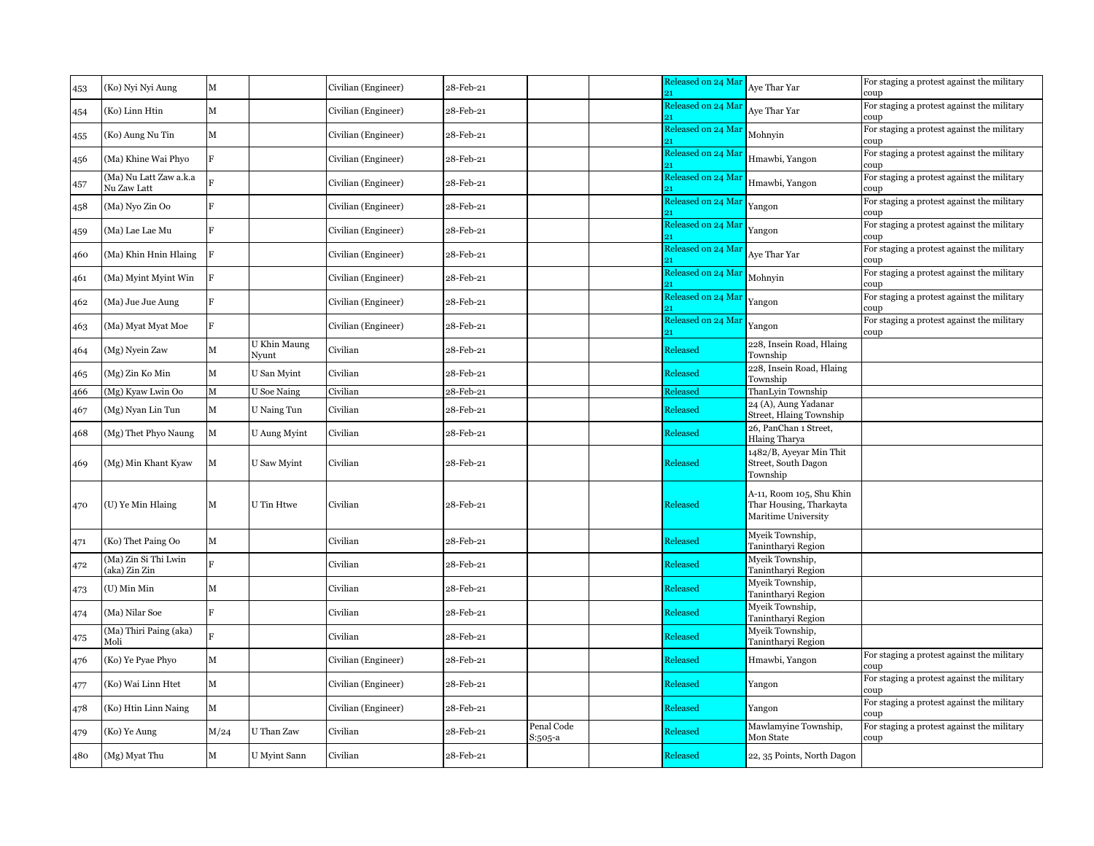| 453 | (Ko) Nyi Nyi Aung                     | М              |                       | Civilian (Engineer) | 28-Feb-21 |                       | Released on 24 Mar       | Aye Thar Yar                                                               | For staging a protest against the military<br>coup |
|-----|---------------------------------------|----------------|-----------------------|---------------------|-----------|-----------------------|--------------------------|----------------------------------------------------------------------------|----------------------------------------------------|
| 454 | (Ko) Linn Htin                        | M              |                       | Civilian (Engineer) | 28-Feb-21 |                       | Released on 24 Mar       | Aye Thar Yar                                                               | For staging a protest against the military<br>coup |
| 455 | (Ko) Aung Nu Tin                      | М              |                       | Civilian (Engineer) | 28-Feb-21 |                       | Released on 24 Mar       | Mohnyin                                                                    | For staging a protest against the military<br>coup |
| 456 | (Ma) Khine Wai Phyo                   | $\overline{R}$ |                       | Civilian (Engineer) | 28-Feb-21 |                       | Released on 24 Ma        | Hmawbi, Yangon                                                             | For staging a protest against the military<br>coup |
| 457 | (Ma) Nu Latt Zaw a.k.a<br>Nu Zaw Latt |                |                       | Civilian (Engineer) | 28-Feb-21 |                       | Released on 24 Ma        | Hmawbi, Yangon                                                             | For staging a protest against the military<br>coup |
| 458 | (Ma) Nyo Zin Oo                       | $\overline{R}$ |                       | Civilian (Engineer) | 28-Feb-21 |                       | Released on 24 Ma        | Yangon                                                                     | For staging a protest against the military<br>coup |
| 459 | (Ma) Lae Lae Mu                       | $\overline{R}$ |                       | Civilian (Engineer) | 28-Feb-21 |                       | Released on 24 Ma        | Yangon                                                                     | For staging a protest against the military<br>coup |
| 460 | (Ma) Khin Hnin Hlaing                 | F              |                       | Civilian (Engineer) | 28-Feb-21 |                       | Released on 24 Ma        | Aye Thar Yar                                                               | For staging a protest against the military<br>coup |
| 461 | (Ma) Myint Myint Win                  | R              |                       | Civilian (Engineer) | 28-Feb-21 |                       | Released on 24 Mar       | Mohnyin                                                                    | For staging a protest against the military<br>coup |
| 462 | (Ma) Jue Jue Aung                     | R              |                       | Civilian (Engineer) | 28-Feb-21 |                       | Released on 24 Mai<br>91 | Yangon                                                                     | For staging a protest against the military<br>coup |
| 463 | (Ma) Myat Myat Moe                    | F              |                       | Civilian (Engineer) | 28-Feb-21 |                       | Released on 24 Mai       | Yangon                                                                     | For staging a protest against the military<br>coup |
| 464 | (Mg) Nyein Zaw                        | М              | U Khin Maung<br>Nvunt | Civilian            | 28-Feb-21 |                       | Released                 | 228, Insein Road, Hlaing<br>Township                                       |                                                    |
| 465 | (Mg) Zin Ko Min                       | М              | U San Myint           | Civilian            | 28-Feb-21 |                       | Released                 | 228, Insein Road, Hlaing<br>Township                                       |                                                    |
| 466 | (Mg) Kyaw Lwin Oo                     | М              | <b>U</b> Soe Naing    | Civilian            | 28-Feb-21 |                       | Released                 | ThanLyin Township                                                          |                                                    |
| 467 | (Mg) Nyan Lin Tun                     | М              | U Naing Tun           | Civilian            | 28-Feb-21 |                       | <b>Released</b>          | 24 (A), Aung Yadanar<br>Street, Hlaing Township                            |                                                    |
| 468 | (Mg) Thet Phyo Naung                  | M              | U Aung Myint          | Civilian            | 28-Feb-21 |                       | <b>Released</b>          | 26, PanChan 1 Street,<br><b>Hlaing Tharya</b>                              |                                                    |
| 469 | (Mg) Min Khant Kyaw                   | М              | U Saw Myint           | Civilian            | 28-Feb-21 |                       | Released                 | 1482/B, Ayeyar Min Thit<br>Street, South Dagon<br>Township                 |                                                    |
| 470 | (U) Ye Min Hlaing                     | М              | U Tin Htwe            | Civilian            | 28-Feb-21 |                       | Released                 | A-11, Room 105, Shu Khin<br>Thar Housing, Tharkayta<br>Maritime University |                                                    |
| 471 | (Ko) Thet Paing Oo                    | M              |                       | Civilian            | 28-Feb-21 |                       | Released                 | Myeik Township,<br>Tanintharyi Region                                      |                                                    |
| 472 | (Ma) Zin Si Thi Lwin<br>(aka) Zin Zin | R              |                       | Civilian            | 28-Feb-21 |                       | Released                 | Myeik Township,<br>Tanintharyi Region                                      |                                                    |
| 473 | (U) Min Min                           | М              |                       | Civilian            | 28-Feb-21 |                       | Released                 | Myeik Township,<br>Tanintharyi Region                                      |                                                    |
| 474 | (Ma) Nilar Soe                        | $\overline{R}$ |                       | Civilian            | 28-Feb-21 |                       | Released                 | Myeik Township,<br>Tanintharyi Region                                      |                                                    |
| 475 | (Ma) Thiri Paing (aka)<br>Moli        | R              |                       | Civilian            | 28-Feb-21 |                       | Released                 | Myeik Township,<br>Tanintharyi Region                                      |                                                    |
| 476 | (Ko) Ye Pyae Phyo                     | M              |                       | Civilian (Engineer) | 28-Feb-21 |                       | Released                 | Hmawbi, Yangon                                                             | For staging a protest against the military<br>coup |
| 477 | (Ko) Wai Linn Htet                    | М              |                       | Civilian (Engineer) | 28-Feb-21 |                       | Released                 | Yangon                                                                     | For staging a protest against the military<br>coup |
| 478 | (Ko) Htin Linn Naing                  | М              |                       | Civilian (Engineer) | 28-Feb-21 |                       | Released                 | Yangon                                                                     | For staging a protest against the military<br>coup |
| 479 | (Ko) Ye Aung                          | M/24           | U Than Zaw            | Civilian            | 28-Feb-21 | Penal Code<br>S:505-a | Released                 | Mawlamyine Township,<br>Mon State                                          | For staging a protest against the military<br>coup |
| 480 | (Mg) Myat Thu                         | М              | U Myint Sann          | Civilian            | 28-Feb-21 |                       | Released                 | 22, 35 Points, North Dagon                                                 |                                                    |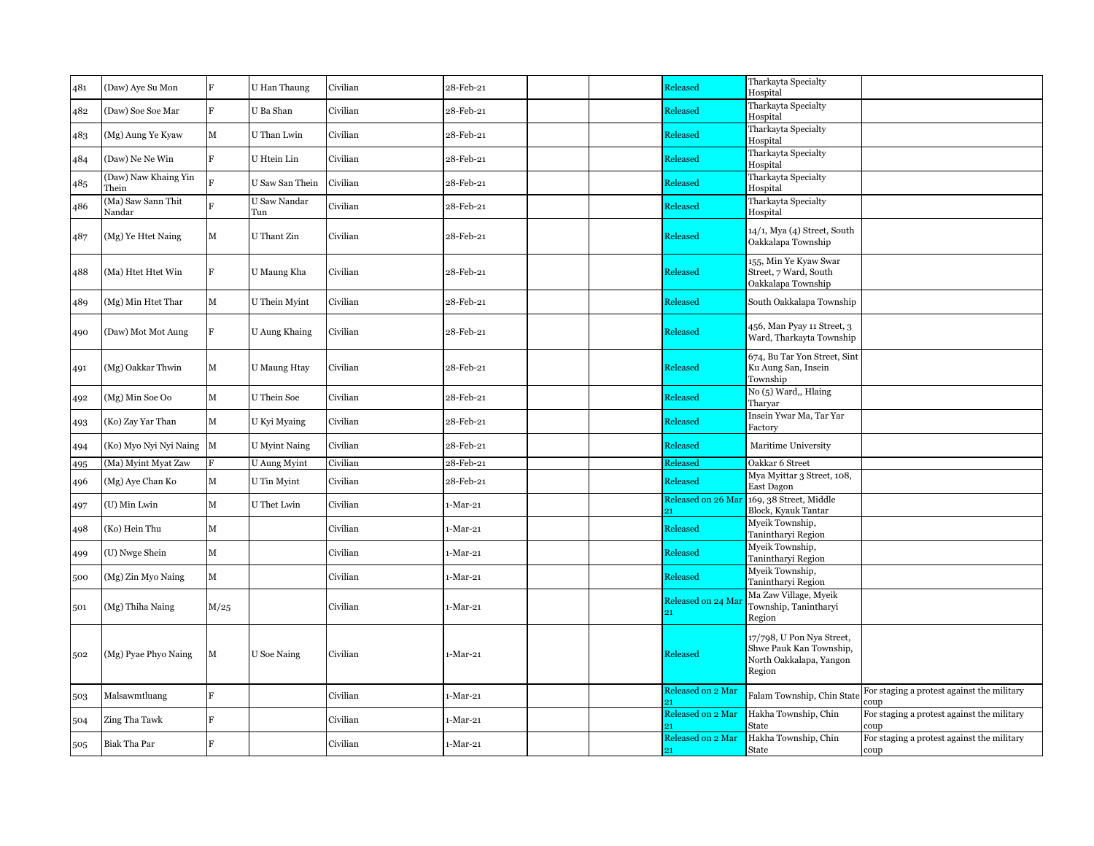| 481 | (Daw) Aye Su Mon              | F              | U Han Thaung         | Civilian | 28-Feb-21                                                  |  | Released                 | Tharkayta Specialty<br>Hospital                                                           |                                                    |
|-----|-------------------------------|----------------|----------------------|----------|------------------------------------------------------------|--|--------------------------|-------------------------------------------------------------------------------------------|----------------------------------------------------|
| 482 | (Daw) Soe Soe Mar             | F              | U Ba Shan            | Civilian | 28-Feb-21                                                  |  | Released                 | Tharkayta Specialty<br>Hospital                                                           |                                                    |
| 483 | (Mg) Aung Ye Kyaw             | M              | U Than Lwin          | Civilian | 28-Feb-21                                                  |  | Released                 | Tharkayta Specialty<br>Hospital                                                           |                                                    |
| 484 | (Daw) Ne Ne Win               | F              | U Htein Lin          | Civilian | 28-Feb-21                                                  |  | Released                 | Tharkayta Specialty<br>Hospital                                                           |                                                    |
| 485 | (Daw) Naw Khaing Yin<br>Thein | Ŕ              | U Saw San Thein      | Civilian | 28-Feb-21                                                  |  | Released                 | Tharkayta Specialty<br>Hospital                                                           |                                                    |
| 486 | (Ma) Saw Sann Thit<br>Nandar  |                | U Saw Nandar<br>Tun  | Civilian | 28-Feb-21                                                  |  | Released                 | Tharkayta Specialty<br>Hospital                                                           |                                                    |
| 487 | (Mg) Ye Htet Naing            | М              | U Thant Zin          | Civilian | 28-Feb-21                                                  |  | Released                 | 14/1, Mya (4) Street, South<br>Oakkalapa Township                                         |                                                    |
| 488 | (Ma) Htet Htet Win            | E              | U Maung Kha          | Civilian | 28-Feb-21                                                  |  | Released                 | 155, Min Ye Kyaw Swar<br>Street, 7 Ward, South<br>Oakkalapa Township                      |                                                    |
| 489 | (Mg) Min Htet Thar            | М              | U Thein Myint        | Civilian | 28-Feb-21                                                  |  | Released                 | South Oakkalapa Township                                                                  |                                                    |
| 490 | (Daw) Mot Mot Aung            | F              | U Aung Khaing        | Civilian | 28-Feb-21                                                  |  | Released                 | 456, Man Pyay 11 Street, 3<br>Ward, Tharkayta Township                                    |                                                    |
| 491 | (Mg) Oakkar Thwin             | М              | <b>U</b> Maung Htay  | Civilian | 28-Feb-21                                                  |  | Released                 | 674, Bu Tar Yon Street, Sint<br>Ku Aung San, Insein<br>Township                           |                                                    |
| 492 | (Mg) Min Soe Oo               | М              | U Thein Soe          | Civilian | $\operatorname{\mathsf{28}\text{-}Feb\text{-}\mathsf{21}}$ |  | Released                 | No (5) Ward,, Hlaing<br>Tharvar                                                           |                                                    |
| 493 | (Ko) Zay Yar Than             | М              | U Kyi Myaing         | Civilian | 28-Feb-21                                                  |  | Released                 | Insein Ywar Ma, Tar Yar<br>Factory                                                        |                                                    |
| 494 | (Ko) Myo Nyi Nyi Naing        | M              | <b>U</b> Myint Naing | Civilian | 28-Feb-21                                                  |  | Released                 | Maritime University                                                                       |                                                    |
| 495 | (Ma) Myint Myat Zaw           | F              | U Aung Myint         | Civilian | 28-Feb-21                                                  |  | Released                 | Oakkar 6 Street                                                                           |                                                    |
| 496 | (Mg) Aye Chan Ko              | М              | U Tin Myint          | Civilian | 28-Feb-21                                                  |  | Released                 | Mya Myittar 3 Street, 108,<br>East Dagon                                                  |                                                    |
| 497 | (U) Min Lwin                  | M              | U Thet Lwin          | Civilian | $1-Mar-21$                                                 |  | Released on 26 Mai<br>21 | 169, 38 Street, Middle<br>Block, Kyauk Tantar                                             |                                                    |
| 498 | (Ko) Hein Thu                 | М              |                      | Civilian | $1-Mar-21$                                                 |  | Released                 | Myeik Township,<br>Tanintharyi Region                                                     |                                                    |
| 499 | (U) Nwge Shein                | М              |                      | Civilian | $1-Mar-21$                                                 |  | Released                 | Myeik Township,<br>Tanintharyi Region                                                     |                                                    |
| 500 | (Mg) Zin Myo Naing            | М              |                      | Civilian | $1-Mar-21$                                                 |  | Released                 | Myeik Township,<br>Tanintharyi Region                                                     |                                                    |
| 501 | (Mg) Thiha Naing              | M/25           |                      | Civilian | $1-Mar-21$                                                 |  | Released on 24 Mar<br>21 | Ma Zaw Village, Myeik<br>Township, Tanintharyi<br>Region                                  |                                                    |
| 502 | (Mg) Pyae Phyo Naing          | М              | <b>U</b> Soe Naing   | Civilian | $1-Mar-21$                                                 |  | Released                 | 17/798, U Pon Nya Street,<br>Shwe Pauk Kan Township,<br>North Oakkalapa, Yangon<br>Region |                                                    |
| 503 | Malsawmtluang                 | R              |                      | Civilian | 1-Mar-21                                                   |  | Released on 2 Mar        | Falam Township, Chin Stat                                                                 | For staging a protest against the military<br>coup |
| 504 | Zing Tha Tawk                 | $\overline{F}$ |                      | Civilian | 1-Mar-21                                                   |  | Released on 2 Mar        | Hakha Township, Chin<br>State                                                             | For staging a protest against the military<br>coup |
| 505 | Biak Tha Par                  | E              |                      | Civilian | $1-Mar-21$                                                 |  | Released on 2 Mar<br>21  | Hakha Township, Chin<br>State                                                             | For staging a protest against the military<br>coup |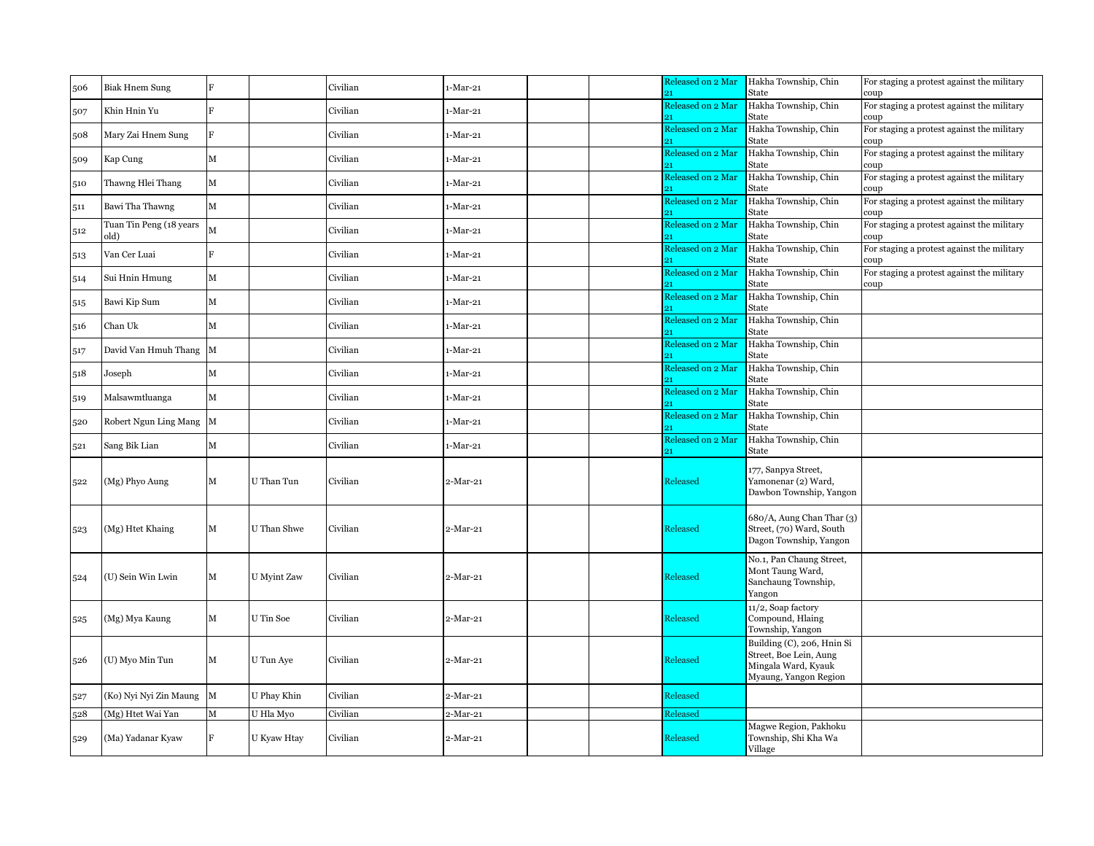| 506 | <b>Biak Hnem Sung</b>           | F              |             | Civilian | $1-Mar-21$ | Released on 2 Mar       | Hakha Township, Chin<br>State                                                                        | For staging a protest against the military<br>coup |
|-----|---------------------------------|----------------|-------------|----------|------------|-------------------------|------------------------------------------------------------------------------------------------------|----------------------------------------------------|
| 507 | Khin Hnin Yu                    | $\mathbf{E}$   |             | Civilian | $1-Mar-21$ | Released on 2 Mar       | Hakha Township, Chin<br>State                                                                        | For staging a protest against the military<br>coup |
| 508 | Mary Zai Hnem Sung              | $\overline{F}$ |             | Civilian | $1-Mar-21$ | Released on 2 Mar       | Hakha Township, Chin<br>State                                                                        | For staging a protest against the military<br>coup |
| 509 | Kap Cung                        | $\mathbf M$    |             | Civilian | 1-Mar-21   | Released on 2 Mar       | Hakha Township, Chin<br>State                                                                        | For staging a protest against the military<br>coup |
| 510 | Thawng Hlei Thang               | M              |             | Civilian | 1-Mar-21   | Released on 2 Mar       | Hakha Township, Chin<br>State                                                                        | For staging a protest against the military<br>coup |
| 511 | Bawi Tha Thawng                 | ${\bf M}$      |             | Civilian | $1-Mar-21$ | Released on 2 Mar<br>91 | Hakha Township, Chin<br>State                                                                        | For staging a protest against the military<br>coup |
| 512 | Tuan Tin Peng (18 years<br>old) | M              |             | Civilian | $1-Mar-21$ | Released on 2 Mar       | Hakha Township, Chin<br>State                                                                        | For staging a protest against the military<br>coup |
| 513 | Van Cer Luai                    | $\overline{R}$ |             | Civilian | $1-Mar-21$ | Released on 2 Mar       | Hakha Township, Chin<br>State                                                                        | For staging a protest against the military<br>coup |
| 514 | Sui Hnin Hmung                  | М              |             | Civilian | 1-Mar-21   | Released on 2 Mar       | Hakha Township, Chin<br>State                                                                        | For staging a protest against the military<br>coup |
| 515 | Bawi Kip Sum                    | $\mathbf M$    |             | Civilian | $1-Mar-21$ | Released on 2 Mar       | Hakha Township, Chin<br>State                                                                        |                                                    |
| 516 | Chan Uk                         | M              |             | Civilian | $1-Mar-21$ | Released on 2 Mar       | Hakha Township, Chin<br>State                                                                        |                                                    |
| 517 | David Van Hmuh Thang            | M              |             | Civilian | $1-Mar-21$ | Released on 2 Mar       | Hakha Township, Chin<br>State                                                                        |                                                    |
| 518 | Joseph                          | M              |             | Civilian | $1-Mar-21$ | Released on 2 Mar       | Hakha Township, Chin<br>State                                                                        |                                                    |
| 519 | Malsawmtluanga                  | $\mathbf M$    |             | Civilian | $1-Mar-21$ | Released on 2 Mar<br>91 | Hakha Township, Chin<br>State                                                                        |                                                    |
| 520 | Robert Ngun Ling Mang M         |                |             | Civilian | 1-Mar-21   | Released on 2 Mar       | Hakha Township, Chin<br>State                                                                        |                                                    |
| 521 | Sang Bik Lian                   | $\mathbf M$    |             | Civilian | $1-Mar-21$ | Released on 2 Mar       | Hakha Township, Chin<br>State                                                                        |                                                    |
| 522 | (Mg) Phyo Aung                  | M              | U Than Tun  | Civilian | $2-Mar-21$ | Released                | 177, Sanpya Street,<br>Yamonenar (2) Ward,<br>Dawbon Township, Yangon                                |                                                    |
| 523 | (Mg) Htet Khaing                | M              | U Than Shwe | Civilian | $2-Mar-21$ | Released                | 680/A, Aung Chan Thar (3)<br>Street, (70) Ward, South<br>Dagon Township, Yangon                      |                                                    |
| 524 | (U) Sein Win Lwin               | М              | U Myint Zaw | Civilian | $2-Mar-21$ | Released                | No.1, Pan Chaung Street,<br>Mont Taung Ward,<br>Sanchaung Township,<br>Yangon                        |                                                    |
| 525 | (Mg) Mya Kaung                  | М              | U Tin Soe   | Civilian | $2-Mar-21$ | Released                | 11/2, Soap factory<br>Compound, Hlaing<br>Township, Yangon                                           |                                                    |
| 526 | (U) Myo Min Tun                 | $\mathbf M$    | U Tun Aye   | Civilian | $2-Mar-21$ | Released                | Building (C), 206, Hnin Si<br>Street, Boe Lein, Aung<br>Mingala Ward, Kyauk<br>Myaung, Yangon Region |                                                    |
| 527 | (Ko) Nyi Nyi Zin Maung          | $\mathbf M$    | U Phay Khin | Civilian | 2-Mar-21   | Released                |                                                                                                      |                                                    |
| 528 | (Mg) Htet Wai Yan               | $\mathbf M$    | U Hla Myo   | Civilian | $2-Mar-21$ | Released                |                                                                                                      |                                                    |
| 529 | (Ma) Yadanar Kyaw               | F              | U Kyaw Htay | Civilian | $2-Mar-21$ | Released                | Magwe Region, Pakhoku<br>Township, Shi Kha Wa<br>Village                                             |                                                    |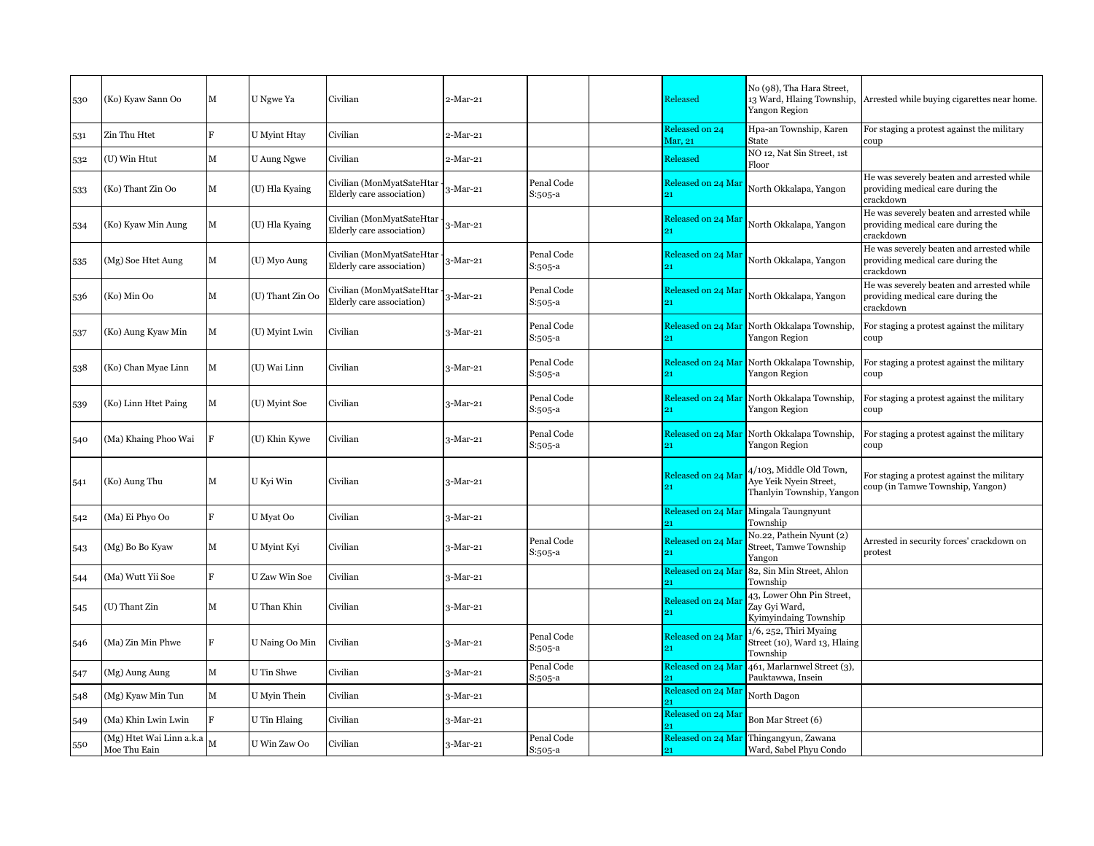| 530 | (Ko) Kyaw Sann Oo                        | М | U Ngwe Ya        | Civilian                                               | 2-Mar-21   |                         | Released                              | No (98), Tha Hara Street,<br>13 Ward, Hlaing Township,<br>Yangon Region        | Arrested while buying cigarettes near home.                                                 |
|-----|------------------------------------------|---|------------------|--------------------------------------------------------|------------|-------------------------|---------------------------------------|--------------------------------------------------------------------------------|---------------------------------------------------------------------------------------------|
| 531 | Zin Thu Htet                             | F | U Myint Htay     | Civilian                                               | 2-Mar-21   |                         | Released on 24<br>Mar, 21             | Hpa-an Township, Karen<br>State                                                | For staging a protest against the military<br>coup                                          |
| 532 | (U) Win Htut                             | M | U Aung Ngwe      | Civilian                                               | 2-Mar-21   |                         | Released                              | NO 12, Nat Sin Street, 1st<br>Floor                                            |                                                                                             |
| 533 | (Ko) Thant Zin Oo                        | М | (U) Hla Kyaing   | Civilian (MonMyatSateHtar<br>Elderly care association) | $3-Mar-21$ | Penal Code<br>S:505-a   | Released on 24 Mai                    | North Okkalapa, Yangon                                                         | He was severely beaten and arrested while<br>providing medical care during the<br>crackdown |
| 534 | (Ko) Kyaw Min Aung                       | М | (U) Hla Kyaing   | Civilian (MonMyatSateHtar<br>Elderly care association) | $3-Mar-21$ |                         | Released on 24 Mar                    | North Okkalapa, Yangon                                                         | He was severely beaten and arrested while<br>providing medical care during the<br>crackdown |
| 535 | (Mg) Soe Htet Aung                       | М | (U) Myo Aung     | Civilian (MonMyatSateHtar<br>Elderly care association) | $-Mar-21$  | Penal Code<br>S:505-a   | Released on 24 Mar<br>21              | North Okkalapa, Yangon                                                         | He was severely beaten and arrested while<br>providing medical care during the<br>crackdown |
| 536 | (Ko) Min Oo                              | М | (U) Thant Zin Oo | Civilian (MonMyatSateHtar<br>Elderly care association) | $3-Mar-21$ | Penal Code<br>S:505-a   | Released on 24 Mar                    | North Okkalapa, Yangon                                                         | He was severely beaten and arrested while<br>providing medical care during the<br>crackdown |
| 537 | (Ko) Aung Kyaw Min                       | М | (U) Myint Lwin   | Civilian                                               | 3-Mar-21   | Penal Code<br>S:505-a   |                                       | Released on 24 Mar North Okkalapa Township,<br>Yangon Region                   | For staging a protest against the military<br>coup                                          |
| 538 | (Ko) Chan Myae Linn                      | м | (U) Wai Linn     | Civilian                                               | 3-Mar-21   | Penal Code<br>$S:505-a$ | Released on 24 Mar                    | North Okkalapa Township,<br>Yangon Region                                      | For staging a protest against the military<br>coup                                          |
| 539 | (Ko) Linn Htet Paing                     | М | (U) Myint Soe    | Civilian                                               | 3-Mar-21   | Penal Code<br>$S:505-a$ | Released on 24 Mar                    | North Okkalapa Township,<br>Yangon Region                                      | For staging a protest against the military<br>coup                                          |
| 540 | (Ma) Khaing Phoo Wai                     |   | (U) Khin Kywe    | Civilian                                               | 3-Mar-21   | Penal Code<br>S:505-a   | Released on 24 Mar                    | North Okkalapa Township,<br>Yangon Region                                      | For staging a protest against the military<br>coup                                          |
| 541 | (Ko) Aung Thu                            | М | U Kyi Win        | Civilian                                               | 3-Mar-21   |                         | Released on 24 Ma<br>91               | 4/103, Middle Old Town,<br>Aye Yeik Nyein Street,<br>Thanlyin Township, Yangor | For staging a protest against the military<br>coup (in Tamwe Township, Yangon)              |
| 542 | (Ma) Ei Phyo Oo                          | R | U Myat Oo        | Civilian                                               | $3-Mar-21$ |                         | Released on 24 Mar                    | Mingala Taungnyunt<br>Township                                                 |                                                                                             |
| 543 | (Mg) Bo Bo Kyaw                          | М | U Myint Kyi      | Civilian                                               | 3-Mar-21   | Penal Code<br>S:505-a   | Released on 24 Ma                     | No.22, Pathein Nyunt (2)<br><b>Street, Tamwe Township</b><br>Yangon            | Arrested in security forces' crackdown on<br>protest                                        |
| 544 | (Ma) Wutt Yii Soe                        | F | U Zaw Win Soe    | Civilian                                               | 3-Mar-21   |                         | Released on 24 Ma                     | 82, Sin Min Street, Ahlon<br>Township                                          |                                                                                             |
| 545 | (U) Thant Zin                            | М | U Than Khin      | Civilian                                               | 3-Mar-21   |                         | Released on 24 Ma<br>21               | 43, Lower Ohn Pin Street,<br>Zav Gvi Ward,<br>Kyimyindaing Township            |                                                                                             |
| 546 | (Ma) Zin Min Phwe                        |   | U Naing Oo Min   | Civilian                                               | 3-Mar-21   | Penal Code<br>S:505-a   | Released on 24 Ma<br>91               | 1/6, 252, Thiri Myaing<br>Street (10), Ward 13, Hlaing<br>Township             |                                                                                             |
| 547 | (Mg) Aung Aung                           | М | U Tin Shwe       | Civilian                                               | 3-Mar-21   | Penal Code<br>S:505-a   | Released on 24 Ma<br>91               | 461, Marlarnwel Street (3),<br>Pauktawwa, Insein                               |                                                                                             |
| 548 | (Mg) Kyaw Min Tun                        | М | U Myin Thein     | Civilian                                               | 3-Mar-21   |                         | Released on 24 Mai                    | North Dagon                                                                    |                                                                                             |
| 549 | (Ma) Khin Lwin Lwin                      | F | U Tin Hlaing     | Civilian                                               | 3-Mar-21   |                         | Released on 24 Ma                     | Bon Mar Street (6)                                                             |                                                                                             |
| 550 | (Mg) Htet Wai Linn a.k.a<br>Moe Thu Eain | M | U Win Zaw Oo     | Civilian                                               | $3-Mar-21$ | Penal Code<br>S:505-a   | Released on 24 Mar<br>21 <sup>2</sup> | Thingangyun, Zawana<br>Ward, Sabel Phyu Condo                                  |                                                                                             |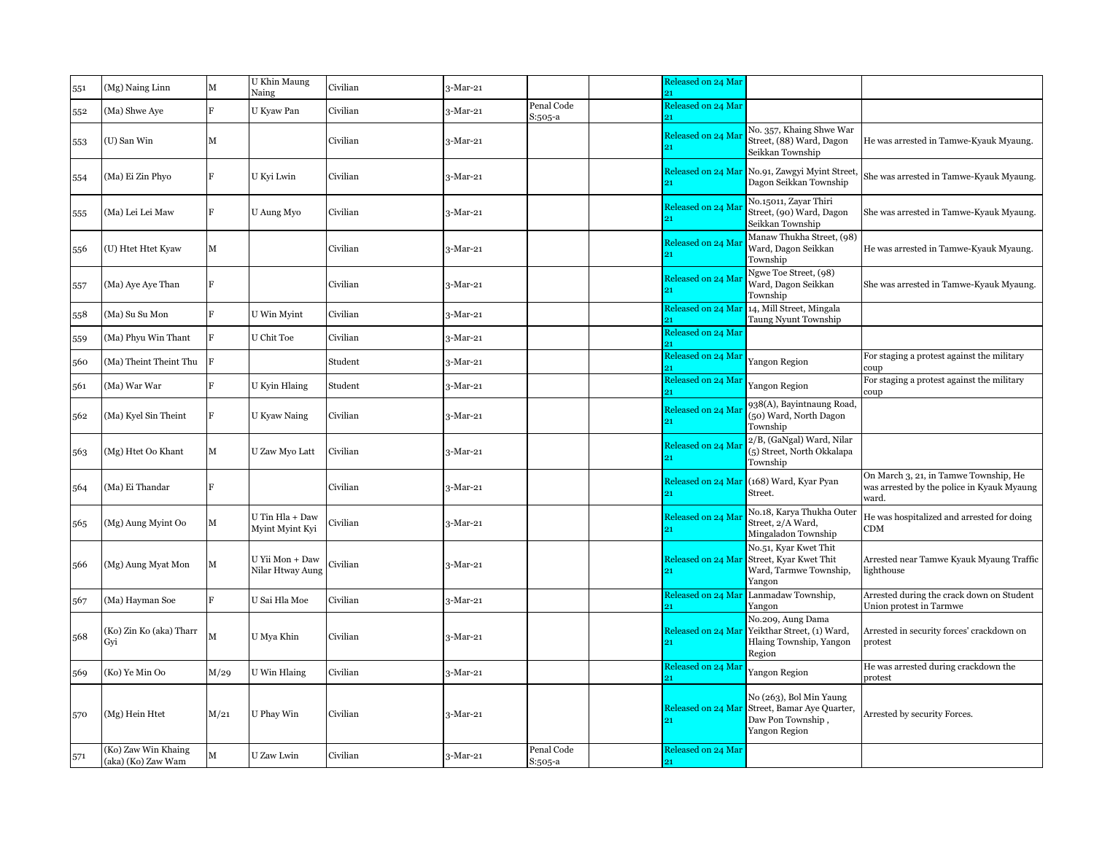| 551 | (Mg) Naing Linn                           | М              | U Khin Maung<br>Naing               | Civilian | $3-Mar-21$ |                       | Released on 24 Mar       |                                                                                             |                                                                                              |
|-----|-------------------------------------------|----------------|-------------------------------------|----------|------------|-----------------------|--------------------------|---------------------------------------------------------------------------------------------|----------------------------------------------------------------------------------------------|
| 552 | (Ma) Shwe Aye                             | F              | U Kyaw Pan                          | Civilian | $3-Mar-21$ | Penal Code<br>S:505-a | Released on 24 Mar       |                                                                                             |                                                                                              |
| 553 | (U) San Win                               | М              |                                     | Civilian | $3-Mar-21$ |                       | Released on 24 Ma<br>21  | No. 357, Khaing Shwe War<br>Street, (88) Ward, Dagon<br>Seikkan Township                    | He was arrested in Tamwe-Kyauk Myaung.                                                       |
| 554 | (Ma) Ei Zin Phyo                          | F              | U Kyi Lwin                          | Civilian | $3-Mar-21$ |                       | Released on 24 Mar       | No.91, Zawgyi Myint Street,<br>Dagon Seikkan Township                                       | She was arrested in Tamwe-Kyauk Myaung.                                                      |
| 555 | (Ma) Lei Lei Maw                          | $\mathbf{F}$   | U Aung Myo                          | Civilian | $3-Mar-21$ |                       | Released on 24 Ma        | No.15011, Zayar Thiri<br>Street, (90) Ward, Dagon<br>Seikkan Township                       | She was arrested in Tamwe-Kyauk Myaung.                                                      |
| 556 | (U) Htet Htet Kyaw                        | M              |                                     | Civilian | 3-Mar-21   |                       | Released on 24 Ma        | Manaw Thukha Street, (98)<br>Ward, Dagon Seikkan<br>Township                                | He was arrested in Tamwe-Kyauk Myaung.                                                       |
| 557 | (Ma) Aye Aye Than                         | F              |                                     | Civilian | $3-Mar-21$ |                       | Released on 24 Ma<br>91  | Ngwe Toe Street, (98)<br>Ward, Dagon Seikkan<br>Township                                    | She was arrested in Tamwe-Kyauk Myaung.                                                      |
| 558 | (Ma) Su Su Mon                            | F              | U Win Myint                         | Civilian | $3-Mar-21$ |                       | Released on 24 Mar       | 14, Mill Street, Mingala<br>Taung Nyunt Township                                            |                                                                                              |
| 559 | (Ma) Phyu Win Thant                       | F              | U Chit Toe                          | Civilian | $3-Mar-21$ |                       | Released on 24 Mar       |                                                                                             |                                                                                              |
| 560 | (Ma) Theint Theint Thu                    |                |                                     | Student  | $3-Mar-21$ |                       | Released on 24 Mar       | Yangon Region                                                                               | For staging a protest against the military<br>coup                                           |
| 561 | (Ma) War War                              | $\overline{R}$ | U Kyin Hlaing                       | Student  | $3-Mar-21$ |                       | Released on 24 Mai<br>91 | Yangon Region                                                                               | For staging a protest against the military<br>coup                                           |
| 562 | (Ma) Kyel Sin Theint                      | F              | U Kyaw Naing                        | Civilian | $3-Mar-21$ |                       | Released on 24 Mai       | 938(A), Bayintnaung Road,<br>(50) Ward, North Dagon<br>Township                             |                                                                                              |
| 563 | (Mg) Htet Oo Khant                        | М              | U Zaw Myo Latt                      | Civilian | $3-Mar-21$ |                       | Released on 24 Ma<br>91  | 2/B, (GaNgal) Ward, Nilar<br>(5) Street, North Okkalapa<br>Township                         |                                                                                              |
| 564 | (Ma) Ei Thandar                           |                |                                     | Civilian | 3-Mar-21   |                       | Released on 24 Mar       | (168) Ward, Kyar Pyan<br>Street.                                                            | On March 3, 21, in Tamwe Township, He<br>was arrested by the police in Kyauk Myaung<br>ward. |
| 565 | (Mg) Aung Myint Oo                        | М              | U Tin Hla + Daw<br>Myint Myint Kyi  | Civilian | 3-Mar-21   |                       | Released on 24 Ma<br>21  | No.18, Karya Thukha Outer<br>Street, 2/A Ward,<br>Mingaladon Township                       | He was hospitalized and arrested for doing<br><b>CDM</b>                                     |
| 566 | (Mg) Aung Myat Mon                        | М              | U Yii Mon + Daw<br>Nilar Htway Aung | Civilian | 3-Mar-21   |                       | Released on 24 Mai       | No.51, Kyar Kwet Thit<br>Street, Kyar Kwet Thit<br>Ward, Tarmwe Township,<br>Yangon         | Arrested near Tamwe Kyauk Myaung Traffic<br>lighthouse                                       |
| 567 | (Ma) Hayman Soe                           |                | U Sai Hla Moe                       | Civilian | 3-Mar-21   |                       | Released on 24 Mar       | Lanmadaw Township,<br>Yangon                                                                | Arrested during the crack down on Student<br>Union protest in Tarmwe                         |
| 568 | (Ko) Zin Ko (aka) Tharr<br>Gyi            |                | U Mya Khin                          | Civilian | $3-Mar-21$ |                       | Released on 24 Ma<br>21  | No.209, Aung Dama<br>Yeikthar Street, (1) Ward,<br>Hlaing Township, Yangon<br>Region        | Arrested in security forces' crackdown on<br>protest                                         |
| 569 | (Ko) Ye Min Oo                            | M/29           | U Win Hlaing                        | Civilian | $3-Mar-21$ |                       | Released on 24 Ma        | Yangon Region                                                                               | He was arrested during crackdown the<br>protest                                              |
| 570 | (Mg) Hein Htet                            | M/21           | U Phay Win                          | Civilian | $3-Mar-21$ |                       | Released on 24 Mar       | No (263), Bol Min Yaung<br>Street, Bamar Aye Quarter,<br>Daw Pon Township,<br>Yangon Region | Arrested by security Forces.                                                                 |
| 571 | (Ko) Zaw Win Khaing<br>(aka) (Ko) Zaw Wam | M              | U Zaw Lwin                          | Civilian | $3-Mar-21$ | Penal Code<br>S:505-a | Released on 24 Mar<br>21 |                                                                                             |                                                                                              |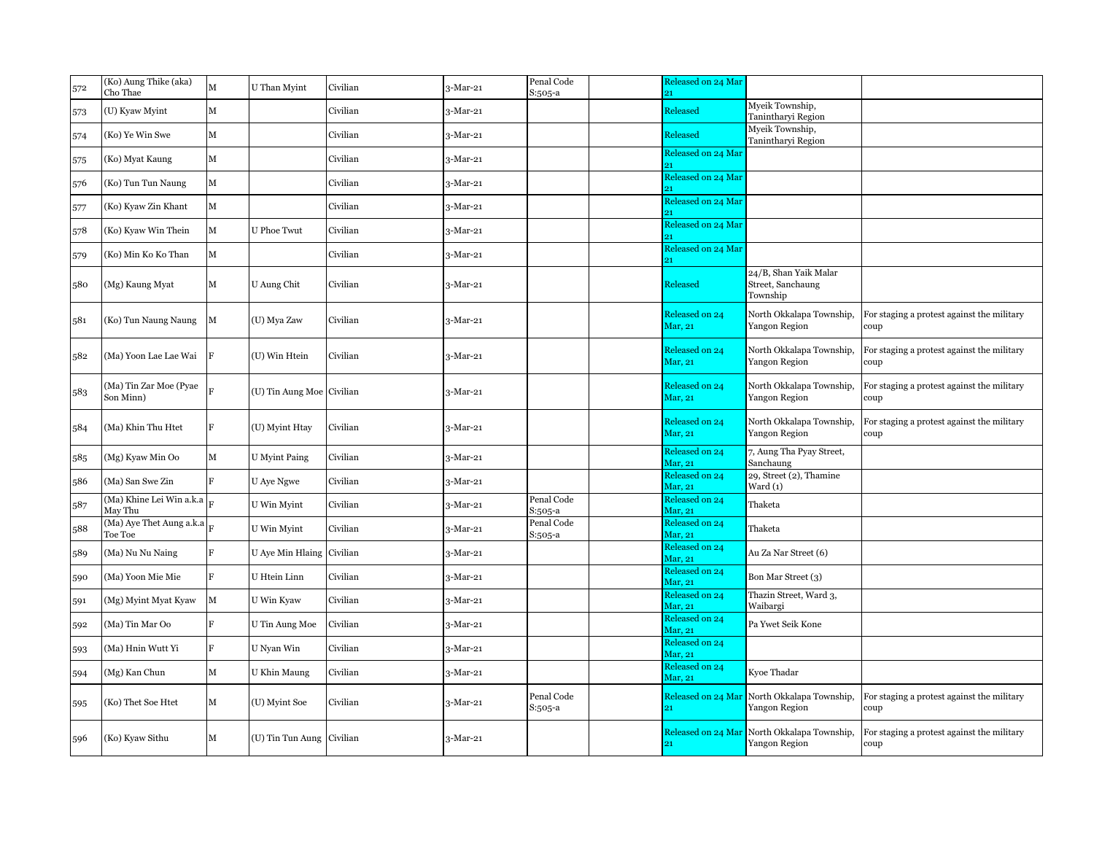| 572 | (Ko) Aung Thike (aka)<br>Cho Thae   | M              | U Than Myint              | Civilian | $3-Mar-21$ | Penal Code<br>S:505-a | Released on 24 Mar<br>21  |                                                              |                                                    |
|-----|-------------------------------------|----------------|---------------------------|----------|------------|-----------------------|---------------------------|--------------------------------------------------------------|----------------------------------------------------|
| 573 | (U) Kyaw Myint                      | M              |                           | Civilian | 3-Mar-21   |                       | Released                  | Myeik Township,<br>Tanintharyi Region                        |                                                    |
| 574 | (Ko) Ye Win Swe                     | М              |                           | Civilian | $3-Mar-21$ |                       | Released                  | Myeik Township,<br>Tanintharyi Region                        |                                                    |
| 575 | (Ko) Myat Kaung                     | M              |                           | Civilian | 3-Mar-21   |                       | Released on 24 Mar        |                                                              |                                                    |
| 576 | (Ko) Tun Tun Naung                  | M              |                           | Civilian | 3-Mar-21   |                       | Released on 24 Mar        |                                                              |                                                    |
| 577 | (Ko) Kyaw Zin Khant                 | М              |                           | Civilian | 3-Mar-21   |                       | Released on 24 Mar        |                                                              |                                                    |
| 578 | (Ko) Kyaw Win Thein                 | M              | <b>U</b> Phoe Twut        | Civilian | 3-Mar-21   |                       | Released on 24 Mar        |                                                              |                                                    |
| 579 | (Ko) Min Ko Ko Than                 | M              |                           | Civilian | $3-Mar-21$ |                       | Released on 24 Mar        |                                                              |                                                    |
| 580 | (Mg) Kaung Myat                     | м              | U Aung Chit               | Civilian | 3-Mar-21   |                       | Released                  | 24/B, Shan Yaik Malar<br>Street, Sanchaung<br>Township       |                                                    |
| 581 | (Ko) Tun Naung Naung                | М              | (U) Mya Zaw               | Civilian | 3-Mar-21   |                       | Released on 24<br>Mar, 21 | North Okkalapa Township,<br>Yangon Region                    | For staging a protest against the military<br>coup |
| 582 | (Ma) Yoon Lae Lae Wai               | F              | (U) Win Htein             | Civilian | 3-Mar-21   |                       | Released on 24<br>Mar, 21 | North Okkalapa Township,<br>Yangon Region                    | For staging a protest against the military<br>coup |
| 583 | (Ma) Tin Zar Moe (Pyae<br>Son Minn) |                | (U) Tin Aung Moe Civilian |          | 3-Mar-21   |                       | Released on 24<br>Mar, 21 | North Okkalapa Township,<br>Yangon Region                    | For staging a protest against the military<br>coup |
| 584 | (Ma) Khin Thu Htet                  | Е              | (U) Myint Htay            | Civilian | 3-Mar-21   |                       | Released on 24<br>Mar, 21 | North Okkalapa Township,<br>Yangon Region                    | For staging a protest against the military<br>coup |
| 585 | (Mg) Kyaw Min Oo                    | M              | <b>U</b> Myint Paing      | Civilian | 3-Mar-21   |                       | Released on 24<br>Mar, 21 | 7, Aung Tha Pyay Street,<br>Sanchaung                        |                                                    |
| 586 | (Ma) San Swe Zin                    | $\overline{F}$ | U Aye Ngwe                | Civilian | $3-Mar-21$ |                       | Released on 24<br>Mar, 21 | 29, Street (2), Thamine<br>$\text{Ward}(1)$                  |                                                    |
| 587 | (Ma) Khine Lei Win a.k.a<br>May Thu |                | U Win Myint               | Civilian | 3-Mar-21   | Penal Code<br>S:505-a | Released on 24<br>Mar, 21 | Thaketa                                                      |                                                    |
| 588 | (Ma) Aye Thet Aung a.k.a<br>Toe Toe |                | U Win Myint               | Civilian | 3-Mar-21   | Penal Code<br>S:505-a | Released on 24<br>Mar, 21 | Thaketa                                                      |                                                    |
| 589 | (Ma) Nu Nu Naing                    | R              | U Aye Min Hlaing Civilian |          | $3-Mar-21$ |                       | Released on 24<br>Mar, 21 | Au Za Nar Street (6)                                         |                                                    |
| 590 | (Ma) Yoon Mie Mie                   | R              | U Htein Linn              | Civilian | 3-Mar-21   |                       | Released on 24<br>Mar, 21 | Bon Mar Street (3)                                           |                                                    |
| 591 | (Mg) Myint Myat Kyaw                | М              | U Win Kyaw                | Civilian | 3-Mar-21   |                       | Released on 24<br>Mar, 21 | Thazin Street, Ward 3,<br>Waibargi                           |                                                    |
| 592 | (Ma) Tin Mar Oo                     | E              | U Tin Aung Moe            | Civilian | 3-Mar-21   |                       | Released on 24<br>Mar, 21 | Pa Ywet Seik Kone                                            |                                                    |
| 593 | (Ma) Hnin Wutt Yi                   | R              | U Nyan Win                | Civilian | 3-Mar-21   |                       | Released on 24<br>Mar. 21 |                                                              |                                                    |
| 594 | (Mg) Kan Chun                       | M              | U Khin Maung              | Civilian | $3-Mar-21$ |                       | Released on 24<br>Mar, 21 | Kyoe Thadar                                                  |                                                    |
| 595 | (Ko) Thet Soe Htet                  | М              | (U) Myint Soe             | Civilian | 3-Mar-21   | Penal Code<br>S:505-a | 21                        | Released on 24 Mar North Okkalapa Township,<br>Yangon Region | For staging a protest against the military<br>coup |
| 596 | (Ko) Kyaw Sithu                     | м              | (U) Tin Tun Aung Civilian |          | 3-Mar-21   |                       | 21                        | Released on 24 Mar North Okkalapa Township,<br>Yangon Region | For staging a protest against the military<br>coup |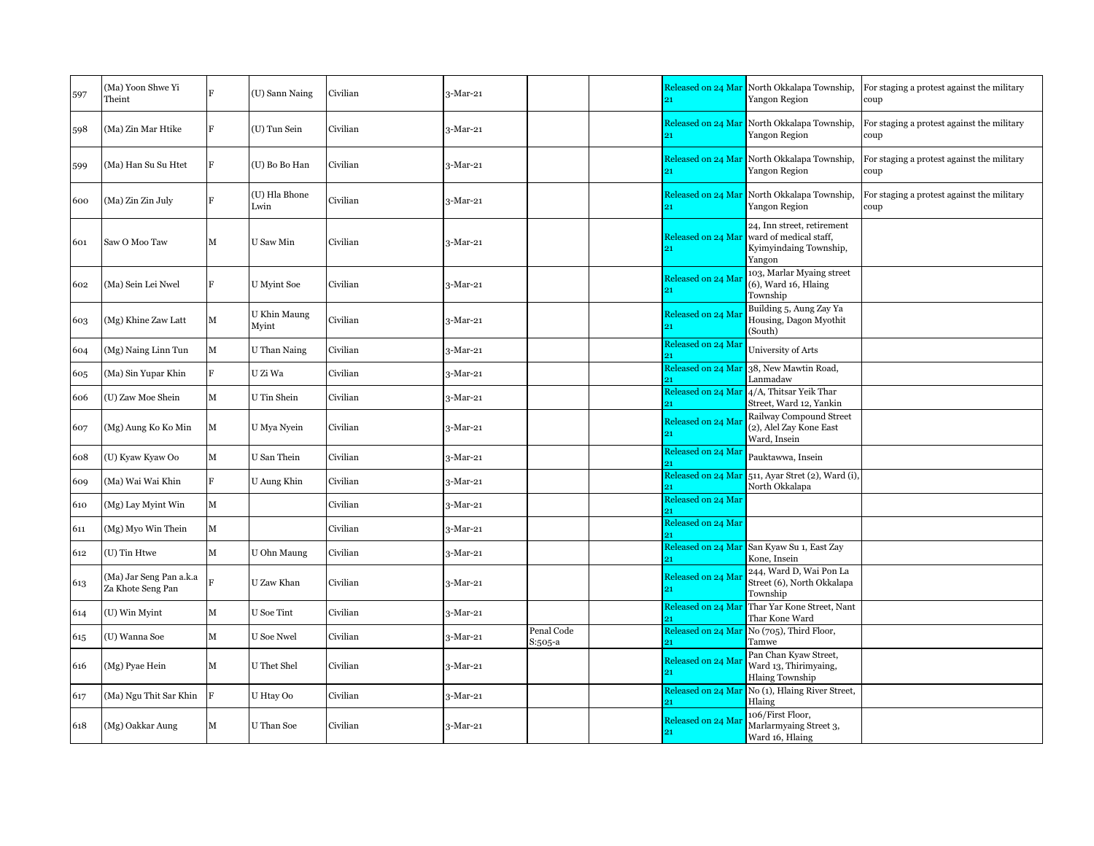| 597 | (Ma) Yoon Shwe Yi<br>Theint                  |              | (U) Sann Naing        | Civilian | $3-Mar-21$ |                       | 91                       | Released on 24 Mar North Okkalapa Township,<br>Yangon Region                             | For staging a protest against the military<br>coup |
|-----|----------------------------------------------|--------------|-----------------------|----------|------------|-----------------------|--------------------------|------------------------------------------------------------------------------------------|----------------------------------------------------|
| 598 | (Ma) Zin Mar Htike                           |              | (U) Tun Sein          | Civilian | $3-Mar-21$ |                       |                          | Released on 24 Mar North Okkalapa Township,<br>Yangon Region                             | For staging a protest against the military<br>coup |
| 599 | (Ma) Han Su Su Htet                          | F            | (U) Bo Bo Han         | Civilian | 3-Mar-21   |                       |                          | Released on 24 Mar North Okkalapa Township,<br>Yangon Region                             | For staging a protest against the military<br>coup |
| 600 | (Ma) Zin Zin July                            |              | (U) Hla Bhone<br>Lwin | Civilian | $3-Mar-21$ |                       | Released on 24 Mar       | North Okkalapa Township,<br>Yangon Region                                                | For staging a protest against the military<br>coup |
| 601 | Saw O Moo Taw                                | M            | U Saw Min             | Civilian | $3-Mar-21$ |                       | Released on 24 Mar       | 24, Inn street, retirement<br>ward of medical staff,<br>Kyimyindaing Township,<br>Yangon |                                                    |
| 602 | (Ma) Sein Lei Nwel                           | F            | <b>U</b> Myint Soe    | Civilian | $3-Mar-21$ |                       | Released on 24 Ma<br>21  | 103, Marlar Myaing street<br>(6), Ward 16, Hlaing<br>Township                            |                                                    |
| 603 | (Mg) Khine Zaw Latt                          | M            | U Khin Maung<br>Myint | Civilian | $3-Mar-21$ |                       | Released on 24 Ma<br>21  | Building 5, Aung Zay Ya<br>Housing, Dagon Myothit<br>(South)                             |                                                    |
| 604 | (Mg) Naing Linn Tun                          | M            | U Than Naing          | Civilian | $3-Mar-21$ |                       | Released on 24 Mai       | University of Arts                                                                       |                                                    |
| 605 | (Ma) Sin Yupar Khin                          | $\mathbf{F}$ | U Zi Wa               | Civilian | $3-Mar-21$ |                       | Released on 24 Mar       | 38, New Mawtin Road,<br>Lanmadaw                                                         |                                                    |
| 606 | (U) Zaw Moe Shein                            | М            | U Tin Shein           | Civilian | $3-Mar-21$ |                       | Released on 24 Mar       | 4/A, Thitsar Yeik Thar<br>Street, Ward 12, Yankin                                        |                                                    |
| 607 | (Mg) Aung Ko Ko Min                          | M            | U Mya Nyein           | Civilian | 3-Mar-21   |                       | Released on 24 Ma<br>21  | Railway Compound Street<br>(2), Alel Zay Kone East<br>Ward, Insein                       |                                                    |
| 608 | (U) Kyaw Kyaw Oo                             | $\mathbf M$  | U San Thein           | Civilian | $3-Mar-21$ |                       | Released on 24 Mar       | Pauktawwa, Insein                                                                        |                                                    |
| 609 | (Ma) Wai Wai Khin                            | $\mathbf{F}$ | U Aung Khin           | Civilian | $3-Mar-21$ |                       |                          | Released on 24 Mar 511, Ayar Stret (2), Ward (i),<br>North Okkalapa                      |                                                    |
| 610 | (Mg) Lay Myint Win                           | $\mathbf M$  |                       | Civilian | 3-Mar-21   |                       | Released on 24 Mar       |                                                                                          |                                                    |
| 611 | (Mg) Myo Win Thein                           | $\mathbf M$  |                       | Civilian | $3-Mar-21$ |                       | Released on 24 Mar       |                                                                                          |                                                    |
| 612 | (U) Tin Htwe                                 | M            | U Ohn Maung           | Civilian | $3-Mar-21$ |                       | Released on 24 Mar       | San Kyaw Su 1, East Zay<br>Kone, Insein                                                  |                                                    |
| 613 | (Ma) Jar Seng Pan a.k.a<br>Za Khote Seng Pan |              | U Zaw Khan            | Civilian | $3-Mar-21$ |                       | Released on 24 Mar<br>91 | 244, Ward D, Wai Pon La<br>Street (6), North Okkalapa<br>Township                        |                                                    |
| 614 | (U) Win Myint                                | M            | U Soe Tint            | Civilian | $3-Mar-21$ |                       | Released on 24 Mar       | Thar Yar Kone Street, Nant<br>Thar Kone Ward                                             |                                                    |
| 615 | (U) Wanna Soe                                | M            | U Soe Nwel            | Civilian | $3-Mar-21$ | Penal Code<br>S:505-a | Released on 24 Mar       | No (705), Third Floor,<br>Tamwe                                                          |                                                    |
| 616 | (Mg) Pyae Hein                               | M            | U Thet Shel           | Civilian | $3-Mar-21$ |                       | Released on 24 Ma        | Pan Chan Kyaw Street,<br>Ward 13, Thirimyaing,<br><b>Hlaing Township</b>                 |                                                    |
| 617 | (Ma) Ngu Thit Sar Khin                       | $\rm F$      | U Htay Oo             | Civilian | $3-Mar-21$ |                       | Released on 24 Mar       | No (1), Hlaing River Street,<br>Hlaing                                                   |                                                    |
| 618 | (Mg) Oakkar Aung                             | M            | U Than Soe            | Civilian | $3-Mar-21$ |                       | Released on 24 Mai<br>21 | 106/First Floor,<br>Marlarmyaing Street 3,<br>Ward 16, Hlaing                            |                                                    |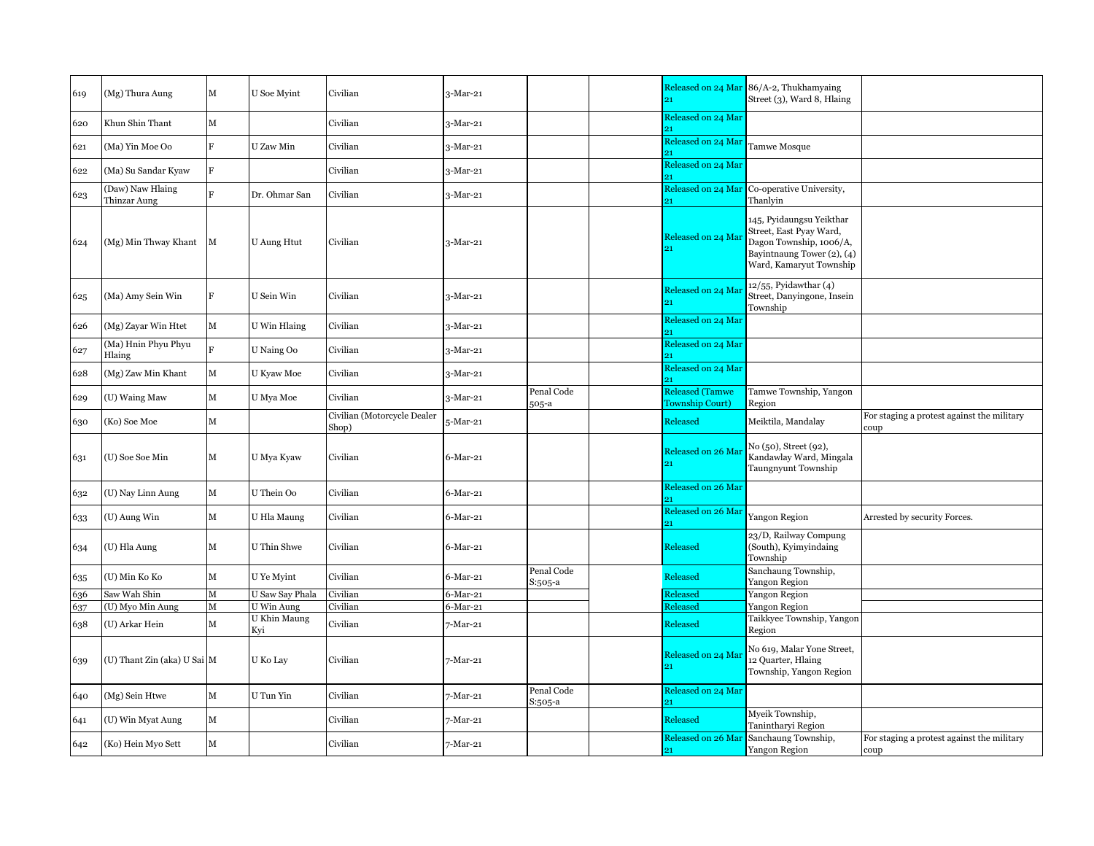| 619 | (Mg) Thura Aung                  | M                       | U Soe Myint         | Civilian                             | $3-Mar-21$  |                       |                                                  | Released on 24 Mar 86/A-2, Thukhamyaing<br>Street (3), Ward 8, Hlaing                                                                        |                                                    |
|-----|----------------------------------|-------------------------|---------------------|--------------------------------------|-------------|-----------------------|--------------------------------------------------|----------------------------------------------------------------------------------------------------------------------------------------------|----------------------------------------------------|
| 620 | Khun Shin Thant                  | $\mathbf M$             |                     | Civilian                             | $3-Mar-21$  |                       | Released on 24 Mar                               |                                                                                                                                              |                                                    |
| 621 | (Ma) Yin Moe Oo                  | $_{\rm F}$              | U Zaw Min           | Civilian                             | $3-Mar-21$  |                       | Released on 24 Mar                               | Tamwe Mosque                                                                                                                                 |                                                    |
| 622 | (Ma) Su Sandar Kyaw              | $\overline{\mathrm{F}}$ |                     | Civilian                             | $3-Mar-21$  |                       | Released on 24 Mar                               |                                                                                                                                              |                                                    |
| 623 | (Daw) Naw Hlaing<br>Thinzar Aung | $\overline{R}$          | Dr. Ohmar San       | Civilian                             | $3-Mar-21$  |                       | Released on 24 Mar                               | Co-operative University,<br>Thanlyin                                                                                                         |                                                    |
| 624 | (Mg) Min Thway Khant             | M                       | <b>U</b> Aung Htut  | Civilian                             | $3-Mar-21$  |                       | Released on 24 Mai<br>91                         | 145, Pyidaungsu Yeikthar<br>Street, East Pyay Ward,<br>Dagon Township, 1006/A,<br>Bayintnaung Tower $(2)$ , $(4)$<br>Ward, Kamaryut Township |                                                    |
| 625 | (Ma) Amy Sein Win                | F                       | U Sein Win          | Civilian                             | 3-Mar-21    |                       | Released on 24 Mai                               | $12/55$ , Pyidawthar $(4)$<br>Street, Danyingone, Insein<br>Township                                                                         |                                                    |
| 626 | (Mg) Zayar Win Htet              | $\mathbf M$             | U Win Hlaing        | Civilian                             | $3-Mar-21$  |                       | Released on 24 Mar                               |                                                                                                                                              |                                                    |
| 627 | (Ma) Hnin Phyu Phyu<br>Hlaing    | $\mathbf{E}$            | U Naing Oo          | Civilian                             | $3-Mar-21$  |                       | Released on 24 Mar                               |                                                                                                                                              |                                                    |
| 628 | (Mg) Zaw Min Khant               | $\mathbf M$             | U Kyaw Moe          | Civilian                             | 3-Mar-21    |                       | Released on 24 Mar                               |                                                                                                                                              |                                                    |
| 629 | (U) Waing Maw                    | M                       | U Mya Moe           | Civilian                             | 3-Mar-21    | Penal Code<br>505-a   | <b>Released (Tamwe</b><br><b>Township Court)</b> | Tamwe Township, Yangon<br>Region                                                                                                             |                                                    |
| 630 | (Ko) Soe Moe                     | $\mathbf M$             |                     | Civilian (Motorcycle Dealer<br>Shop) | 5-Mar-21    |                       | Released                                         | Meiktila, Mandalay                                                                                                                           | For staging a protest against the military<br>coup |
| 631 | (U) Soe Soe Min                  | $\mathbf M$             | U Mya Kyaw          | Civilian                             | $6$ -Mar-21 |                       | Released on 26 Mar                               | No (50), Street (92),<br>Kandawlay Ward, Mingala<br>Taungnyunt Township                                                                      |                                                    |
| 632 | (U) Nay Linn Aung                | М                       | U Thein Oo          | Civilian                             | $6$ -Mar-21 |                       | Released on 26 Mar                               |                                                                                                                                              |                                                    |
| 633 | (U) Aung Win                     | $\mathbf M$             | U Hla Maung         | Civilian                             | $6$ -Mar-21 |                       | Released on 26 Mai                               | Yangon Region                                                                                                                                | Arrested by security Forces.                       |
| 634 | (U) Hla Aung                     | М                       | U Thin Shwe         | Civilian                             | 6-Mar-21    |                       | Released                                         | 23/D, Railway Compung<br>(South), Kyimyindaing<br>Township                                                                                   |                                                    |
| 635 | (U) Min Ko Ko                    | M                       | U Ye Myint          | Civilian                             | $6$ -Mar-21 | Penal Code<br>S:505-a | Released                                         | Sanchaung Township,<br>Yangon Region                                                                                                         |                                                    |
| 636 | Saw Wah Shin                     | М                       | U Saw Say Phala     | Civilian                             | 6-Mar-21    |                       | Released                                         | Yangon Region                                                                                                                                |                                                    |
| 637 | (U) Myo Min Aung                 | $\mathbf M$             | U Win Aung          | Civilian                             | $6$ -Mar-21 |                       | Released                                         | Yangon Region                                                                                                                                |                                                    |
| 638 | (U) Arkar Hein                   | $\mathbf{M}$            | U Khin Maung<br>Kvi | Civilian                             | 7-Mar-21    |                       | Released                                         | Taikkyee Township, Yangon<br>Region                                                                                                          |                                                    |
| 639 | (U) Thant Zin (aka) U Sai M      |                         | U Ko Lay            | Civilian                             | 7-Mar-21    |                       | Released on 24 Mai<br>91                         | No 619, Malar Yone Street,<br>12 Quarter, Hlaing<br>Township, Yangon Region                                                                  |                                                    |
| 640 | (Mg) Sein Htwe                   | $\mathbf M$             | U Tun Yin           | Civilian                             | 7-Mar-21    | Penal Code<br>S:505-a | Released on 24 Mar                               |                                                                                                                                              |                                                    |
| 641 | (U) Win Myat Aung                | $\mathbf M$             |                     | Civilian                             | 7-Mar-21    |                       | Released                                         | Myeik Township,<br>Tanintharyi Region                                                                                                        |                                                    |
| 642 | (Ko) Hein Myo Sett               | M                       |                     | Civilian                             | 7-Mar-21    |                       | Released on 26 Mar<br>21                         | Sanchaung Township,<br>Yangon Region                                                                                                         | For staging a protest against the military<br>coup |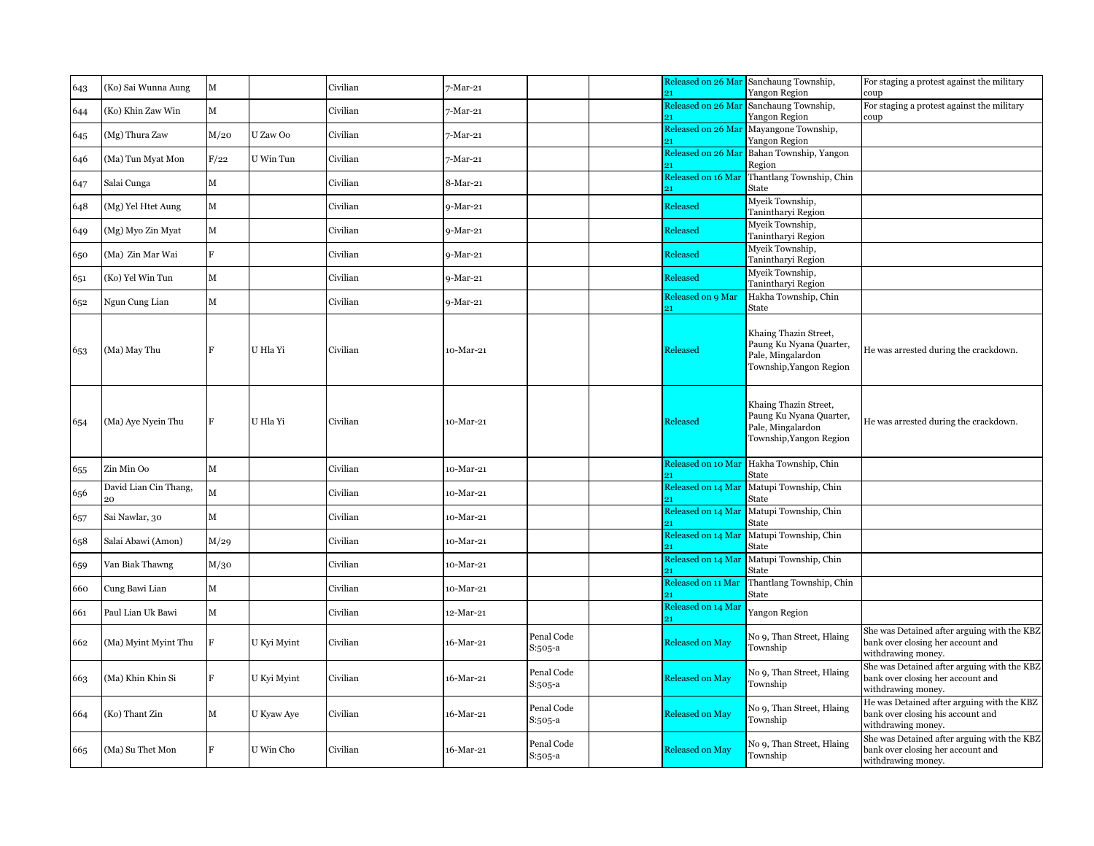| 643 | (Ko) Sai Wunna Aung         | M            |             | Civilian | 7-Mar-21   |                       |                         | Released on 26 Mar Sanchaung Township,<br>Yangon Region                                          | For staging a protest against the military<br>coup                                                     |
|-----|-----------------------------|--------------|-------------|----------|------------|-----------------------|-------------------------|--------------------------------------------------------------------------------------------------|--------------------------------------------------------------------------------------------------------|
| 644 | (Ko) Khin Zaw Win           | М            |             | Civilian | 7-Mar-21   |                       | Released on 26 Mar      | Sanchaung Township,                                                                              | For staging a protest against the military                                                             |
|     |                             |              |             |          |            |                       | Released on 26 Mar      | Yangon Region<br>Mayangone Township,                                                             | coup                                                                                                   |
| 645 | (Mg) Thura Zaw              | M/20         | U Zaw Oo    | Civilian | 7-Mar-21   |                       |                         | Yangon Region                                                                                    |                                                                                                        |
| 646 | (Ma) Tun Myat Mon           | F/22         | U Win Tun   | Civilian | 7-Mar-21   |                       | Released on 26 Mai      | Bahan Township, Yangon<br>Region                                                                 |                                                                                                        |
| 647 | Salai Cunga                 | $\mathbf M$  |             | Civilian | 8-Mar-21   |                       | Released on 16 Mar      | Thantlang Township, Chin<br>State                                                                |                                                                                                        |
| 648 | (Mg) Yel Htet Aung          | $\mathbf M$  |             | Civilian | 9-Mar-21   |                       | Released                | Myeik Township,<br>Tanintharyi Region                                                            |                                                                                                        |
| 649 | (Mg) Myo Zin Myat           | $\mathbf M$  |             | Civilian | 9-Mar-21   |                       | Released                | Myeik Township,<br>Tanintharyi Region                                                            |                                                                                                        |
| 650 | (Ma) Zin Mar Wai            | F            |             | Civilian | 9-Mar-21   |                       | Released                | Myeik Township,<br>Tanintharyi Region                                                            |                                                                                                        |
| 651 | (Ko) Yel Win Tun            | $\mathbf M$  |             | Civilian | 9-Mar-21   |                       | Released                | Myeik Township,<br>Tanintharyi Region                                                            |                                                                                                        |
| 652 | Ngun Cung Lian              | $\mathbf M$  |             | Civilian | $9-Mar-21$ |                       | Released on 9 Mar<br>91 | Hakha Township, Chin<br>State                                                                    |                                                                                                        |
| 653 | (Ma) May Thu                |              | U Hla Yi    | Civilian | 10-Mar-21  |                       | Released                | Khaing Thazin Street,<br>Paung Ku Nyana Quarter,<br>Pale, Mingalardon<br>Township, Yangon Region | He was arrested during the crackdown.                                                                  |
| 654 | (Ma) Aye Nyein Thu          |              | U Hla Yi    | Civilian | 10-Mar-21  |                       | Released                | Khaing Thazin Street,<br>Paung Ku Nyana Quarter,<br>Pale, Mingalardon<br>Township, Yangon Region | He was arrested during the crackdown.                                                                  |
| 655 | Zin Min Oo                  | $\mathbf M$  |             | Civilian | 10-Mar-21  |                       |                         | Released on 10 Mar Hakha Township, Chin<br>State                                                 |                                                                                                        |
| 656 | David Lian Cin Thang,<br>20 | $\mathbf{M}$ |             | Civilian | 10-Mar-21  |                       | Released on 14 Mar      | Matupi Township, Chin<br>State                                                                   |                                                                                                        |
| 657 | Sai Nawlar, 30              | ${\bf M}$    |             | Civilian | 10-Mar-21  |                       | Released on 14 Mar      | Matupi Township, Chin<br>State                                                                   |                                                                                                        |
| 658 | Salai Abawi (Amon)          | M/29         |             | Civilian | 10-Mar-21  |                       | Released on 14 Mar      | Matupi Township, Chin<br>State                                                                   |                                                                                                        |
| 659 | Van Biak Thawng             | M/30         |             | Civilian | 10-Mar-21  |                       | Released on 14 Mar      | Matupi Township, Chin<br>State                                                                   |                                                                                                        |
| 660 | Cung Bawi Lian              | $\mathbf M$  |             | Civilian | 10-Mar-21  |                       | Released on 11 Mar      | Thantlang Township, Chin<br>State                                                                |                                                                                                        |
| 661 | Paul Lian Uk Bawi           | $\mathbf M$  |             | Civilian | 12-Mar-21  |                       | Released on 14 Mar      | Yangon Region                                                                                    |                                                                                                        |
| 662 | (Ma) Myint Myint Thu        | F            | U Kyi Myint | Civilian | 16-Mar-21  | Penal Code<br>S:505-a | <b>Released on May</b>  | No 9, Than Street, Hlaing<br>Township                                                            | She was Detained after arguing with the KBZ<br>bank over closing her account and<br>withdrawing money. |
| 663 | (Ma) Khin Khin Si           | F            | U Kyi Myint | Civilian | 16-Mar-21  | Penal Code<br>S:505-a | Released on May         | No 9, Than Street, Hlaing<br>Township                                                            | She was Detained after arguing with the KBZ<br>bank over closing her account and<br>withdrawing money. |
| 664 | (Ko) Thant Zin              | М            | U Kyaw Aye  | Civilian | 16-Mar-21  | Penal Code<br>S:505-a | <b>Released on May</b>  | No 9, Than Street, Hlaing<br>Township                                                            | He was Detained after arguing with the KBZ<br>bank over closing his account and<br>withdrawing money.  |
| 665 | (Ma) Su Thet Mon            |              | U Win Cho   | Civilian | 16-Mar-21  | Penal Code<br>S:505-a | <b>Released on May</b>  | No 9, Than Street, Hlaing<br>Township                                                            | She was Detained after arguing with the KBZ<br>bank over closing her account and<br>withdrawing money. |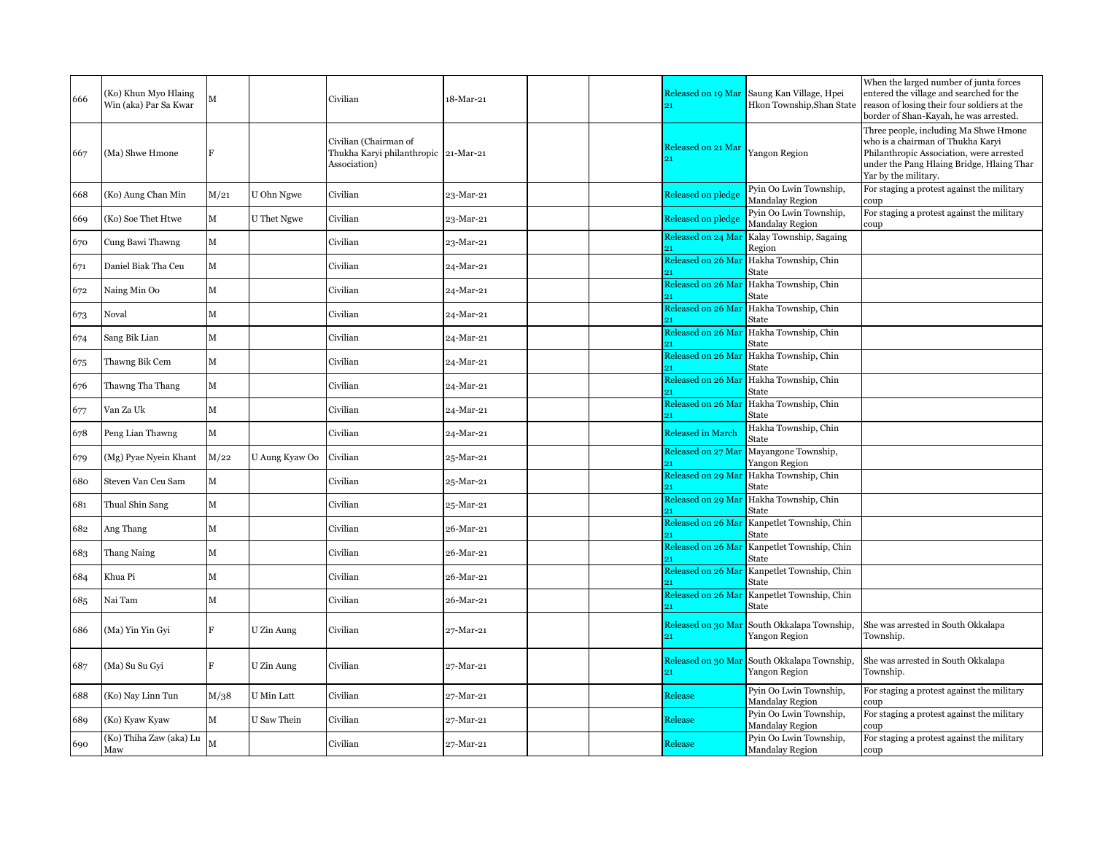| 666 | (Ko) Khun Myo Hlaing<br>Win (aka) Par Sa Kwar |      |                | Civilian                                                                      | 18-Mar-21 | Released on 19 Mar<br>21  | Saung Kan Village, Hpei<br>Hkon Township, Shan State | When the larged number of junta forces<br>entered the village and searched for the<br>reason of losing their four soldiers at the<br>border of Shan-Kayah, he was arrested.                 |
|-----|-----------------------------------------------|------|----------------|-------------------------------------------------------------------------------|-----------|---------------------------|------------------------------------------------------|---------------------------------------------------------------------------------------------------------------------------------------------------------------------------------------------|
| 667 | (Ma) Shwe Hmone                               |      |                | Civilian (Chairman of<br>Thukha Karyi philanthropic 21-Mar-21<br>Association) |           | Released on 21 Mar        | Yangon Region                                        | Three people, including Ma Shwe Hmone<br>who is a chairman of Thukha Karyi<br>Philanthropic Association, were arrested<br>under the Pang Hlaing Bridge, Hlaing Thar<br>Yar by the military. |
| 668 | (Ko) Aung Chan Min                            | M/21 | U Ohn Ngwe     | Civilian                                                                      | 23-Mar-21 | <b>Released on pledge</b> | Pyin Oo Lwin Township,<br>Mandalay Region            | For staging a protest against the military<br>coup                                                                                                                                          |
| 669 | (Ko) Soe Thet Htwe                            | М    | U Thet Ngwe    | Civilian                                                                      | 23-Mar-21 | Released on pledge        | Pyin Oo Lwin Township,<br>Mandalay Region            | For staging a protest against the military<br>coup                                                                                                                                          |
| 670 | Cung Bawi Thawng                              | М    |                | Civilian                                                                      | 23-Mar-21 | Released on 24 Mar        | Kalay Township, Sagaing<br>Region                    |                                                                                                                                                                                             |
| 671 | Daniel Biak Tha Ceu                           | М    |                | Civilian                                                                      | 24-Mar-21 | Released on 26 Mar        | Hakha Township, Chin<br>State                        |                                                                                                                                                                                             |
| 672 | Naing Min Oo                                  | М    |                | Civilian                                                                      | 24-Mar-21 | Released on 26 Mar<br>91  | Hakha Township, Chin<br>State                        |                                                                                                                                                                                             |
| 673 | Noval                                         | м    |                | Civilian                                                                      | 24-Mar-21 | Released on 26 Mar        | Hakha Township, Chin<br>State                        |                                                                                                                                                                                             |
| 674 | Sang Bik Lian                                 | M    |                | Civilian                                                                      | 24-Mar-21 | Released on 26 Mar        | Hakha Township, Chin<br>State                        |                                                                                                                                                                                             |
| 675 | Thawng Bik Cem                                | М    |                | Civilian                                                                      | 24-Mar-21 | Released on 26 Mar<br>91  | Hakha Township, Chin<br>State                        |                                                                                                                                                                                             |
| 676 | Thawng Tha Thang                              | М    |                | Civilian                                                                      | 24-Mar-21 |                           | Released on 26 Mar Hakha Township, Chin<br>State     |                                                                                                                                                                                             |
| 677 | Van Za Uk                                     | М    |                | Civilian                                                                      | 24-Mar-21 | Released on 26 Mar        | Hakha Township, Chin<br>State                        |                                                                                                                                                                                             |
| 678 | Peng Lian Thawng                              | М    |                | Civilian                                                                      | 24-Mar-21 | <b>Released in March</b>  | Hakha Township, Chin<br>State                        |                                                                                                                                                                                             |
| 679 | (Mg) Pyae Nyein Khant                         | M/22 | U Aung Kyaw Oo | Civilian                                                                      | 25-Mar-21 | Released on 27 Mar        | Mayangone Township,<br>Yangon Region                 |                                                                                                                                                                                             |
| 680 | Steven Van Ceu Sam                            | М    |                | Civilian                                                                      | 25-Mar-21 |                           | Released on 29 Mar Hakha Township, Chin<br>State     |                                                                                                                                                                                             |
| 681 | Thual Shin Sang                               | М    |                | Civilian                                                                      | 25-Mar-21 |                           | Released on 29 Mar Hakha Township, Chin<br>State     |                                                                                                                                                                                             |
| 682 | Ang Thang                                     | М    |                | Civilian                                                                      | 26-Mar-21 | Released on 26 Mar        | Kanpetlet Township, Chin<br>State                    |                                                                                                                                                                                             |
| 683 | Thang Naing                                   | м    |                | Civilian                                                                      | 26-Mar-21 | Released on 26 Mar        | Kanpetlet Township, Chin<br>State                    |                                                                                                                                                                                             |
| 684 | Khua Pi                                       | M    |                | Civilian                                                                      | 26-Mar-21 | Released on 26 Mar        | Kanpetlet Township, Chin<br>State                    |                                                                                                                                                                                             |
| 685 | Nai Tam                                       | М    |                | Civilian                                                                      | 26-Mar-21 | Released on 26 Mar        | Kanpetlet Township, Chin<br>State                    |                                                                                                                                                                                             |
| 686 | (Ma) Yin Yin Gyi                              | F    | U Zin Aung     | Civilian                                                                      | 27-Mar-21 | Released on 30 Mar<br>21  | South Okkalapa Township,<br>Yangon Region            | She was arrested in South Okkalapa<br>Township.                                                                                                                                             |
| 687 | (Ma) Su Su Gyi                                |      | U Zin Aung     | Civilian                                                                      | 27-Mar-21 | Released on 30 Mar        | South Okkalapa Township,<br>Yangon Region            | She was arrested in South Okkalapa<br>Township.                                                                                                                                             |
| 688 | (Ko) Nay Linn Tun                             | M/38 | U Min Latt     | Civilian                                                                      | 27-Mar-21 | Release                   | Pyin Oo Lwin Township,<br>Mandalay Region            | For staging a protest against the military<br>coup                                                                                                                                          |
| 689 | (Ko) Kyaw Kyaw                                | м    | U Saw Thein    | Civilian                                                                      | 27-Mar-21 | Release                   | Pyin Oo Lwin Township,<br><b>Mandalay Region</b>     | For staging a protest against the military<br>coup                                                                                                                                          |
| 690 | (Ko) Thiha Zaw (aka) Lu<br>Maw                | M    |                | Civilian                                                                      | 27-Mar-21 | Release                   | Pyin Oo Lwin Township,<br>Mandalay Region            | For staging a protest against the military<br>coup                                                                                                                                          |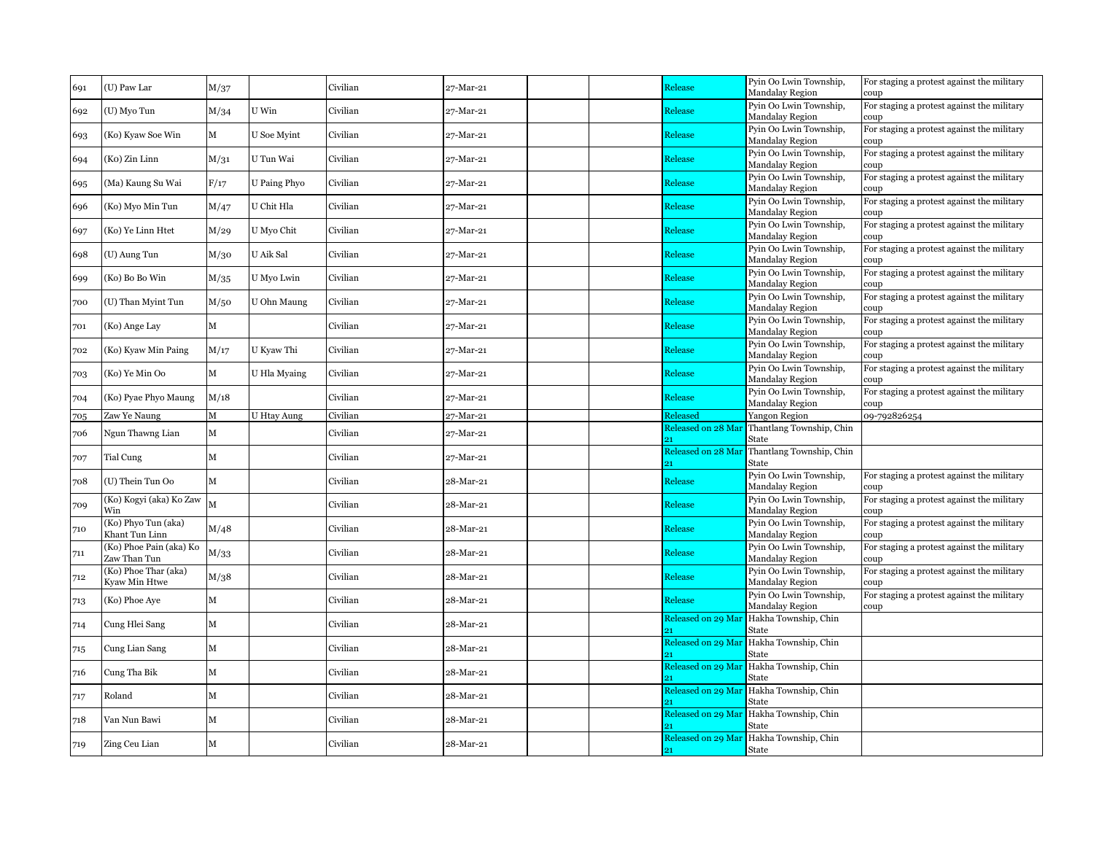| 691 | (U) Paw Lar                             | M/37         |                    | Civilian | 27-Mar-21                       | Release            | Pyin Oo Lwin Township,<br>Mandalay Region            | For staging a protest against the military<br>coup |
|-----|-----------------------------------------|--------------|--------------------|----------|---------------------------------|--------------------|------------------------------------------------------|----------------------------------------------------|
| 692 | (U) Myo Tun                             | M/34         | U Win              | Civilian | 27-Mar-21                       | Release            | Pyin Oo Lwin Township,<br>Mandalay Region            | For staging a protest against the military<br>coup |
| 693 | (Ko) Kyaw Soe Win                       | М            | U Soe Myint        | Civilian | 27-Mar-21                       | Release            | Pyin Oo Lwin Township,<br><b>Mandalay Region</b>     | For staging a protest against the military<br>coup |
| 694 | (Ko) Zin Linn                           | M/31         | U Tun Wai          | Civilian | 27-Mar-21                       | Release            | Pyin Oo Lwin Township,<br>Mandalay Region            | For staging a protest against the military<br>coup |
| 695 | (Ma) Kaung Su Wai                       | F/17         | U Paing Phyo       | Civilian | 27-Mar-21                       | Release            | Pyin Oo Lwin Township,                               | For staging a protest against the military         |
| 696 | (Ko) Myo Min Tun                        | M/47         | U Chit Hla         | Civilian | 27-Mar-21                       | Release            | Mandalay Region<br>Pyin Oo Lwin Township,            | coup<br>For staging a protest against the military |
| 697 | (Ko) Ye Linn Htet                       | M/29         | U Myo Chit         | Civilian | 27-Mar-21                       | Release            | <b>Mandalay Region</b><br>Pyin Oo Lwin Township,     | coup<br>For staging a protest against the military |
|     |                                         |              |                    |          |                                 |                    | Mandalay Region<br>Pyin Oo Lwin Township,            | coup<br>For staging a protest against the military |
| 698 | (U) Aung Tun                            | M/30         | U Aik Sal          | Civilian | 27-Mar-21                       | Release            | Mandalay Region                                      | coup                                               |
| 699 | (Ko) Bo Bo Win                          | M/35         | U Myo Lwin         | Civilian | 27-Mar-21                       | Release            | Pyin Oo Lwin Township,<br><b>Mandalay Region</b>     | For staging a protest against the military<br>coup |
| 700 | (U) Than Myint Tun                      | M/50         | U Ohn Maung        | Civilian | 27-Mar-21                       | Release            | Pyin Oo Lwin Township,<br>Mandalay Region            | For staging a protest against the military<br>coup |
| 701 | (Ko) Ange Lay                           | $\mathbf{M}$ |                    | Civilian | 27-Mar-21                       | Release            | Pyin Oo Lwin Township,<br>Mandalay Region            | For staging a protest against the military<br>coup |
| 702 | (Ko) Kyaw Min Paing                     | M/17         | U Kyaw Thi         | Civilian | 27-Mar-21                       | Release            | Pyin Oo Lwin Township,                               | For staging a protest against the military         |
| 703 | (Ko) Ye Min Oo                          | М            | U Hla Myaing       | Civilian | 27-Mar-21                       | Release            | <b>Mandalay Region</b><br>Pyin Oo Lwin Township,     | coup<br>For staging a protest against the military |
| 704 | (Ko) Pyae Phyo Maung                    | M/18         |                    | Civilian | 27-Mar-21                       | Release            | Mandalay Region<br>Pyin Oo Lwin Township,            | coup<br>For staging a protest against the military |
| 705 | Zaw Ye Naung                            | М            | <b>U Htay Aung</b> | Civilian | 27-Mar-21                       | Released           | Mandalay Region<br>Yangon Region                     | coup<br>09-792826254                               |
| 706 | Ngun Thawng Lian                        | М            |                    | Civilian | 27-Mar-21                       | Released on 28 Mar | Thantlang Township, Chin                             |                                                    |
|     |                                         |              |                    |          |                                 | 21                 | State<br>Released on 28 Mar Thantlang Township, Chin |                                                    |
| 707 | Tial Cung                               | M            |                    | Civilian | 27-Mar-21                       |                    | State                                                |                                                    |
| 708 | (U) Thein Tun Oo                        | $\mathbf M$  |                    | Civilian | 28-Mar-21                       | Release            | Pyin Oo Lwin Township,<br><b>Mandalay Region</b>     | For staging a protest against the military<br>coup |
| 709 | (Ko) Kogyi (aka) Ko Zaw<br>Win          |              |                    | Civilian | 28-Mar-21                       | Release            | Pyin Oo Lwin Township,<br><b>Mandalay Region</b>     | For staging a protest against the military<br>coup |
| 710 | (Ko) Phyo Tun (aka)<br>Khant Tun Linn   | M/48         |                    | Civilian | 28-Mar-21                       | Release            | Pyin Oo Lwin Township,<br>Mandalay Region            | For staging a protest against the military<br>coup |
| 711 | (Ko) Phoe Pain (aka) Ko<br>Zaw Than Tun | M/33         |                    | Civilian | 28-Mar-21                       | Release            | Pyin Oo Lwin Township,<br><b>Mandalay Region</b>     | For staging a protest against the military<br>coup |
| 712 | (Ko) Phoe Thar (aka)<br>Kyaw Min Htwe   | M/38         |                    | Civilian | 28-Mar-21                       | Release            | Pyin Oo Lwin Township,<br>Mandalay Region            | For staging a protest against the military         |
| 713 | (Ko) Phoe Aye                           | $\mathbf M$  |                    | Civilian | 28-Mar-21                       | Release            | Pyin Oo Lwin Township,                               | coup<br>For staging a protest against the military |
| 714 | Cung Hlei Sang                          | М            |                    | Civilian | 28-Mar-21                       | Released on 29 Mar | <b>Mandalay Region</b><br>Hakha Township, Chin       | coup                                               |
|     |                                         |              |                    |          |                                 |                    | State<br>Released on 29 Mar Hakha Township, Chin     |                                                    |
| 715 | Cung Lian Sang                          | $\mathbf M$  |                    | Civilian | 28-Mar-21                       |                    | State                                                |                                                    |
| 716 | Cung Tha Bik                            | $\mathbf M$  |                    | Civilian | 28-Mar-21                       | Released on 29 Mar | Hakha Township, Chin<br>State                        |                                                    |
| 717 | Roland                                  | M            |                    | Civilian | ${\bf 28\text{-}Mar\text{-}21}$ | Released on 29 Mar | Hakha Township, Chin<br>State                        |                                                    |
| 718 | Van Nun Bawi                            | М            |                    | Civilian | 28-Mar-21                       | Released on 29 Mar | Hakha Township, Chin<br>State                        |                                                    |
| 719 | Zing Ceu Lian                           | М            |                    | Civilian | 28-Mar-21                       | 21                 | Released on 29 Mar Hakha Township, Chin<br>State     |                                                    |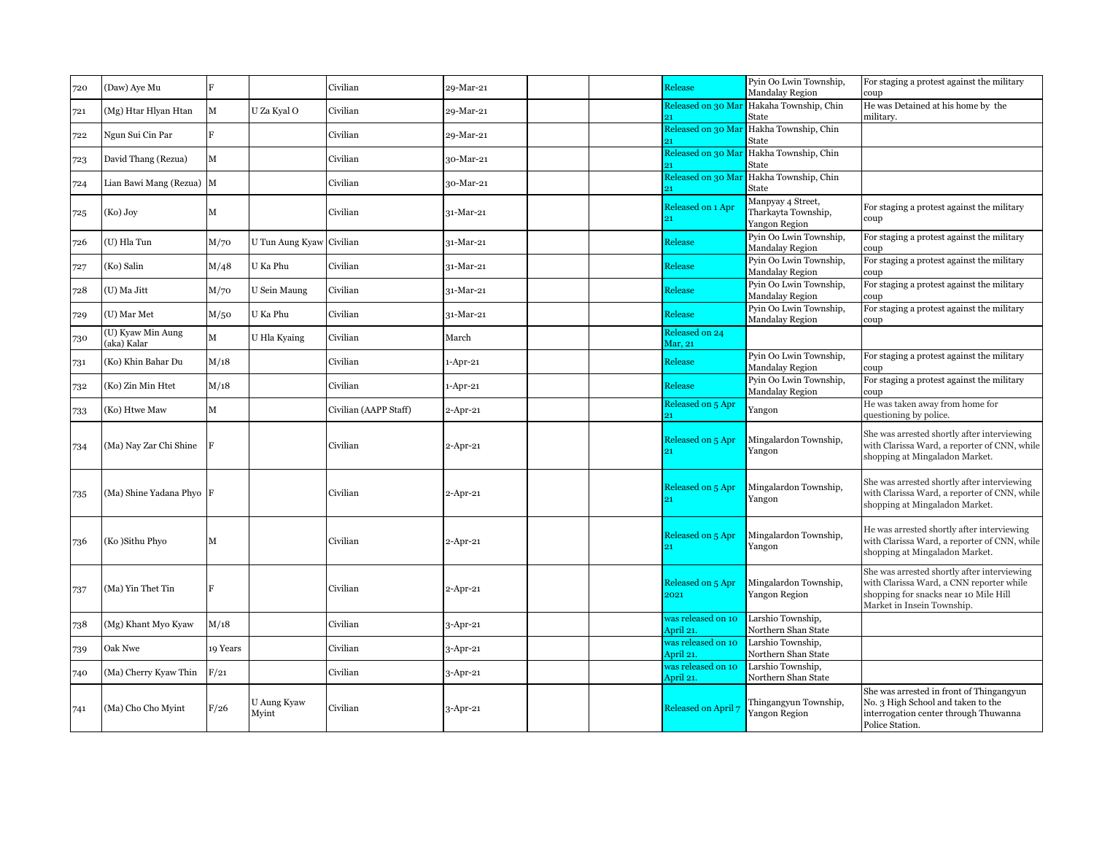| 720 | (Daw) Aye Mu                     | F            |                          | Civilian              | 29-Mar-21   | Release                         | Pyin Oo Lwin Township,<br>Mandalay Region                 | For staging a protest against the military<br>coup                                                                                                             |
|-----|----------------------------------|--------------|--------------------------|-----------------------|-------------|---------------------------------|-----------------------------------------------------------|----------------------------------------------------------------------------------------------------------------------------------------------------------------|
| 721 | (Mg) Htar Hlyan Htan             | M            | U Za Kyal O              | Civilian              | 29-Mar-21   | Released on 30 Mar              | Hakaha Township, Chin<br>State                            | He was Detained at his home by the<br>military.                                                                                                                |
| 722 | Ngun Sui Cin Par                 | F            |                          | Civilian              | 29-Mar-21   | Released on 30 Mar              | Hakha Township, Chin<br>State                             |                                                                                                                                                                |
| 723 | David Thang (Rezua)              | M            |                          | Civilian              | 30-Mar-21   | Released on 30 Mar              | Hakha Township, Chin<br><b>State</b>                      |                                                                                                                                                                |
| 724 | Lian Bawi Mang (Rezua) M         |              |                          | Civilian              | 30-Mar-21   | Released on 30 Mar              | Hakha Township, Chin<br>State                             |                                                                                                                                                                |
| 725 | (Ko) Joy                         | М            |                          | Civilian              | $31-Mar-21$ | Released on 1 Apr               | Manpyay 4 Street,<br>Tharkayta Township,<br>Yangon Region | For staging a protest against the military<br>coup                                                                                                             |
| 726 | (U) Hla Tun                      | M/70         | U Tun Aung Kyaw Civilian |                       | 31-Mar-21   | Release                         | Pyin Oo Lwin Township,<br><b>Mandalay Region</b>          | For staging a protest against the military<br>coup                                                                                                             |
| 727 | (Ko) Salin                       | M/48         | U Ka Phu                 | Civilian              | $31-Mar-21$ | Release                         | Pyin Oo Lwin Township,<br>Mandalay Region                 | For staging a protest against the military<br>coup                                                                                                             |
| 728 | (U) Ma Jitt                      | M/70         | U Sein Maung             | Civilian              | 31-Mar-21   | Release                         | Pyin Oo Lwin Township,<br>Mandalay Region                 | For staging a protest against the military<br>coup                                                                                                             |
| 729 | (U) Mar Met                      | M/50         | U Ka Phu                 | Civilian              | $31-Mar-21$ | Release                         | Pyin Oo Lwin Township,<br>Mandalay Region                 | For staging a protest against the military<br>coup                                                                                                             |
| 730 | (U) Kyaw Min Aung<br>(aka) Kalar | $\mathbf{M}$ | U Hla Kyaing             | Civilian              | March       | Released on 24<br>Mar, 21       |                                                           |                                                                                                                                                                |
| 731 | (Ko) Khin Bahar Du               | M/18         |                          | Civilian              | $1-Apr-21$  | Release                         | Pyin Oo Lwin Township,<br>Mandalay Region                 | For staging a protest against the military<br>coup                                                                                                             |
| 732 | (Ko) Zin Min Htet                | M/18         |                          | Civilian              | $1-Apr-21$  | Release                         | Pyin Oo Lwin Township,<br>Mandalay Region                 | For staging a protest against the military<br>coup                                                                                                             |
| 733 | (Ko) Htwe Maw                    | M            |                          | Civilian (AAPP Staff) | 2-Apr-21    | Released on 5 Apr               | Yangon                                                    | He was taken away from home for<br>questioning by police.                                                                                                      |
| 734 | (Ma) Nay Zar Chi Shine           |              |                          | Civilian              | $2$ -Apr-21 | Released on 5 Apr<br>21         | Mingalardon Township,<br>Yangon                           | She was arrested shortly after interviewing<br>with Clarissa Ward, a reporter of CNN, while<br>shopping at Mingaladon Market.                                  |
| 735 | (Ma) Shine Yadana Phyo           |              |                          | Civilian              | $2$ -Apr-21 | Released on 5 Apr<br>21         | Mingalardon Township,<br>Yangon                           | She was arrested shortly after interviewing<br>with Clarissa Ward, a reporter of CNN, while<br>shopping at Mingaladon Market.                                  |
| 736 | (Ko)Sithu Phyo                   | М            |                          | Civilian              | $2$ -Apr-21 | Released on 5 Apr<br>21         | Mingalardon Township,<br>Yangon                           | He was arrested shortly after interviewing<br>with Clarissa Ward, a reporter of CNN, while<br>shopping at Mingaladon Market.                                   |
| 737 | (Ma) Yin Thet Tin                |              |                          | Civilian              | $2$ -Apr-21 | Released on 5 Apr<br>2021       | Mingalardon Township,<br>Yangon Region                    | She was arrested shortly after interviewing<br>with Clarissa Ward, a CNN reporter while<br>shopping for snacks near 10 Mile Hill<br>Market in Insein Township. |
| 738 | (Mg) Khant Myo Kyaw              | M/18         |                          | Civilian              | 3-Apr-21    | was released on 10<br>April 21. | Larshio Township,<br>Northern Shan State                  |                                                                                                                                                                |
| 739 | Oak Nwe                          | 19 Years     |                          | Civilian              | $3$ -Apr-21 | was released on 10<br>April 21. | Larshio Township,<br>Northern Shan State                  |                                                                                                                                                                |
| 740 | (Ma) Cherry Kyaw Thin            | F/21         |                          | Civilian              | $3$ -Apr-21 | was released on 10<br>April 21. | Larshio Township,<br>Northern Shan State                  |                                                                                                                                                                |
| 741 | (Ma) Cho Cho Myint               | F/26         | U Aung Kyaw<br>Myint     | Civilian              | 3-Apr-21    | Released on April               | Thingangyun Township,<br>Yangon Region                    | She was arrested in front of Thingangyun<br>No. 3 High School and taken to the<br>interrogation center through Thuwanna<br>Police Station.                     |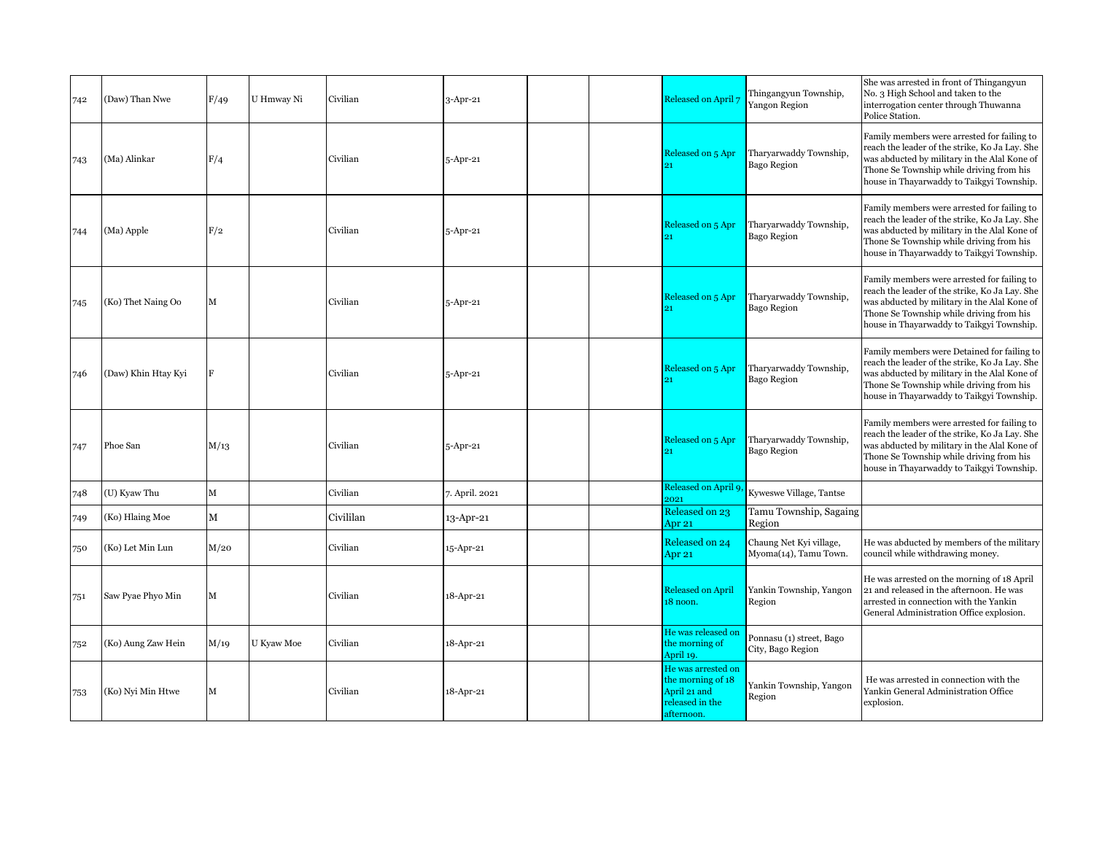| 742 | (Daw) Than Nwe      | F/49         | U Hmway Ni | Civilian  | $3$ -Apr-21    | Released on April                                                                        | Thingangyun Township,<br>Yangon Region           | She was arrested in front of Thingangyun<br>No. 3 High School and taken to the<br>interrogation center through Thuwanna<br>Police Station.                                                                                             |
|-----|---------------------|--------------|------------|-----------|----------------|------------------------------------------------------------------------------------------|--------------------------------------------------|----------------------------------------------------------------------------------------------------------------------------------------------------------------------------------------------------------------------------------------|
| 743 | (Ma) Alinkar        | F/4          |            | Civilian  | 5-Apr-21       | Released on 5 Apr                                                                        | Tharyarwaddy Township,<br><b>Bago Region</b>     | Family members were arrested for failing to<br>reach the leader of the strike, Ko Ja Lay. She<br>was abducted by military in the Alal Kone of<br>Thone Se Township while driving from his<br>house in Thayarwaddy to Taikgyi Township. |
| 744 | (Ma) Apple          | F/2          |            | Civilian  | 5-Apr-21       | Released on 5 Apr                                                                        | Tharyarwaddy Township,<br>Bago Region            | Family members were arrested for failing to<br>reach the leader of the strike, Ko Ja Lay. She<br>was abducted by military in the Alal Kone of<br>Thone Se Township while driving from his<br>house in Thayarwaddy to Taikgyi Township. |
| 745 | (Ko) Thet Naing Oo  | М            |            | Civilian  | 5-Apr-21       | Released on 5 Apr                                                                        | Tharyarwaddy Township,<br>Bago Region            | Family members were arrested for failing to<br>reach the leader of the strike, Ko Ja Lay. She<br>was abducted by military in the Alal Kone of<br>Thone Se Township while driving from his<br>house in Thayarwaddy to Taikgyi Township. |
| 746 | (Daw) Khin Htay Kyi | F            |            | Civilian  | 5-Apr-21       | Released on 5 Apr<br>21                                                                  | Tharyarwaddy Township,<br>Bago Region            | Family members were Detained for failing to<br>reach the leader of the strike, Ko Ja Lay. She<br>was abducted by military in the Alal Kone of<br>Thone Se Township while driving from his<br>house in Thayarwaddy to Taikgyi Township. |
| 747 | Phoe San            | M/13         |            | Civilian  | 5-Apr-21       | Released on 5 Apr<br>21                                                                  | Tharyarwaddy Township,<br>Bago Region            | Family members were arrested for failing to<br>reach the leader of the strike, Ko Ja Lay. She<br>was abducted by military in the Alal Kone of<br>Thone Se Township while driving from his<br>house in Thayarwaddy to Taikgyi Township. |
| 748 | (U) Kyaw Thu        | М            |            | Civilian  | 7. April. 2021 | Released on April 9.<br>2021                                                             | Kyweswe Village, Tantse                          |                                                                                                                                                                                                                                        |
| 749 | (Ko) Hlaing Moe     | $\mathbf{M}$ |            | Civililan | 13-Apr-21      | Released on 23<br>Apr 21                                                                 | Tamu Township, Sagaing<br>Region                 |                                                                                                                                                                                                                                        |
| 750 | (Ko) Let Min Lun    | M/20         |            | Civilian  | 15-Apr-21      | Released on 24<br>Apr 21                                                                 | Chaung Net Kyi village,<br>Myoma(14), Tamu Town. | He was abducted by members of the military<br>council while withdrawing money.                                                                                                                                                         |
| 751 | Saw Pyae Phyo Min   | М            |            | Civilian  | 18-Apr-21      | <b>Released on April</b><br>18 noon.                                                     | Yankin Township, Yangon<br>Region                | He was arrested on the morning of 18 April<br>21 and released in the afternoon. He was<br>arrested in connection with the Yankin<br>General Administration Office explosion.                                                           |
| 752 | (Ko) Aung Zaw Hein  | M/19         | U Kyaw Moe | Civilian  | 18-Apr-21      | He was released on<br>the morning of<br>April 19.                                        | Ponnasu (1) street, Bago<br>City, Bago Region    |                                                                                                                                                                                                                                        |
| 753 | (Ko) Nyi Min Htwe   | М            |            | Civilian  | 18-Apr-21      | He was arrested on<br>the morning of 18<br>April 21 and<br>released in the<br>afternoon. | Yankin Township, Yangon<br>Region                | He was arrested in connection with the<br>Yankin General Administration Office<br>explosion.                                                                                                                                           |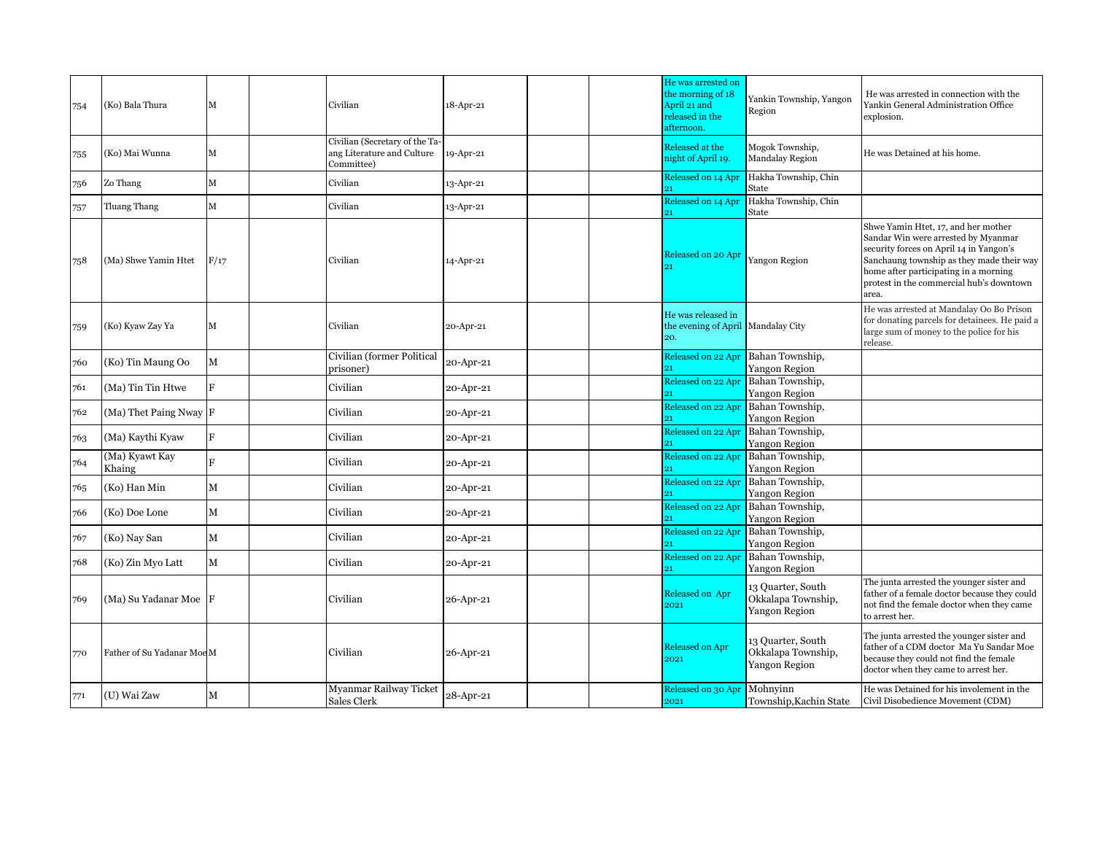| 754 | (Ko) Bala Thura            | M            | Civilian                                                                   | 18-Apr-21 | He was arrested on<br>the morning of 18<br>April 21 and<br>released in the<br>afternoon. | Yankin Township, Yangon<br>Region                        | He was arrested in connection with the<br>Yankin General Administration Office<br>explosion.                                                                                                                                                                     |
|-----|----------------------------|--------------|----------------------------------------------------------------------------|-----------|------------------------------------------------------------------------------------------|----------------------------------------------------------|------------------------------------------------------------------------------------------------------------------------------------------------------------------------------------------------------------------------------------------------------------------|
| 755 | (Ko) Mai Wunna             | M            | Civilian (Secretary of the Ta-<br>ang Literature and Culture<br>Committee) | 19-Apr-21 | Released at the<br>night of April 19.                                                    | Mogok Township,<br><b>Mandalay Region</b>                | He was Detained at his home.                                                                                                                                                                                                                                     |
| 756 | Zo Thang                   | $\mathbf{M}$ | Civilian                                                                   | 13-Apr-21 | Released on 14 Apr<br>21                                                                 | Hakha Township, Chin<br>State                            |                                                                                                                                                                                                                                                                  |
| 757 | Tluang Thang               | $\mathbf{M}$ | Civilian                                                                   | 13-Apr-21 | Released on 14 Apr<br>21                                                                 | Hakha Township, Chin<br>State                            |                                                                                                                                                                                                                                                                  |
| 758 | (Ma) Shwe Yamin Htet       | F/17         | Civilian                                                                   | 14-Apr-21 | Released on 20 Apr                                                                       | Yangon Region                                            | Shwe Yamin Htet, 17, and her mother<br>Sandar Win were arrested by Myanmar<br>security forces on April 14 in Yangon's<br>Sanchaung township as they made their way<br>home after participating in a morning<br>protest in the commercial hub's downtown<br>area. |
| 759 | (Ko) Kyaw Zay Ya           | M            | Civilian                                                                   | 20-Apr-21 | He was released in<br>20.                                                                | the evening of April Mandalay City                       | He was arrested at Mandalay Oo Bo Prison<br>for donating parcels for detainees. He paid a<br>large sum of money to the police for his<br>release.                                                                                                                |
| 760 | (Ko) Tin Maung Oo          | $\mathbf M$  | Civilian (former Political<br>prisoner)                                    | 20-Apr-21 |                                                                                          | Released on 22 Apr Bahan Township,<br>Yangon Region      |                                                                                                                                                                                                                                                                  |
| 761 | (Ma) Tin Tin Htwe          | F            | Civilian                                                                   | 20-Apr-21 | Released on 22 Apr                                                                       | Bahan Township,<br>Yangon Region                         |                                                                                                                                                                                                                                                                  |
| 762 | (Ma) Thet Paing Nway F     |              | Civilian                                                                   | 20-Apr-21 | Released on 22 Apr<br>21                                                                 | Bahan Township,<br>Yangon Region                         |                                                                                                                                                                                                                                                                  |
| 763 | (Ma) Kaythi Kyaw           | F            | Civilian                                                                   | 20-Apr-21 | Released on 22 Apr                                                                       | Bahan Township,<br>Yangon Region                         |                                                                                                                                                                                                                                                                  |
| 764 | (Ma) Kyawt Kay<br>Khaing   | $\mathbf{F}$ | Civilian                                                                   | 20-Apr-21 | Released on 22 Apr<br>91                                                                 | Bahan Township,<br>Yangon Region                         |                                                                                                                                                                                                                                                                  |
| 765 | (Ko) Han Min               | М            | Civilian                                                                   | 20-Apr-21 | Released on 22 Apr                                                                       | Bahan Township,<br>Yangon Region                         |                                                                                                                                                                                                                                                                  |
| 766 | (Ko) Doe Lone              | М            | Civilian                                                                   | 20-Apr-21 | Released on 22 Apr                                                                       | Bahan Township,<br>Yangon Region                         |                                                                                                                                                                                                                                                                  |
| 767 | (Ko) Nay San               | $\mathbf M$  | Civilian                                                                   | 20-Apr-21 | Released on 22 Apr                                                                       | Bahan Township,<br>Yangon Region                         |                                                                                                                                                                                                                                                                  |
| 768 | (Ko) Zin Myo Latt          | М            | Civilian                                                                   | 20-Apr-21 | Released on 22 Apr<br>21                                                                 | Bahan Township,<br>Yangon Region                         |                                                                                                                                                                                                                                                                  |
| 769 | (Ma) Su Yadanar Moe        |              | Civilian                                                                   | 26-Apr-21 | Released on Apr<br>2021                                                                  | 13 Quarter, South<br>Okkalapa Township,<br>Yangon Region | The junta arrested the younger sister and<br>father of a female doctor because they could<br>not find the female doctor when they came<br>to arrest her.                                                                                                         |
| 770 | Father of Su Yadanar Moe M |              | Civilian                                                                   | 26-Apr-21 | <b>Released on Apr</b><br>2021                                                           | 13 Quarter, South<br>Okkalapa Township,<br>Yangon Region | The junta arrested the younger sister and<br>father of a CDM doctor Ma Yu Sandar Moe<br>because they could not find the female<br>doctor when they came to arrest her.                                                                                           |
| 771 | (U) Wai Zaw                | М            | Myanmar Railway Ticket<br>Sales Clerk                                      | 28-Apr-21 | Released on 30 Apr Mohnyinn<br>2021                                                      | Township, Kachin State                                   | He was Detained for his involement in the<br>Civil Disobedience Movement (CDM)                                                                                                                                                                                   |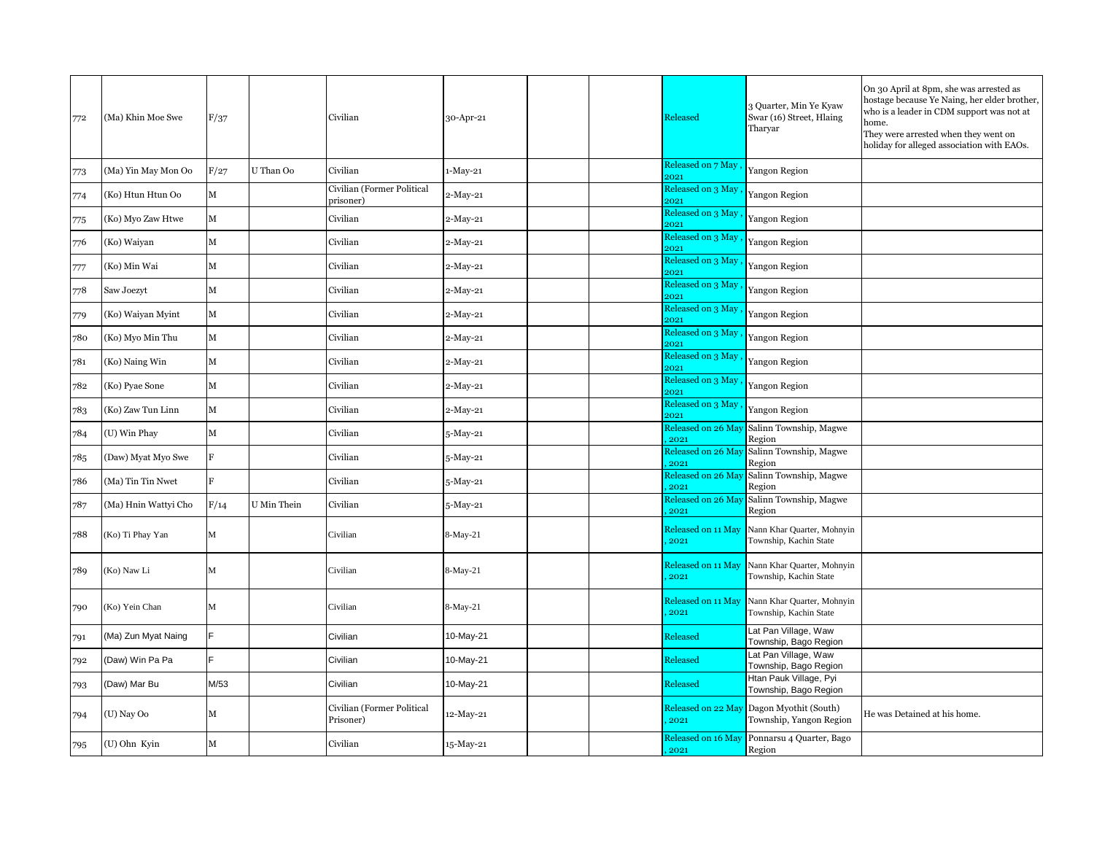| 772 | (Ma) Khin Moe Swe    | F/37 |             | Civilian                                | 30-Apr-21  |  | Released                   | 3 Quarter, Min Ye Kyaw<br>Swar (16) Street, Hlaing<br>Tharyar | On 30 April at 8pm, she was arrested as<br>hostage because Ye Naing, her elder brother,<br>who is a leader in CDM support was not at<br>home.<br>They were arrested when they went on<br>holiday for alleged association with EAOs. |
|-----|----------------------|------|-------------|-----------------------------------------|------------|--|----------------------------|---------------------------------------------------------------|-------------------------------------------------------------------------------------------------------------------------------------------------------------------------------------------------------------------------------------|
| 773 | (Ma) Yin May Mon Oo  | F/27 | U Than Oo   | Civilian                                | $1-May-21$ |  | Released on 7 May<br>2021  | Yangon Region                                                 |                                                                                                                                                                                                                                     |
| 774 | (Ko) Htun Htun Oo    | М    |             | Civilian (Former Political<br>prisoner) | $2-May-21$ |  | Released on 3 May<br>2021  | Yangon Region                                                 |                                                                                                                                                                                                                                     |
| 775 | (Ko) Myo Zaw Htwe    | М    |             | Civilian                                | 2-May-21   |  | Released on 3 May<br>2021  | Yangon Region                                                 |                                                                                                                                                                                                                                     |
| 776 | (Ko) Waiyan          | м    |             | Civilian                                | 2-May-21   |  | Released on 3 May<br>2021  | Yangon Region                                                 |                                                                                                                                                                                                                                     |
| 777 | (Ko) Min Wai         | М    |             | Civilian                                | 2-May-21   |  | Released on 3 May<br>2021  | Yangon Region                                                 |                                                                                                                                                                                                                                     |
| 778 | Saw Joezyt           | М    |             | Civilian                                | 2-May-21   |  | Released on 3 May<br>2021  | Yangon Region                                                 |                                                                                                                                                                                                                                     |
| 779 | (Ko) Waiyan Myint    | М    |             | Civilian                                | 2-May-21   |  | Released on 3 May<br>2021  | Yangon Region                                                 |                                                                                                                                                                                                                                     |
| 780 | (Ko) Myo Min Thu     | М    |             | Civilian                                | 2-May-21   |  | Released on 3 May<br>2021  | Yangon Region                                                 |                                                                                                                                                                                                                                     |
| 781 | (Ko) Naing Win       | М    |             | Civilian                                | $2-May-21$ |  | Released on 3 May<br>2021  | Yangon Region                                                 |                                                                                                                                                                                                                                     |
| 782 | (Ko) Pyae Sone       | М    |             | Civilian                                | 2-May-21   |  | Released on 3 May<br>2021  | Yangon Region                                                 |                                                                                                                                                                                                                                     |
| 783 | (Ko) Zaw Tun Linn    | M    |             | Civilian                                | 2-May-21   |  | Released on 3 May<br>2021  | Yangon Region                                                 |                                                                                                                                                                                                                                     |
| 784 | (U) Win Phay         | М    |             | Civilian                                | 5-May-21   |  | Released on 26 May<br>2021 | Salinn Township, Magwe<br>Region                              |                                                                                                                                                                                                                                     |
| 785 | (Daw) Myat Myo Swe   | F    |             | Civilian                                | 5-May-21   |  | Released on 26 May<br>2021 | Salinn Township, Magwe<br>Region                              |                                                                                                                                                                                                                                     |
| 786 | (Ma) Tin Tin Nwet    | F    |             | Civilian                                | 5-May-21   |  | Released on 26 May<br>2021 | Salinn Township, Magwe<br>Region                              |                                                                                                                                                                                                                                     |
| 787 | (Ma) Hnin Wattyi Cho | F/14 | U Min Thein | Civilian                                | 5-May-21   |  | Released on 26 May<br>2021 | Salinn Township, Magwe<br>Region                              |                                                                                                                                                                                                                                     |
| 788 | (Ko) Ti Phay Yan     | М    |             | Civilian                                | 8-May-21   |  | Released on 11 May<br>2021 | Nann Khar Quarter, Mohnyin<br>Township, Kachin State          |                                                                                                                                                                                                                                     |
| 789 | (Ko) Naw Li          | M    |             | Civilian                                | 8-May-21   |  | Released on 11 May<br>2021 | Nann Khar Quarter, Mohnyin<br>Township, Kachin State          |                                                                                                                                                                                                                                     |
| 790 | (Ko) Yein Chan       | M    |             | Civilian                                | 8-May-21   |  | Released on 11 May<br>2021 | Nann Khar Quarter, Mohnyin<br>Township, Kachin State          |                                                                                                                                                                                                                                     |
| 791 | (Ma) Zun Myat Naing  |      |             | Civilian                                | 10-May-21  |  | Released                   | Lat Pan Village, Waw<br>Township, Bago Region                 |                                                                                                                                                                                                                                     |
| 792 | (Daw) Win Pa Pa      |      |             | Civilian                                | 10-May-21  |  | Released                   | Lat Pan Village, Waw<br>Township, Bago Region                 |                                                                                                                                                                                                                                     |
| 793 | (Daw) Mar Bu         | M/53 |             | Civilian                                | 10-May-21  |  | Released                   | Htan Pauk Village, Pyi<br>Township, Bago Region               |                                                                                                                                                                                                                                     |
| 794 | (U) Nay Oo           | м    |             | Civilian (Former Political<br>Prisoner) | 12-May-21  |  | Released on 22 May<br>2021 | Dagon Myothit (South)<br>Township, Yangon Region              | He was Detained at his home.                                                                                                                                                                                                        |
| 795 | (U) Ohn Kyin         | М    |             | Civilian                                | 15-May-21  |  | Released on 16 May<br>2021 | Ponnarsu 4 Quarter, Bago<br>Region                            |                                                                                                                                                                                                                                     |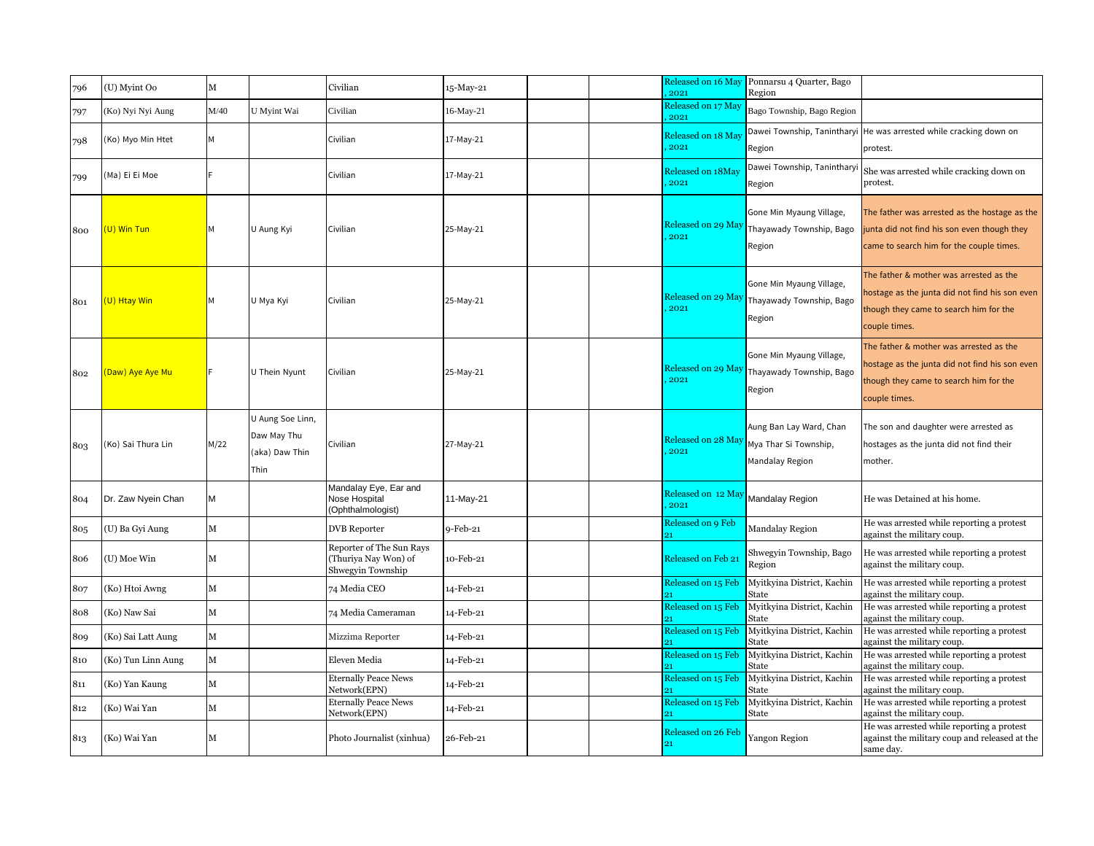| 796 | (U) Myint Oo       | М            |                                                           | Civilian                                                              | 15-May-21 | Released on 16 May<br>2021 | Ponnarsu 4 Quarter, Bago<br>Region                                  |                                                                                                                                                      |
|-----|--------------------|--------------|-----------------------------------------------------------|-----------------------------------------------------------------------|-----------|----------------------------|---------------------------------------------------------------------|------------------------------------------------------------------------------------------------------------------------------------------------------|
| 797 | (Ko) Nyi Nyi Aung  | M/40         | U Myint Wai                                               | Civilian                                                              | 16-May-21 | Released on 17 May<br>2021 | Bago Township, Bago Region                                          |                                                                                                                                                      |
| 798 | Ko) Myo Min Htet   |              |                                                           | Civilian                                                              | 17-May-21 | Released on 18 May<br>2021 | Dawei Township, Tanintharyi<br>Region                               | He was arrested while cracking down on<br>protest.                                                                                                   |
| 799 | (Ma) Ei Ei Moe     |              |                                                           | Civilian                                                              | 17-May-21 | Released on 18May<br>2021  | Dawei Township, Taninthary<br>Region                                | She was arrested while cracking down on<br>protest.                                                                                                  |
| 800 | (U) Win Tun        |              | U Aung Kyi                                                | Civilian                                                              | 25-May-21 | Released on 29 May<br>2021 | Gone Min Myaung Village,<br>Thayawady Township, Bago<br>Region      | The father was arrested as the hostage as the<br>junta did not find his son even though they<br>came to search him for the couple times.             |
| 801 | (U) Htay Win       | м            | U Mya Kyi                                                 | Civilian                                                              | 25-May-21 | Released on 29 May<br>2021 | Gone Min Myaung Village,<br>Thayawady Township, Bago<br>Region      | The father & mother was arrested as the<br>nostage as the junta did not find his son even<br>though they came to search him for the<br>couple times. |
| 802 | (Daw) Aye Aye Mu   |              | U Thein Nyunt                                             | Civilian                                                              | 25-May-21 | Released on 29 May<br>2021 | Gone Min Myaung Village,<br>Thayawady Township, Bago<br>Region      | The father & mother was arrested as the<br>hostage as the junta did not find his son even<br>though they came to search him for the<br>couple times. |
| 803 | (Ko) Sai Thura Lin | M/22         | U Aung Soe Linn,<br>Daw May Thu<br>(aka) Daw Thin<br>Thin | Civilian                                                              | 27-May-21 | Released on 28 May<br>2021 | Aung Ban Lay Ward, Chan<br>Mya Thar Si Township,<br>Mandalay Region | The son and daughter were arrested as<br>hostages as the junta did not find their<br>mother.                                                         |
| 804 | Dr. Zaw Nyein Chan | M            |                                                           | Mandalay Eye, Ear and<br>Nose Hospital<br>(Ophthalmologist)           | 11-May-21 | Released on 12 May<br>2021 | <b>Mandalay Region</b>                                              | He was Detained at his home.                                                                                                                         |
| 805 | (U) Ba Gyi Aung    | М            |                                                           | <b>DVB</b> Reporter                                                   | 9-Feb-21  | Released on 9 Feb          | <b>Mandalay Region</b>                                              | He was arrested while reporting a protest<br>against the military coup.                                                                              |
| 806 | (U) Moe Win        | M            |                                                           | Reporter of The Sun Rays<br>(Thuriya Nay Won) of<br>Shwegyin Township | 10-Feb-21 | Released on Feb 21         | Shwegyin Township, Bago<br>Region                                   | He was arrested while reporting a protest<br>against the military coup.                                                                              |
| 807 | (Ko) Htoi Awng     | M            |                                                           | 74 Media CEO                                                          | 14-Feb-21 | Released on 15 Feb         | Myitkyina District, Kachin<br>State                                 | He was arrested while reporting a protest<br>against the military coup.                                                                              |
| 808 | (Ko) Naw Sai       | M            |                                                           | 74 Media Cameraman                                                    | 14-Feb-21 | Released on 15 Feb         | Myitkyina District, Kachin<br>State                                 | He was arrested while reporting a protest<br>against the military coup.                                                                              |
| 809 | (Ko) Sai Latt Aung | $\mathbf{M}$ |                                                           | Mizzima Reporter                                                      | 14-Feb-21 | Released on 15 Feb         | Myitkyina District, Kachin<br>State                                 | He was arrested while reporting a protest<br>against the military coup.                                                                              |
| 810 | (Ko) Tun Linn Aung | М            |                                                           | Eleven Media                                                          | 14-Feb-21 | Released on 15 Feb         | Myitkyina District, Kachin<br>State                                 | He was arrested while reporting a protest<br>against the military coup.                                                                              |
| 811 | (Ko) Yan Kaung     | M            |                                                           | <b>Eternally Peace News</b><br>Network(EPN)                           | 14-Feb-21 | Released on 15 Feb         | Myitkyina District, Kachin<br>State                                 | He was arrested while reporting a protest<br>against the military coup.                                                                              |
| 812 | (Ko) Wai Yan       | М            |                                                           | <b>Eternally Peace News</b><br>Network(EPN)                           | 14-Feb-21 | Released on 15 Feb         | Myitkyina District, Kachin<br>State                                 | He was arrested while reporting a protest<br>against the military coup.                                                                              |
| 813 | (Ko) Wai Yan       | М            |                                                           | Photo Journalist (xinhua)                                             | 26-Feb-21 | Released on 26 Feb<br>21   | <b>Yangon Region</b>                                                | He was arrested while reporting a protest<br>against the military coup and released at the<br>same day.                                              |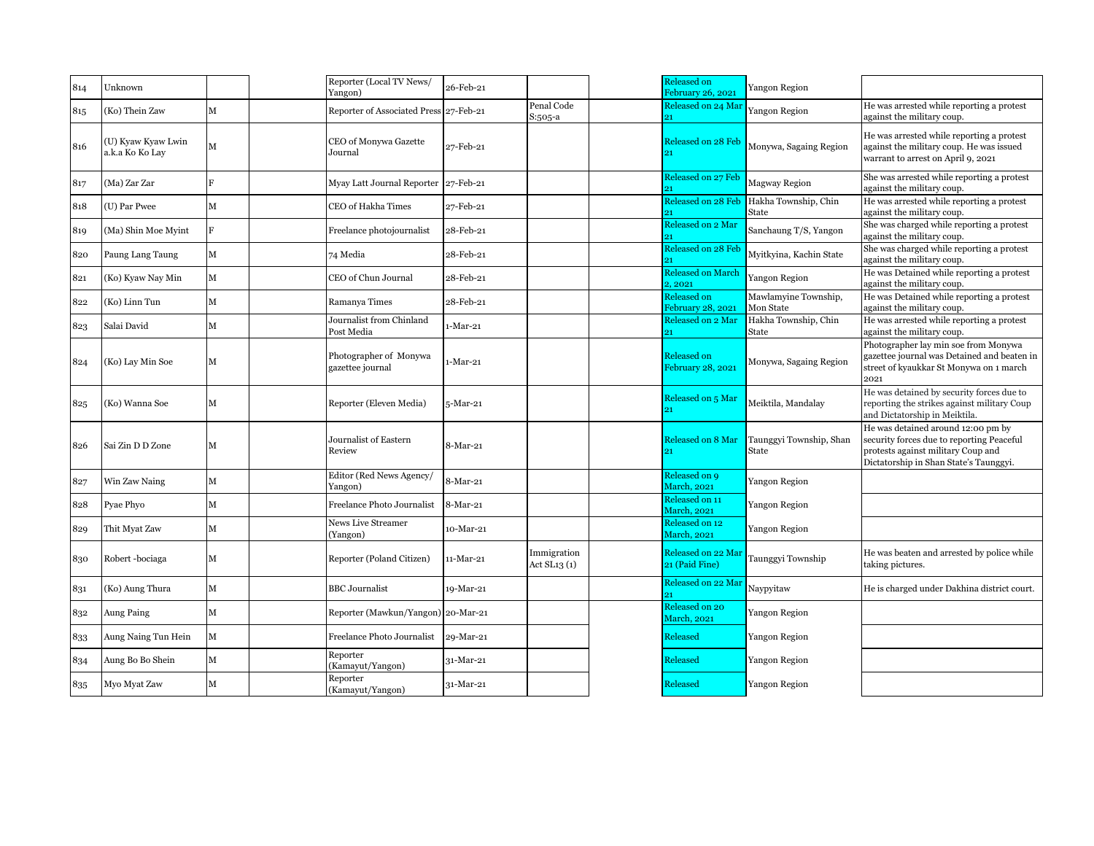| 814 | Unknown                               |             | Reporter (Local TV News/<br>Yangon)        | 26-Feb-21   |                             | Released on<br>February 26, 2021     | Yangon Region                     |                                                                                                                                                                 |
|-----|---------------------------------------|-------------|--------------------------------------------|-------------|-----------------------------|--------------------------------------|-----------------------------------|-----------------------------------------------------------------------------------------------------------------------------------------------------------------|
| 815 | (Ko) Thein Zaw                        | М           | Reporter of Associated Press 27-Feb-21     |             | Penal Code<br>S:505-a       | Released on 24 Mar                   | Yangon Region                     | He was arrested while reporting a protest<br>against the military coup.                                                                                         |
| 816 | (U) Kyaw Kyaw Lwin<br>a.k.a Ko Ko Lay | M           | CEO of Monywa Gazette<br>Journal           | 27-Feb-21   |                             | Released on 28 Feb                   | Monywa, Sagaing Region            | He was arrested while reporting a protest<br>against the military coup. He was issued<br>warrant to arrest on April 9, 2021                                     |
| 817 | (Ma) Zar Zar                          | F           | Myay Latt Journal Reporter 27-Feb-21       |             |                             | Released on 27 Feb                   | Magway Region                     | She was arrested while reporting a protest<br>against the military coup.                                                                                        |
| 818 | (U) Par Pwee                          | M           | CEO of Hakha Times                         | 27-Feb-21   |                             | Released on 28 Feb                   | Hakha Township, Chin<br>State     | He was arrested while reporting a protest<br>against the military coup.                                                                                         |
| 819 | (Ma) Shin Moe Myint                   |             | Freelance photojournalist                  | 28-Feb-21   |                             | Released on 2 Mar                    | Sanchaung T/S, Yangon             | She was charged while reporting a protest<br>against the military coup.                                                                                         |
| 820 | Paung Lang Taung                      | М           | 74 Media                                   | 28-Feb-21   |                             | Released on 28 Feb                   | Myitkyina, Kachin State           | She was charged while reporting a protest<br>against the military coup.                                                                                         |
| 821 | (Ko) Kyaw Nay Min                     | М           | CEO of Chun Journal                        | 28-Feb-21   |                             | <b>Released on March</b><br>2, 2021  | Yangon Region                     | He was Detained while reporting a protest<br>against the military coup.                                                                                         |
| 822 | (Ko) Linn Tun                         | М           | Ramanya Times                              | 28-Feb-21   |                             | Released on<br>February 28, 2021     | Mawlamyine Township,<br>Mon State | He was Detained while reporting a protest<br>against the military coup.                                                                                         |
| 823 | Salai David                           | М           | Journalist from Chinland<br>Post Media     | $1-Mar-21$  |                             | Released on 2 Mar                    | Hakha Township, Chin<br>State     | He was arrested while reporting a protest<br>against the military coup.                                                                                         |
| 824 | (Ko) Lay Min Soe                      | М           | Photographer of Monywa<br>gazettee journal | 1-Mar-21    |                             | Released on<br>February 28, 2021     | Monywa, Sagaing Region            | Photographer lay min soe from Monywa<br>gazettee journal was Detained and beaten in<br>street of kyaukkar St Monywa on 1 march<br>2021                          |
| 825 | (Ko) Wanna Soe                        | М           | Reporter (Eleven Media)                    | 5-Mar-21    |                             | Released on 5 Mar                    | Meiktila, Mandalay                | He was detained by security forces due to<br>reporting the strikes against military Coup<br>and Dictatorship in Meiktila.                                       |
| 826 | Sai Zin D D Zone                      | М           | Journalist of Eastern<br>Review            | 8-Mar-21    |                             | Released on 8 Mar                    | Taunggyi Township, Shan<br>State  | He was detained around 12:00 pm by<br>security forces due to reporting Peaceful<br>protests against military Coup and<br>Dictatorship in Shan State's Taunggyi. |
| 827 | Win Zaw Naing                         | М           | Editor (Red News Agency/<br>Yangon)        | 8-Mar-21    |                             | Released on 9<br>March, 2021         | Yangon Region                     |                                                                                                                                                                 |
| 828 | Pyae Phyo                             | $\mathbf M$ | Freelance Photo Journalist                 | 8-Mar-21    |                             | Released on 11<br>March, 2021        | Yangon Region                     |                                                                                                                                                                 |
| 829 | Thit Myat Zaw                         | М           | News Live Streamer<br>(Yangon)             | 10-Mar-21   |                             | Released on 12<br>March, 2021        | Yangon Region                     |                                                                                                                                                                 |
| 830 | Robert-bociaga                        | М           | Reporter (Poland Citizen)                  | 11-Mar-21   | Immigration<br>Act SL13 (1) | Released on 22 Mai<br>21 (Paid Fine) | Taunggyi Township                 | He was beaten and arrested by police while<br>taking pictures.                                                                                                  |
| 831 | (Ko) Aung Thura                       | М           | <b>BBC Journalist</b>                      | 19-Mar-21   |                             | Released on 22 Mar                   | Naypyitaw                         | He is charged under Dakhina district court.                                                                                                                     |
| 832 | Aung Paing                            | М           | Reporter (Mawkun/Yangon) 20-Mar-21         |             |                             | Released on 20<br>March, 2021        | Yangon Region                     |                                                                                                                                                                 |
| 833 | Aung Naing Tun Hein                   | $\mathbf M$ | Freelance Photo Journalist                 | 29-Mar-21   |                             | Released                             | Yangon Region                     |                                                                                                                                                                 |
| 834 | Aung Bo Bo Shein                      | М           | Reporter<br>(Kamayut/Yangon)               | $31-Mar-21$ |                             | Released                             | Yangon Region                     |                                                                                                                                                                 |
| 835 | Myo Myat Zaw                          | М           | Reporter<br>(Kamayut/Yangon)               | 31-Mar-21   |                             | Released                             | Yangon Region                     |                                                                                                                                                                 |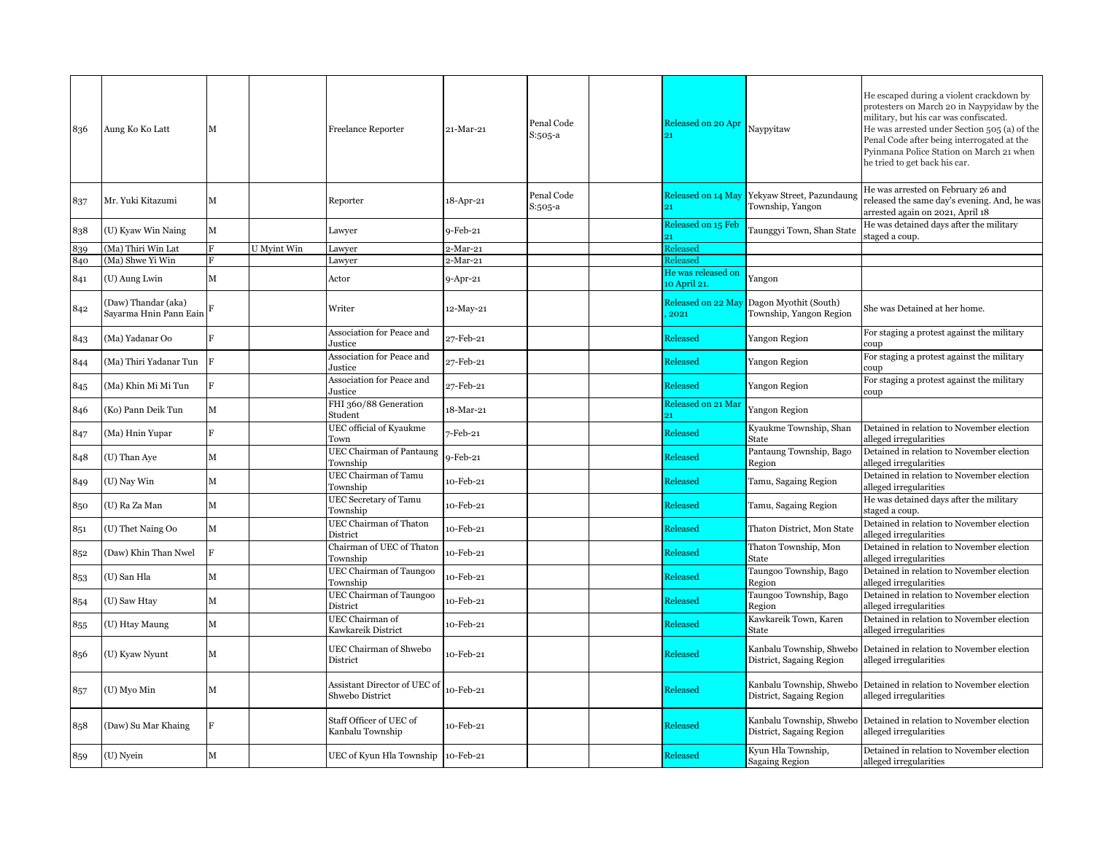| 836 | Aung Ko Ko Latt                               | M              |             | <b>Freelance Reporter</b>                       | 21-Mar-21  | Penal Code<br>$S:505-a$ | Released on 20 Apr                 | Naypyitaw                                                        | He escaped during a violent crackdown by<br>protesters on March 20 in Naypyidaw by the<br>military, but his car was confiscated.<br>He was arrested under Section 505 (a) of the<br>Penal Code after being interrogated at the<br>Pyinmana Police Station on March 21 when<br>he tried to get back his car. |
|-----|-----------------------------------------------|----------------|-------------|-------------------------------------------------|------------|-------------------------|------------------------------------|------------------------------------------------------------------|-------------------------------------------------------------------------------------------------------------------------------------------------------------------------------------------------------------------------------------------------------------------------------------------------------------|
| 837 | Mr. Yuki Kitazumi                             | М              |             | Reporter                                        | 18-Apr-21  | Penal Code<br>S:505-a   | 21                                 | Released on 14 May Yekyaw Street, Pazundaung<br>Township, Yangon | He was arrested on February 26 and<br>released the same day's evening. And, he was<br>arrested again on 2021, April 18                                                                                                                                                                                      |
| 838 | (U) Kyaw Win Naing                            | M              |             | Lawyer                                          | $9-Feb-21$ |                         | Released on 15 Feb<br>91           | Taunggyi Town, Shan State                                        | He was detained days after the military<br>staged a coup.                                                                                                                                                                                                                                                   |
| 839 | (Ma) Thiri Win Lat                            |                | U Myint Win | Lawyer                                          | 2-Mar-21   |                         | Released                           |                                                                  |                                                                                                                                                                                                                                                                                                             |
| 840 | (Ma) Shwe Yi Win                              |                |             | Lawyer                                          | 2-Mar-21   |                         | Released                           |                                                                  |                                                                                                                                                                                                                                                                                                             |
| 841 | (U) Aung Lwin                                 | М              |             | Actor                                           | 9-Apr-21   |                         | He was released on<br>10 April 21. | Yangon                                                           |                                                                                                                                                                                                                                                                                                             |
| 842 | (Daw) Thandar (aka)<br>Sayarma Hnin Pann Eain |                |             | Writer                                          | 12-May-21  |                         | Released on 22 May<br>2021         | Dagon Myothit (South)<br>Township, Yangon Region                 | She was Detained at her home.                                                                                                                                                                                                                                                                               |
| 843 | (Ma) Yadanar Oo                               | $\overline{F}$ |             | Association for Peace and<br>Justice            | 27-Feb-21  |                         | Released                           | Yangon Region                                                    | For staging a protest against the military<br>coup                                                                                                                                                                                                                                                          |
| 844 | (Ma) Thiri Yadanar Tun                        | $\mathbf F$    |             | Association for Peace and<br>Justice            | 27-Feb-21  |                         | Released                           | Yangon Region                                                    | For staging a protest against the military<br>coup                                                                                                                                                                                                                                                          |
| 845 | (Ma) Khin Mi Mi Tun                           | F              |             | Association for Peace and<br>Justice            | 27-Feb-21  |                         | Released                           | Yangon Region                                                    | For staging a protest against the military<br>coup                                                                                                                                                                                                                                                          |
| 846 | (Ko) Pann Deik Tun                            | М              |             | FHI 360/88 Generation<br>Student                | 18-Mar-21  |                         | Released on 21 Mar                 | Yangon Region                                                    |                                                                                                                                                                                                                                                                                                             |
| 847 | (Ma) Hnin Yupar                               | $\overline{B}$ |             | UEC official of Kyaukme<br>Town                 | 7-Feb-21   |                         | Released                           | Kyaukme Township, Shan<br>State                                  | Detained in relation to November election<br>alleged irregularities                                                                                                                                                                                                                                         |
| 848 | (U) Than Aye                                  | М              |             | <b>UEC Chairman of Pantaung</b><br>Township     | 9-Feb-21   |                         | Released                           | Pantaung Township, Bago<br>Region                                | Detained in relation to November election<br>alleged irregularities                                                                                                                                                                                                                                         |
| 849 | (U) Nay Win                                   | $\mathbf M$    |             | UEC Chairman of Tamu<br>Township                | 10-Feb-21  |                         | Released                           | Tamu, Sagaing Region                                             | Detained in relation to November election<br>alleged irregularities                                                                                                                                                                                                                                         |
| 850 | (U) Ra Za Man                                 | M              |             | <b>UEC</b> Secretary of Tamu<br>Township        | 10-Feb-21  |                         | Released                           | Tamu, Sagaing Region                                             | He was detained days after the military<br>staged a coup.                                                                                                                                                                                                                                                   |
| 851 | (U) Thet Naing Oo                             | $\mathbf M$    |             | UEC Chairman of Thaton<br>District              | 10-Feb-21  |                         | Released                           | Thaton District, Mon State                                       | Detained in relation to November election<br>alleged irregularities                                                                                                                                                                                                                                         |
| 852 | (Daw) Khin Than Nwel                          | $\mathbf{F}$   |             | Chairman of UEC of Thaton<br>Township           | 10-Feb-21  |                         | Released                           | Thaton Township, Mon<br>State                                    | Detained in relation to November election<br>alleged irregularities                                                                                                                                                                                                                                         |
| 853 | (U) San Hla                                   | $\mathbf M$    |             | UEC Chairman of Taungoo<br>Township             | 10-Feb-21  |                         | Released                           | Taungoo Township, Bago<br>Region                                 | Detained in relation to November election<br>alleged irregularities                                                                                                                                                                                                                                         |
| 854 | (U) Saw Htay                                  | M              |             | UEC Chairman of Taungoo<br>District             | 10-Feb-21  |                         | Released                           | Taungoo Township, Bago<br>Region                                 | Detained in relation to November election<br>alleged irregularities                                                                                                                                                                                                                                         |
| 855 | (U) Htay Maung                                | M              |             | UEC Chairman of<br>Kawkareik District           | 10-Feb-21  |                         | Released                           | Kawkareik Town, Karen<br>State                                   | Detained in relation to November election<br>alleged irregularities                                                                                                                                                                                                                                         |
| 856 | (U) Kyaw Nyunt                                | М              |             | UEC Chairman of Shwebo<br>District              | 10-Feb-21  |                         | Released                           | Kanbalu Township, Shwebo<br>District, Sagaing Region             | Detained in relation to November election<br>alleged irregularities                                                                                                                                                                                                                                         |
| 857 | (U) Myo Min                                   | М              |             | Assistant Director of UEC of<br>Shwebo District | t0-Feb-21  |                         | Released                           | Kanbalu Township, Shwebo<br>District, Sagaing Region             | Detained in relation to November election<br>alleged irregularities                                                                                                                                                                                                                                         |
| 858 | (Daw) Su Mar Khaing                           | F              |             | Staff Officer of UEC of<br>Kanbalu Township     | 10-Feb-21  |                         | Released                           | Kanbalu Township, Shwebo<br>District, Sagaing Region             | Detained in relation to November election<br>alleged irregularities                                                                                                                                                                                                                                         |
| 859 | (U) Nyein                                     | М              |             | UEC of Kyun Hla Township 10-Feb-21              |            |                         | Released                           | Kyun Hla Township,<br><b>Sagaing Region</b>                      | Detained in relation to November election<br>alleged irregularities                                                                                                                                                                                                                                         |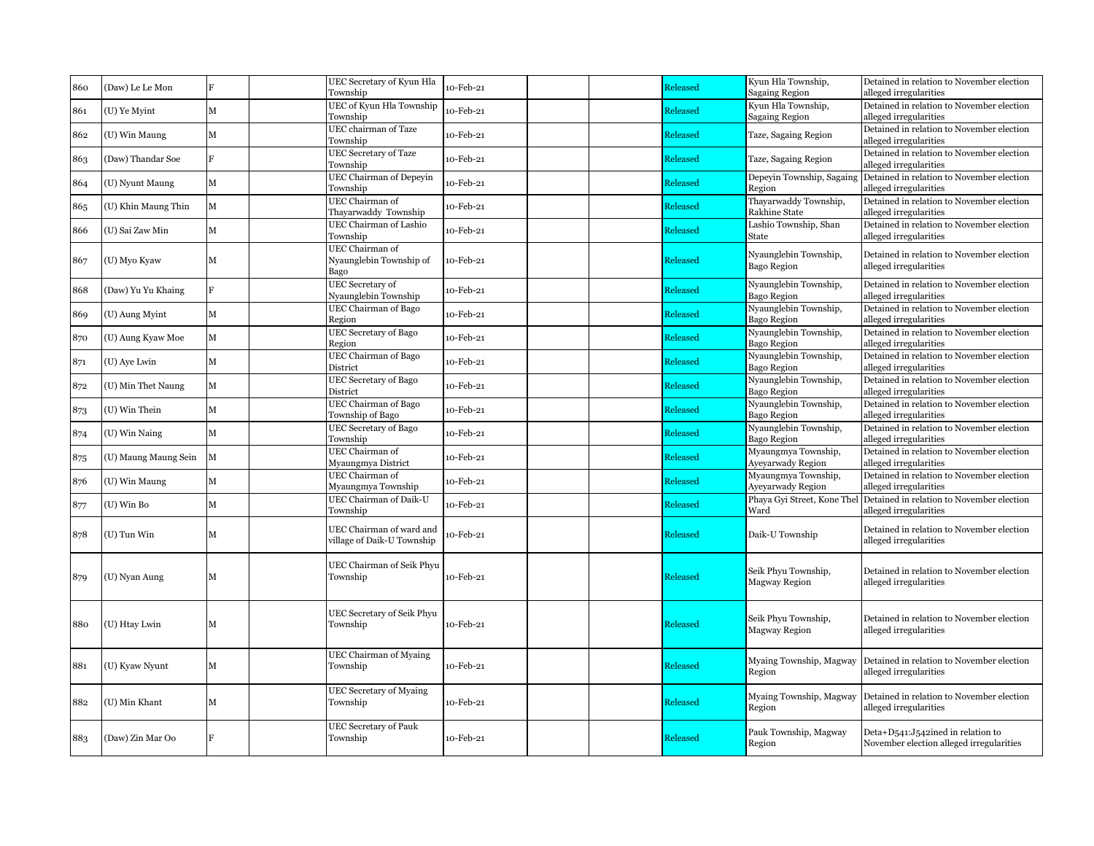| 860 | (Daw) Le Le Mon      | F              | UEC Secretary of Kyun Hla                              | 10-Feb-21 | Released        | Kyun Hla Township,                          | Detained in relation to November election                                     |
|-----|----------------------|----------------|--------------------------------------------------------|-----------|-----------------|---------------------------------------------|-------------------------------------------------------------------------------|
|     |                      |                | Township                                               |           |                 | Sagaing Region                              | alleged irregularities                                                        |
| 861 | (U) Ye Myint         | М              | UEC of Kyun Hla Township<br>Township                   | 10-Feb-21 | Released        | Kyun Hla Township,<br>Sagaing Region        | Detained in relation to November election<br>alleged irregularities           |
| 862 | (U) Win Maung        | М              | UEC chairman of Taze<br>Township                       | 10-Feb-21 | Released        | Taze, Sagaing Region                        | Detained in relation to November election<br>alleged irregularities           |
| 863 | (Daw) Thandar Soe    | $\overline{R}$ | <b>UEC</b> Secretary of Taze<br>Township               | 10-Feb-21 | Released        | Taze, Sagaing Region                        | Detained in relation to November election<br>alleged irregularities           |
| 864 | (U) Nyunt Maung      | M              | <b>UEC Chairman of Depeyin</b><br>Township             | 10-Feb-21 | Released        | Depeyin Township, Sagaing<br>Region         | Detained in relation to November election<br>alleged irregularities           |
| 865 | (U) Khin Maung Thin  | $\mathbf M$    | UEC Chairman of<br>Thayarwaddy Township                | 10-Feb-21 | Released        | Thayarwaddy Township,<br>Rakhine State      | Detained in relation to November election<br>alleged irregularities           |
| 866 | (U) Sai Zaw Min      | М              | <b>UEC Chairman of Lashio</b><br>Township              | 10-Feb-21 | <b>Released</b> | Lashio Township, Shan<br>State              | Detained in relation to November election<br>alleged irregularities           |
| 867 | (U) Myo Kyaw         | М              | UEC Chairman of<br>Nyaunglebin Township of<br>Bago     | 10-Feb-21 | Released        | Nyaunglebin Township,<br>Bago Region        | Detained in relation to November election<br>alleged irregularities           |
| 868 | (Daw) Yu Yu Khaing   | $\mathbf{F}$   | <b>UEC</b> Secretary of<br>Nyaunglebin Township        | 10-Feb-21 | Released        | Nyaunglebin Township,<br><b>Bago Region</b> | Detained in relation to November election<br>alleged irregularities           |
| 869 | (U) Aung Myint       | М              | UEC Chairman of Bago<br>Region                         | 10-Feb-21 | Released        | Nyaunglebin Township,<br>Bago Region        | Detained in relation to November election<br>alleged irregularities           |
| 870 | (U) Aung Kyaw Moe    | М              | UEC Secretary of Bago<br>Region                        | 10-Feb-21 | Released        | Nyaunglebin Township,<br>Bago Region        | Detained in relation to November election<br>alleged irregularities           |
| 871 | (U) Aye Lwin         | M              | UEC Chairman of Bago<br>District                       | 10-Feb-21 | Released        | Nyaunglebin Township,<br><b>Bago Region</b> | Detained in relation to November election<br>alleged irregularities           |
| 872 | (U) Min Thet Naung   | M              | <b>UEC</b> Secretary of Bago<br>District               | 10-Feb-21 | Released        | Nyaunglebin Township,<br><b>Bago Region</b> | Detained in relation to November election<br>alleged irregularities           |
| 873 | (U) Win Thein        | М              | UEC Chairman of Bago<br>Township of Bago               | 10-Feb-21 | Released        | Nyaunglebin Township,<br>Bago Region        | Detained in relation to November election<br>alleged irregularities           |
| 874 | (U) Win Naing        | М              | <b>UEC Secretary of Bago</b><br>Township               | 10-Feb-21 | Released        | Nyaunglebin Township,<br><b>Bago Region</b> | Detained in relation to November election<br>alleged irregularities           |
| 875 | (U) Maung Maung Sein | $\mathbf{M}$   | UEC Chairman of<br>Myaungmya District                  | 10-Feb-21 | Released        | Myaungmya Township,<br>Ayeyarwady Region    | Detained in relation to November election<br>alleged irregularities           |
| 876 | (U) Win Maung        | М              | UEC Chairman of<br>Myaungmya Township                  | 10-Feb-21 | Released        | Myaungmya Township,<br>Ayeyarwady Region    | Detained in relation to November election<br>alleged irregularities           |
| 877 | (U) Win Bo           | М              | UEC Chairman of Daik-U<br>Township                     | 10-Feb-21 | Released        | Phaya Gyi Street, Kone Thel<br>Ward         | Detained in relation to November election<br>alleged irregularities           |
| 878 | (U) Tun Win          | М              | UEC Chairman of ward and<br>village of Daik-U Township | o-Feb-21  | Released        | Daik-U Township                             | Detained in relation to November election<br>alleged irregularities           |
| 879 | (U) Nyan Aung        | м              | UEC Chairman of Seik Phyu<br>Township                  | 10-Feb-21 | Released        | Seik Phyu Township,<br>Magway Region        | Detained in relation to November election<br>alleged irregularities           |
| 880 | (U) Htay Lwin        | м              | UEC Secretary of Seik Phyu<br>Township                 | 10-Feb-21 | Released        | Seik Phyu Township,<br>Magway Region        | Detained in relation to November election<br>alleged irregularities           |
| 881 | (U) Kyaw Nyunt       | м              | <b>UEC Chairman of Myaing</b><br>Township              | 10-Feb-21 | Released        | Myaing Township, Magway<br>Region           | Detained in relation to November election<br>alleged irregularities           |
| 882 | (U) Min Khant        | М              | <b>UEC Secretary of Myaing</b><br>Township             | 10-Feb-21 | Released        | Myaing Township, Magway<br>Region           | Detained in relation to November election<br>alleged irregularities           |
| 883 | (Daw) Zin Mar Oo     |                | <b>UEC Secretary of Pauk</b><br>Township               | 10-Feb-21 | Released        | Pauk Township, Magway<br>Region             | Deta+D541:J542ined in relation to<br>November election alleged irregularities |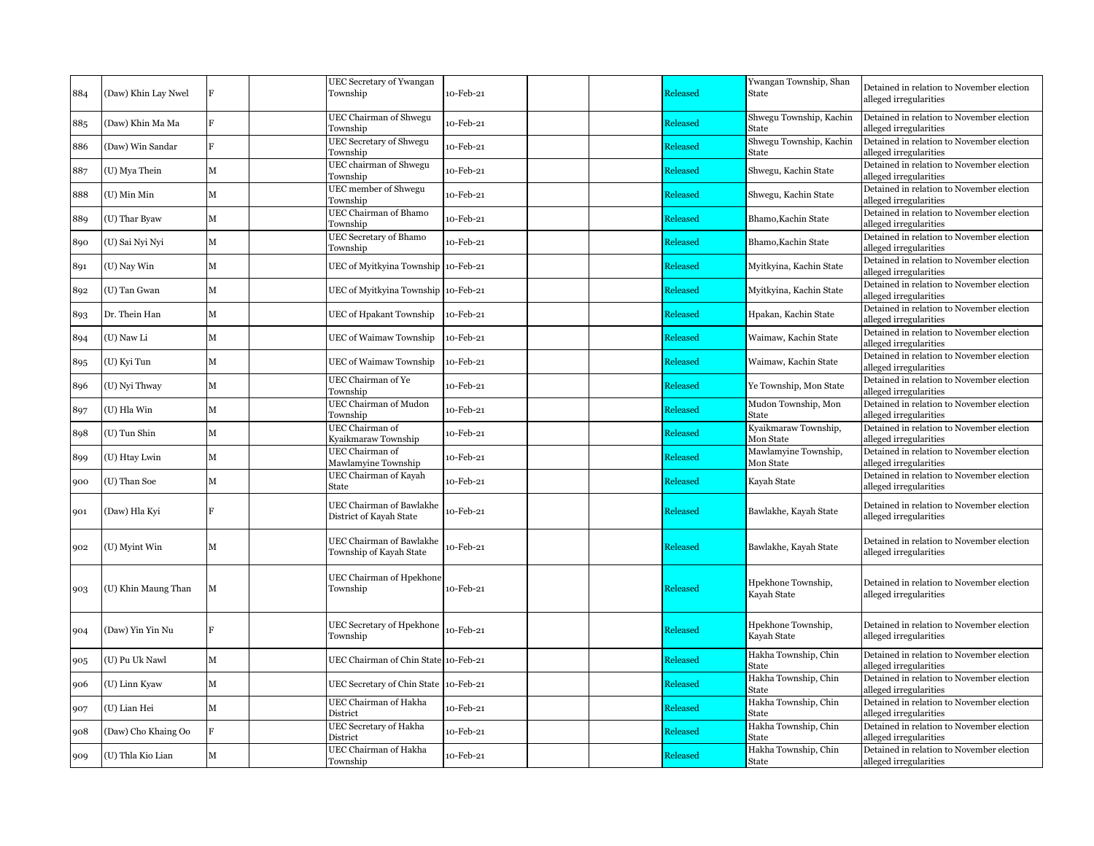| 884 | (Daw) Khin Lay Nwel |              | <b>UEC Secretary of Ywangan</b><br>Township         | 10-Feb-21 | Released        | Ywangan Township, Shan<br>State   | Detained in relation to November election<br>alleged irregularities |
|-----|---------------------|--------------|-----------------------------------------------------|-----------|-----------------|-----------------------------------|---------------------------------------------------------------------|
| 885 | (Daw) Khin Ma Ma    | $\mathbf{F}$ | UEC Chairman of Shwegu<br>Township                  | 10-Feb-21 | Released        | Shwegu Township, Kachin<br>State  | Detained in relation to November election<br>alleged irregularities |
| 886 | (Daw) Win Sandar    | F            | <b>UEC Secretary of Shwegu</b><br>Township          | 10-Feb-21 | <b>Released</b> | Shwegu Township, Kachin<br>State  | Detained in relation to November election<br>alleged irregularities |
| 887 | (U) Mya Thein       | M            | UEC chairman of Shwegu<br>Township                  | 10-Feb-21 | Released        | Shwegu, Kachin State              | Detained in relation to November election<br>alleged irregularities |
| 888 | (U) Min Min         | М            | UEC member of Shwegu<br>Township                    | 10-Feb-21 | Released        | Shwegu, Kachin State              | Detained in relation to November election<br>alleged irregularities |
| 889 | (U) Thar Byaw       | М            | UEC Chairman of Bhamo<br>Township                   | 10-Feb-21 | Released        | Bhamo, Kachin State               | Detained in relation to November election<br>alleged irregularities |
| 890 | (U) Sai Nyi Nyi     | M            | UEC Secretary of Bhamo<br>Township                  | 10-Feb-21 | Released        | Bhamo, Kachin State               | Detained in relation to November election<br>alleged irregularities |
| 891 | (U) Nay Win         | M            | UEC of Myitkyina Township 10-Feb-21                 |           | Released        | Myitkyina, Kachin State           | Detained in relation to November election<br>alleged irregularities |
| 892 | (U) Tan Gwan        | M            | UEC of Myitkyina Township 10-Feb-21                 |           | Released        | Myitkyina, Kachin State           | Detained in relation to November election<br>alleged irregularities |
| 893 | Dr. Thein Han       | M            | UEC of Hpakant Township                             | 10-Feb-21 | Released        | Hpakan, Kachin State              | Detained in relation to November election<br>alleged irregularities |
| 894 | (U) Naw Li          | M            | UEC of Waimaw Township                              | 10-Feb-21 | Released        | Waimaw, Kachin State              | Detained in relation to November election<br>alleged irregularities |
| 895 | (U) Kyi Tun         | М            | UEC of Waimaw Township                              | 10-Feb-21 | Released        | Waimaw, Kachin State              | Detained in relation to November election<br>alleged irregularities |
| 896 | (U) Nyi Thway       | M            | UEC Chairman of Ye<br>Township                      | 10-Feb-21 | Released        | Ye Township, Mon State            | Detained in relation to November election<br>alleged irregularities |
| 897 | (U) Hla Win         | M            | <b>UEC Chairman of Mudon</b><br>Township            | 10-Feb-21 | Released        | Mudon Township, Mon<br>State      | Detained in relation to November election<br>alleged irregularities |
| 898 | (U) Tun Shin        | M            | UEC Chairman of<br>Kyaikmaraw Township              | 10-Feb-21 | <b>Released</b> | Kyaikmaraw Township,<br>Mon State | Detained in relation to November election<br>alleged irregularities |
| 899 | (U) Htay Lwin       | M            | UEC Chairman of<br>Mawlamyine Township              | 10-Feb-21 | Released        | Mawlamyine Township,<br>Mon State | Detained in relation to November election<br>alleged irregularities |
| 900 | (U) Than Soe        | M            | UEC Chairman of Kayah<br>State                      | 10-Feb-21 | Released        | Kayah State                       | Detained in relation to November election<br>alleged irregularities |
| 901 | (Daw) Hla Kyi       |              | UEC Chairman of Bawlakhe<br>District of Kayah State | 10-Feb-21 | Released        | Bawlakhe, Kayah State             | Detained in relation to November election<br>alleged irregularities |
| 902 | (U) Myint Win       | М            | UEC Chairman of Bawlakhe<br>Township of Kayah State | 10-Feb-21 | Released        | Bawlakhe, Kayah State             | Detained in relation to November election<br>alleged irregularities |
| 903 | (U) Khin Maung Than | М            | UEC Chairman of Hpekhone<br>Township                | 10-Feb-21 | Released        | Hpekhone Township,<br>Kayah State | Detained in relation to November election<br>alleged irregularities |
| 904 | (Daw) Yin Yin Nu    |              | UEC Secretary of Hpekhone<br>Township               | 10-Feb-21 | Released        | Hpekhone Township,<br>Kayah State | Detained in relation to November election<br>alleged irregularities |
| 905 | (U) Pu Uk Nawl      | M            | UEC Chairman of Chin State 10-Feb-21                |           | Released        | Hakha Township, Chin<br>State     | Detained in relation to November election<br>alleged irregularities |
| 906 | (U) Linn Kyaw       | M            | UEC Secretary of Chin State 10-Feb-21               |           | Released        | Hakha Township, Chin<br>State     | Detained in relation to November election<br>alleged irregularities |
| 907 | (U) Lian Hei        | М            | UEC Chairman of Hakha<br>District                   | 10-Feb-21 | Released        | Hakha Township, Chin<br>State     | Detained in relation to November election<br>alleged irregularities |
| 908 | (Daw) Cho Khaing Oo | F            | UEC Secretary of Hakha<br>District                  | 10-Feb-21 | Released        | Hakha Township, Chin<br>State     | Detained in relation to November election<br>alleged irregularities |
| 909 | (U) Thla Kio Lian   | M            | UEC Chairman of Hakha<br>Township                   | 10-Feb-21 | <b>Released</b> | Hakha Township, Chin<br>State     | Detained in relation to November election<br>alleged irregularities |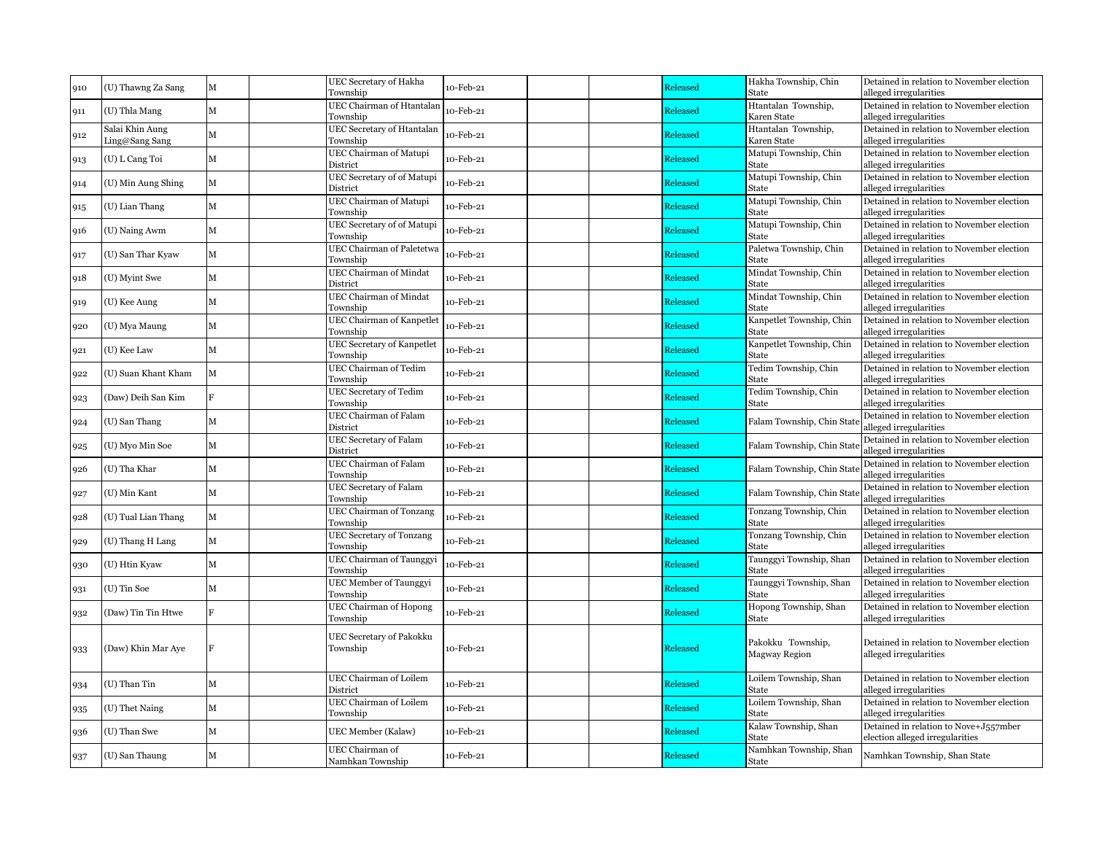| 910 | (U) Thawng Za Sang                | M              | UEC Secretary of Hakha<br>Township           | 10-Feb-21 | Released | Hakha Township, Chin<br>State      | Detained in relation to November election<br>alleged irregularities      |
|-----|-----------------------------------|----------------|----------------------------------------------|-----------|----------|------------------------------------|--------------------------------------------------------------------------|
| 911 | (U) Thla Mang                     | $\mathbf M$    | UEC Chairman of Htantalan<br>Township        | 10-Feb-21 | Released | Htantalan Township,<br>Karen State | Detained in relation to November election<br>alleged irregularities      |
| 912 | Salai Khin Aung<br>Ling@Sang Sang | M              | UEC Secretary of Htantalan<br>Township       | 10-Feb-21 | Released | Htantalan Township,<br>Karen State | Detained in relation to November election<br>alleged irregularities      |
| 913 | (U) L Cang Toi                    | М              | UEC Chairman of Matupi<br>District           | 10-Feb-21 | Released | Matupi Township, Chin<br>State     | Detained in relation to November election<br>alleged irregularities      |
| 914 | (U) Min Aung Shing                | M              | UEC Secretary of of Matupi<br>District       | 10-Feb-21 | Released | Matupi Township, Chin<br>State     | Detained in relation to November election<br>alleged irregularities      |
| 915 | (U) Lian Thang                    | $\mathbf M$    | UEC Chairman of Matupi<br>Township           | 10-Feb-21 | Released | Matupi Township, Chin<br>State     | Detained in relation to November election<br>alleged irregularities      |
| 916 | (U) Naing Awm                     | М              | UEC Secretary of of Matupi<br>Township       | 10-Feb-21 | Released | Matupi Township, Chin<br>State     | Detained in relation to November election<br>alleged irregularities      |
| 917 | (U) San Thar Kyaw                 | M              | UEC Chairman of Paletetwa<br>Township        | 10-Feb-21 | Released | Paletwa Township, Chin<br>State    | Detained in relation to November election<br>alleged irregularities      |
| 918 | (U) Myint Swe                     | М              | UEC Chairman of Mindat<br>District           | 10-Feb-21 | Released | Mindat Township, Chin<br>State     | Detained in relation to November election<br>alleged irregularities      |
| 919 | (U) Kee Aung                      | М              | UEC Chairman of Mindat<br>Township           | 10-Feb-21 | Released | Mindat Township, Chin<br>State     | Detained in relation to November election<br>alleged irregularities      |
| 920 | (U) Mya Maung                     | M              | <b>UEC Chairman of Kanpetlet</b><br>Township | 10-Feb-21 | Released | Kanpetlet Township, Chin<br>State  | Detained in relation to November election<br>alleged irregularities      |
| 921 | (U) Kee Law                       | М              | UEC Secretary of Kanpetlet<br>Township       | 10-Feb-21 | Released | Kanpetlet Township, Chin<br>State  | Detained in relation to November election<br>alleged irregularities      |
| 922 | (U) Suan Khant Kham               | $\mathbf M$    | <b>UEC Chairman of Tedim</b><br>Township     | 10-Feb-21 | Released | Tedim Township, Chin<br>State      | Detained in relation to November election<br>alleged irregularities      |
| 923 | (Daw) Deih San Kim                | $\mathbf{F}$   | <b>UEC</b> Secretary of Tedim<br>Township    | 10-Feb-21 | Released | Tedim Township, Chin<br>State      | Detained in relation to November election<br>alleged irregularities      |
| 924 | (U) San Thang                     | М              | UEC Chairman of Falam<br>District            | 10-Feb-21 | Released | Falam Township, Chin Sta           | Detained in relation to November election<br>alleged irregularities      |
| 925 | (U) Myo Min Soe                   | $\mathbf M$    | <b>UEC Secretary of Falam</b><br>District    | 10-Feb-21 | Released | Falam Township, Chin Sta           | Detained in relation to November election<br>alleged irregularities      |
| 926 | (U) Tha Khar                      | М              | UEC Chairman of Falam<br>Township            | 10-Feb-21 | Released | Falam Township, Chin Sta           | Detained in relation to November election<br>alleged irregularities      |
| 927 | (U) Min Kant                      | $\mathbf{M}$   | UEC Secretary of Falam<br>Township           | 10-Feb-21 | Released | Falam Township, Chin Stat          | Detained in relation to November election<br>alleged irregularities      |
| 928 | (U) Tual Lian Thang               | M              | <b>UEC Chairman of Tonzang</b><br>Township   | 10-Feb-21 | Released | Tonzang Township, Chin<br>State    | Detained in relation to November election<br>alleged irregularities      |
| 929 | (U) Thang H Lang                  | M              | UEC Secretary of Tonzang<br>Township         | 10-Feb-21 | Released | Tonzang Township, Chin<br>State    | Detained in relation to November election<br>alleged irregularities      |
| 930 | (U) Htin Kyaw                     | M              | UEC Chairman of Taunggyi<br>Township         | 10-Feb-21 | Released | Taunggyi Township, Shan<br>State   | Detained in relation to November election<br>alleged irregularities      |
| 931 | (U) Tin Soe                       | М              | <b>UEC Member of Taunggyi</b><br>Township    | 10-Feb-21 | Released | Taunggyi Township, Shan<br>State   | Detained in relation to November election<br>alleged irregularities      |
| 932 | (Daw) Tin Tin Htwe                | $\overline{B}$ | <b>UEC Chairman of Hopong</b><br>Township    | 10-Feb-21 | Released | Hopong Township, Shan<br>State     | Detained in relation to November election<br>alleged irregularities      |
| 933 | (Daw) Khin Mar Aye                | $\mathbf F$    | UEC Secretary of Pakokku<br>Township         | 10-Feb-21 | Released | Pakokku Township,<br>Magway Region | Detained in relation to November election<br>alleged irregularities      |
| 934 | (U) Than Tin                      | M              | UEC Chairman of Loilem<br>District           | 10-Feb-21 | Released | Loilem Township, Shan<br>State     | Detained in relation to November election<br>alleged irregularities      |
| 935 | (U) Thet Naing                    | M              | UEC Chairman of Loilem<br>Township           | 10-Feb-21 | Released | Loilem Township, Shan<br>State     | Detained in relation to November election<br>alleged irregularities      |
| 936 | (U) Than Swe                      | М              | UEC Member (Kalaw)                           | 10-Feb-21 | Released | Kalaw Township, Shan<br>State      | Detained in relation to Nove+J557mber<br>election alleged irregularities |
| 937 | (U) San Thaung                    | M              | UEC Chairman of<br>Namhkan Township          | 10-Feb-21 | Released | Namhkan Township, Shan<br>State    | Namhkan Township, Shan State                                             |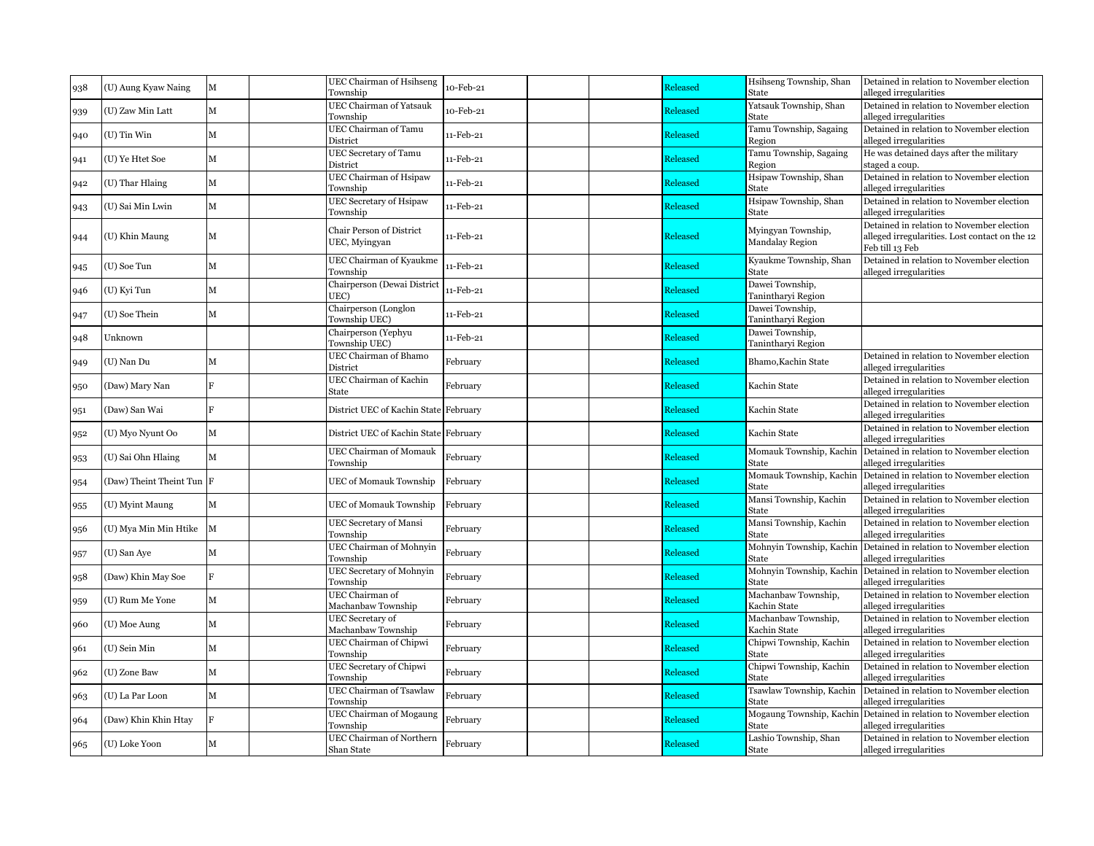| 938 | (U) Aung Kyaw Naing       | $\mathbf M$    | UEC Chairman of Hsihseng<br>Township          | 10-Feb-21 | Released        | Hsihseng Township, Shan<br>State      | Detained in relation to November election<br>alleged irregularities                                            |
|-----|---------------------------|----------------|-----------------------------------------------|-----------|-----------------|---------------------------------------|----------------------------------------------------------------------------------------------------------------|
| 939 | (U) Zaw Min Latt          | $\mathbf M$    | <b>UEC Chairman of Yatsauk</b><br>Township    | 10-Feb-21 | <b>Released</b> | Yatsauk Township, Shan<br>State       | Detained in relation to November election<br>alleged irregularities                                            |
| 940 | (U) Tin Win               | М              | UEC Chairman of Tamu<br>District              | 11-Feb-21 | Released        | Tamu Township, Sagaing<br>Region      | Detained in relation to November election<br>alleged irregularities                                            |
| 941 | (U) Ye Htet Soe           | M              | UEC Secretary of Tamu<br>District             | 11-Feb-21 | Released        | Tamu Township, Sagaing<br>Region      | He was detained days after the military<br>staged a coup.                                                      |
| 942 | (U) Thar Hlaing           | $\mathbf{M}$   | UEC Chairman of Hsipaw<br>Township            | 11-Feb-21 | <b>Released</b> | Hsipaw Township, Shan<br><b>State</b> | Detained in relation to November election<br>alleged irregularities                                            |
| 943 | (U) Sai Min Lwin          | $\mathbf M$    | UEC Secretary of Hsipaw<br>Township           | 11-Feb-21 | Released        | Hsipaw Township, Shan<br>State        | Detained in relation to November election<br>alleged irregularities                                            |
| 944 | (U) Khin Maung            | $\mathbf M$    | Chair Person of District<br>UEC, Myingyan     | 11-Feb-21 | Released        | Myingyan Township,<br>Mandalay Region | Detained in relation to November election<br>alleged irregularities. Lost contact on the 12<br>Feb till 13 Feb |
| 945 | (U) Soe Tun               | М              | UEC Chairman of Kyaukme<br>Township           | 11-Feb-21 | <b>Released</b> | Kyaukme Township, Shan<br>State       | Detained in relation to November election<br>alleged irregularities                                            |
| 946 | (U) Kyi Tun               | М              | Chairperson (Dewai District<br>UEC)           | 11-Feb-21 | Released        | Dawei Township,<br>Tanintharyi Region |                                                                                                                |
| 947 | (U) Soe Thein             | M              | Chairperson (Longlon<br>Township UEC)         | 11-Feb-21 | <b>Released</b> | Dawei Township,<br>Tanintharyi Region |                                                                                                                |
| 948 | Unknown                   |                | Chairperson (Yephyu<br>Township UEC)          | 11-Feb-21 | Released        | Dawei Township,<br>Tanintharyi Region |                                                                                                                |
| 949 | (U) Nan Du                | M              | UEC Chairman of Bhamo<br>District             | February  | Released        | Bhamo, Kachin State                   | Detained in relation to November election<br>alleged irregularities                                            |
| 950 | (Daw) Mary Nan            | $\overline{B}$ | UEC Chairman of Kachin<br>State               | February  | Released        | Kachin State                          | Detained in relation to November election<br>alleged irregularities                                            |
| 951 | (Daw) San Wai             | $\overline{R}$ | District UEC of Kachin State February         |           | <b>Released</b> | Kachin State                          | Detained in relation to November election<br>alleged irregularities                                            |
| 952 | (U) Myo Nyunt Oo          | $\mathbf M$    | District UEC of Kachin State February         |           | <b>Released</b> | Kachin State                          | Detained in relation to November election<br>alleged irregularities                                            |
| 953 | (U) Sai Ohn Hlaing        | M              | <b>UEC Chairman of Momauk</b><br>Township     | February  | Released        | Momauk Township, Kachin<br>State      | Detained in relation to November election<br>alleged irregularities                                            |
| 954 | (Daw) Theint Theint Tun F |                | <b>UEC</b> of Momauk Township                 | February  | Released        | State                                 | Momauk Township, Kachin Detained in relation to November election<br>alleged irregularities                    |
| 955 | (U) Myint Maung           | M              | <b>UEC</b> of Momauk Township                 | February  | Released        | Mansi Township, Kachin<br>State       | Detained in relation to November election<br>alleged irregularities                                            |
| 956 | (U) Mya Min Min Htike     | $\mathbf{M}$   | <b>UEC Secretary of Mansi</b><br>Township     | February  | Released        | Mansi Township, Kachin<br>State       | Detained in relation to November election<br>alleged irregularities                                            |
| 957 | (U) San Aye               | М              | UEC Chairman of Mohnyin<br>Township           | February  | Released        | Mohnyin Township, Kachin<br>State     | Detained in relation to November election<br>alleged irregularities                                            |
| 958 | (Daw) Khin May Soe        | $\overline{B}$ | <b>UEC Secretary of Mohnyin</b><br>Township   | February  | <b>Released</b> | State                                 | Mohnyin Township, Kachin Detained in relation to November election<br>alleged irregularities                   |
| 959 | (U) Rum Me Yone           | M              | UEC Chairman of<br>Machanbaw Township         | February  | Released        | Machanbaw Township,<br>Kachin State   | Detained in relation to November election<br>alleged irregularities                                            |
| 960 | (U) Moe Aung              | M              | UEC Secretary of<br>Machanbaw Township        | February  | Released        | Machanbaw Township,<br>Kachin State   | Detained in relation to November election<br>alleged irregularities                                            |
| 961 | (U) Sein Min              | M              | UEC Chairman of Chipwi<br>Township            | February  | Released        | Chipwi Township, Kachin<br>State      | Detained in relation to November election<br>alleged irregularities                                            |
| 962 | (U) Zone Baw              | M              | UEC Secretary of Chipwi<br>Township           | February  | Released        | Chipwi Township, Kachin<br>State      | Detained in relation to November election<br>alleged irregularities                                            |
| 963 | (U) La Par Loon           | $\mathbf M$    | UEC Chairman of Tsawlaw<br>Township           | February  | Released        | Tsawlaw Township, Kachin<br>State     | Detained in relation to November election<br>alleged irregularities                                            |
| 964 | (Daw) Khin Khin Htay      | $\overline{F}$ | UEC Chairman of Mogaung<br>Township           | February  | <b>Released</b> | Mogaung Township, Kachin<br>State     | Detained in relation to November election<br>alleged irregularities                                            |
| 965 | (U) Loke Yoon             | М              | <b>UEC</b> Chairman of Northern<br>Shan State | February  | Released        | Lashio Township, Shan<br>State        | Detained in relation to November election<br>alleged irregularities                                            |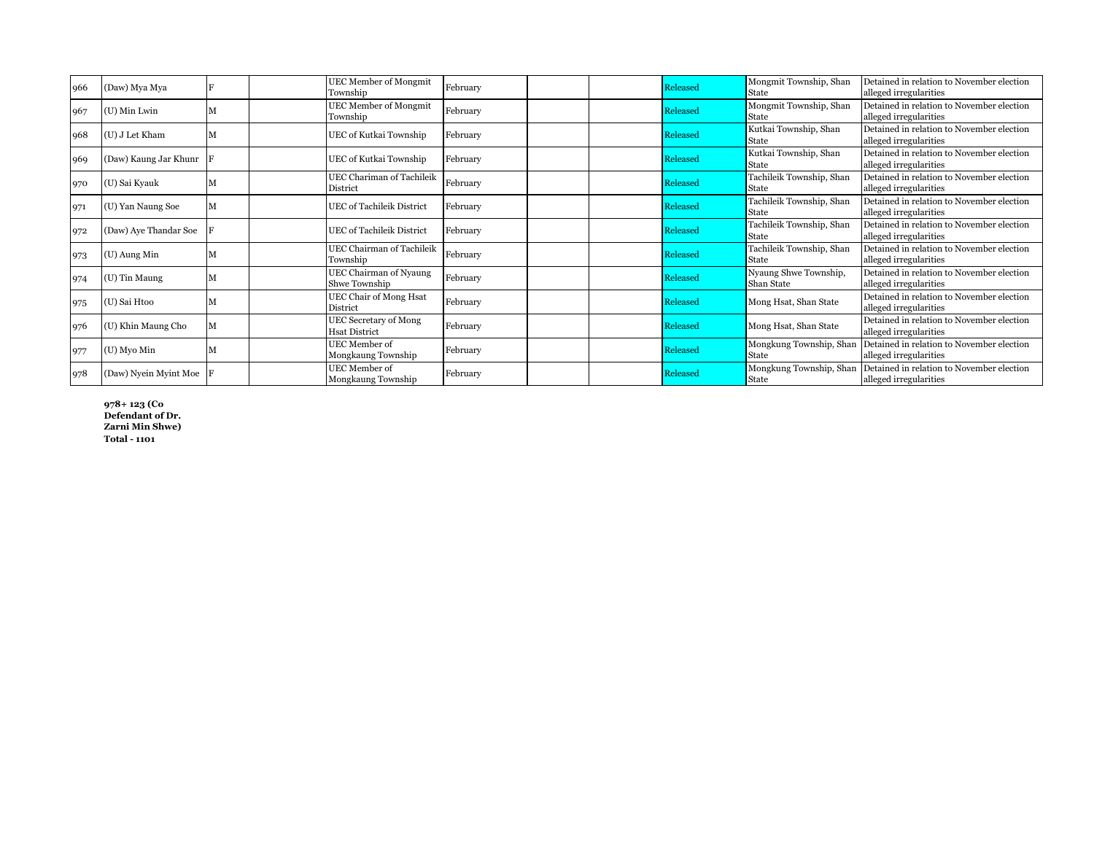| 966 | (Daw) Mya Mya         | Township                            | <b>UEC Member of Mongmit</b>     | February |  | Released | Mongmit Township, Shan<br>State          | Detained in relation to November election<br>alleged irregularities                         |
|-----|-----------------------|-------------------------------------|----------------------------------|----------|--|----------|------------------------------------------|---------------------------------------------------------------------------------------------|
| 967 | (U) Min Lwin          | Township                            | <b>UEC Member of Mongmit</b>     | February |  | Released | Mongmit Township, Shan<br><b>State</b>   | Detained in relation to November election<br>alleged irregularities                         |
| 968 | (U) J Let Kham        |                                     | UEC of Kutkai Township           | February |  | Released | Kutkai Township, Shan<br>State           | Detained in relation to November election<br>alleged irregularities                         |
| 969 | (Daw) Kaung Jar Khunr |                                     | UEC of Kutkai Township           | February |  | Released | Kutkai Township, Shan<br>State           | Detained in relation to November election<br>alleged irregularities                         |
| 970 | (U) Sai Kyauk         | <b>District</b>                     | UEC Chariman of Tachileik        | February |  | Released | Tachileik Township, Shan<br><b>State</b> | Detained in relation to November election<br>alleged irregularities                         |
| 971 | (U) Yan Naung Soe     |                                     | <b>UEC</b> of Tachileik District | February |  | Released | Tachileik Township, Shan<br>State        | Detained in relation to November election<br>alleged irregularities                         |
| 972 | (Daw) Aye Thandar Soe |                                     | <b>UEC</b> of Tachileik District | February |  | Released | Tachileik Township, Shan<br>State        | Detained in relation to November election<br>alleged irregularities                         |
| 973 | (U) Aung Min          | Township                            | <b>UEC Chairman of Tachileik</b> | February |  | Released | Tachileik Township, Shan<br>State        | Detained in relation to November election<br>alleged irregularities                         |
| 974 | (U) Tin Maung         | Shwe Township                       | UEC Chairman of Nyaung           | February |  | Released | Nyaung Shwe Township,<br>Shan State      | Detained in relation to November election<br>alleged irregularities                         |
| 975 | (U) Sai Htoo          | District                            | UEC Chair of Mong Hsat           | February |  | Released | Mong Hsat, Shan State                    | Detained in relation to November election<br>alleged irregularities                         |
| 976 | (U) Khin Maung Cho    | <b>Hsat District</b>                | <b>UEC Secretary of Mong</b>     | February |  | Released | Mong Hsat, Shan State                    | Detained in relation to November election<br>alleged irregularities                         |
| 977 | (U) Myo Min           | UEC Member of<br>Mongkaung Township |                                  | February |  | Released | Mongkung Township, Shan<br>State         | Detained in relation to November election<br>alleged irregularities                         |
| 978 | (Daw) Nyein Myint Moe | UEC Member of<br>Mongkaung Township |                                  | February |  | Released | <b>State</b>                             | Mongkung Township, Shan Detained in relation to November election<br>alleged irregularities |

**978+ 123 (Co Defendant of Dr. Zarni Min Shwe) Total - 1101**